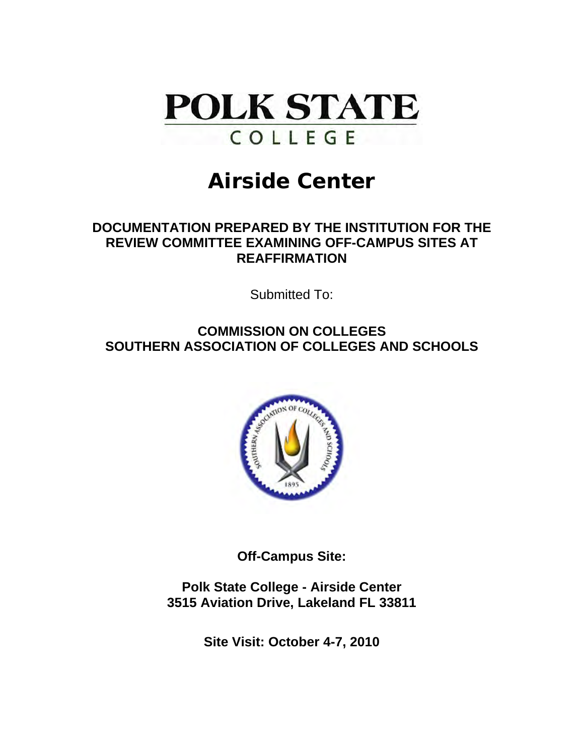

# **Airside Center**

## **DOCUMENTATION PREPARED BY THE INSTITUTION FOR THE REVIEW COMMITTEE EXAMINING OFF-CAMPUS SITES AT REAFFIRMATION**

Submitted To:

## **COMMISSION ON COLLEGES SOUTHERN ASSOCIATION OF COLLEGES AND SCHOOLS**



**Off-Campus Site:** 

**Polk State College - Airside Center 3515 Aviation Drive, Lakeland FL 33811** 

**Site Visit: October 4-7, 2010**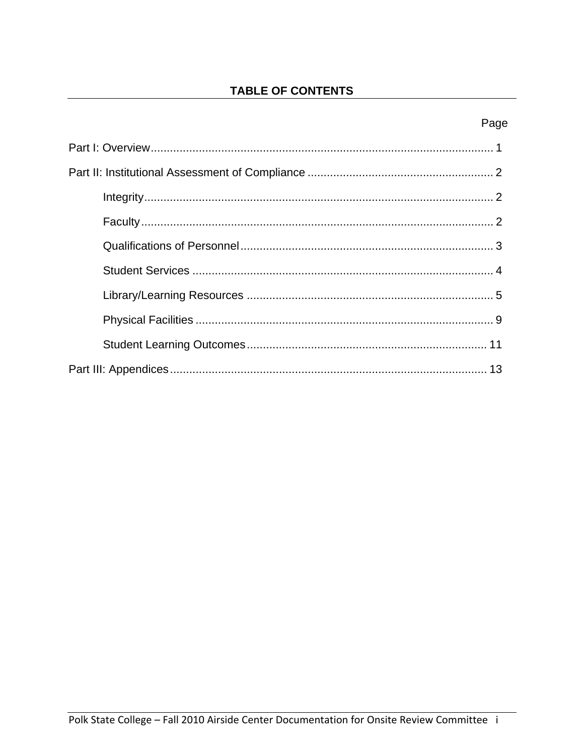## **TABLE OF CONTENTS**

## Page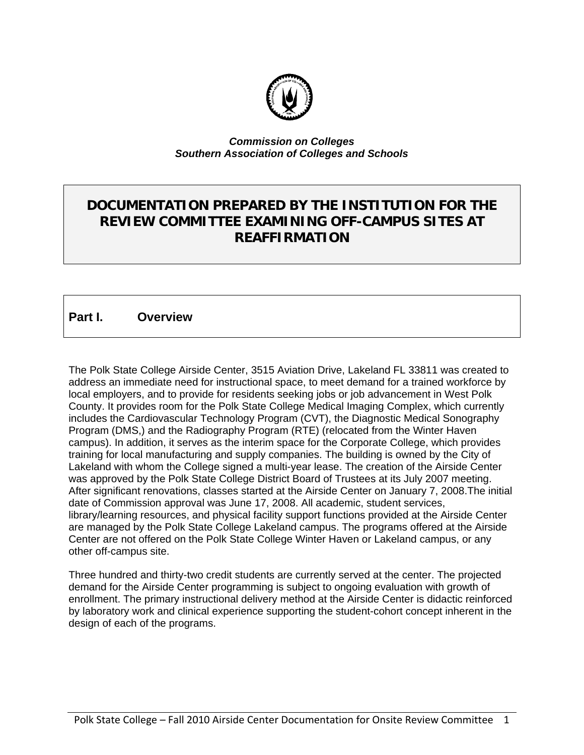

#### *Commission on Colleges Southern Association of Colleges and Schools*

## **DOCUMENTATION PREPARED BY THE INSTITUTION FOR THE REVIEW COMMITTEE EXAMINING OFF-CAMPUS SITES AT REAFFIRMATION**

### **Part I. Overview**

The Polk State College Airside Center, 3515 Aviation Drive, Lakeland FL 33811 was created to address an immediate need for instructional space, to meet demand for a trained workforce by local employers, and to provide for residents seeking jobs or job advancement in West Polk County. It provides room for the Polk State College Medical Imaging Complex, which currently includes the Cardiovascular Technology Program (CVT), the Diagnostic Medical Sonography Program (DMS,) and the Radiography Program (RTE) (relocated from the Winter Haven campus). In addition, it serves as the interim space for the Corporate College, which provides training for local manufacturing and supply companies. The building is owned by the City of Lakeland with whom the College signed a multi-year lease. The creation of the Airside Center was approved by the Polk State College District Board of Trustees at its July 2007 meeting. After significant renovations, classes started at the Airside Center on January 7, 2008.The initial date of Commission approval was June 17, 2008. All academic, student services, library/learning resources, and physical facility support functions provided at the Airside Center are managed by the Polk State College Lakeland campus. The programs offered at the Airside Center are not offered on the Polk State College Winter Haven or Lakeland campus, or any other off-campus site.

Three hundred and thirty-two credit students are currently served at the center. The projected demand for the Airside Center programming is subject to ongoing evaluation with growth of enrollment. The primary instructional delivery method at the Airside Center is didactic reinforced by laboratory work and clinical experience supporting the student-cohort concept inherent in the design of each of the programs.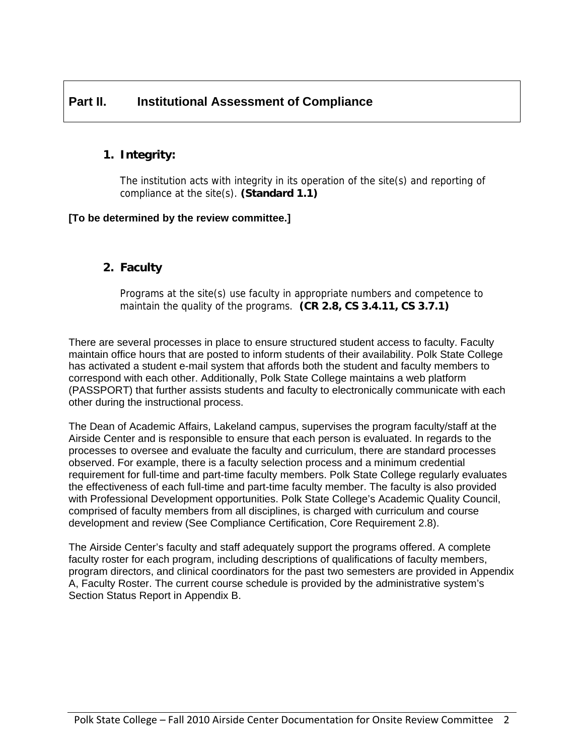## **Part II. Institutional Assessment of Compliance**

## **1. Integrity:**

The institution acts with integrity in its operation of the site(s) and reporting of compliance at the site(s). **(Standard 1.1)** 

#### **[To be determined by the review committee.]**

### **2. Faculty**

Programs at the site(s) use faculty in appropriate numbers and competence to maintain the quality of the programs. **(CR 2.8, CS 3.4.11, CS 3.7.1)** 

There are several processes in place to ensure structured student access to faculty. Faculty maintain office hours that are posted to inform students of their availability. Polk State College has activated a student e-mail system that affords both the student and faculty members to correspond with each other. Additionally, Polk State College maintains a web platform (PASSPORT) that further assists students and faculty to electronically communicate with each other during the instructional process.

The Dean of Academic Affairs, Lakeland campus, supervises the program faculty/staff at the Airside Center and is responsible to ensure that each person is evaluated. In regards to the processes to oversee and evaluate the faculty and curriculum, there are standard processes observed. For example, there is a faculty selection process and a minimum credential requirement for full-time and part-time faculty members. Polk State College regularly evaluates the effectiveness of each full-time and part-time faculty member. The faculty is also provided with Professional Development opportunities. Polk State College's Academic Quality Council, comprised of faculty members from all disciplines, is charged with curriculum and course development and review (See Compliance Certification, Core Requirement 2.8).

The Airside Center's faculty and staff adequately support the programs offered. A complete faculty roster for each program, including descriptions of qualifications of faculty members, program directors, and clinical coordinators for the past two semesters are provided in Appendix A, Faculty Roster. The current course schedule is provided by the administrative system's Section Status Report in Appendix B.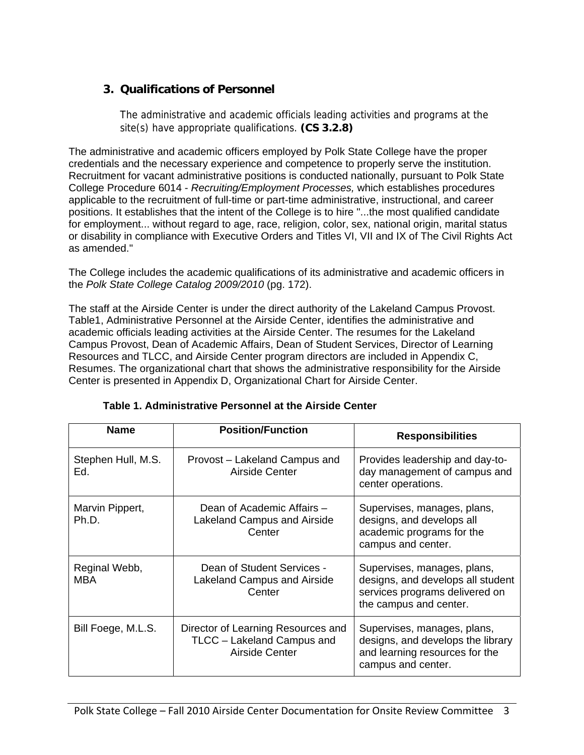## **3. Qualifications of Personnel**

The administrative and academic officials leading activities and programs at the site(s) have appropriate qualifications. **(CS 3.2.8)** 

The administrative and academic officers employed by Polk State College have the proper credentials and the necessary experience and competence to properly serve the institution. Recruitment for vacant administrative positions is conducted nationally, pursuant to Polk State College Procedure 6014 - *Recruiting/Employment Processes,* which establishes procedures applicable to the recruitment of full-time or part-time administrative, instructional, and career positions. It establishes that the intent of the College is to hire "...the most qualified candidate for employment... without regard to age, race, religion, color, sex, national origin, marital status or disability in compliance with Executive Orders and Titles VI, VII and IX of The Civil Rights Act as amended."

The College includes the academic qualifications of its administrative and academic officers in the *Polk State College Catalog 2009/2010* (pg. 172).

The staff at the Airside Center is under the direct authority of the Lakeland Campus Provost. Table1, Administrative Personnel at the Airside Center, identifies the administrative and academic officials leading activities at the Airside Center. The resumes for the Lakeland Campus Provost, Dean of Academic Affairs, Dean of Student Services, Director of Learning Resources and TLCC, and Airside Center program directors are included in Appendix C, Resumes. The organizational chart that shows the administrative responsibility for the Airside Center is presented in Appendix D, Organizational Chart for Airside Center.

| <b>Name</b>                 | <b>Position/Function</b>                                                           | <b>Responsibilities</b>                                                                                                      |
|-----------------------------|------------------------------------------------------------------------------------|------------------------------------------------------------------------------------------------------------------------------|
| Stephen Hull, M.S.<br>Ed.   | Provost – Lakeland Campus and<br>Airside Center                                    | Provides leadership and day-to-<br>day management of campus and<br>center operations.                                        |
| Marvin Pippert,<br>Ph.D.    | Dean of Academic Affairs -<br>Lakeland Campus and Airside<br>Center                | Supervises, manages, plans,<br>designs, and develops all<br>academic programs for the<br>campus and center.                  |
| Reginal Webb,<br><b>MBA</b> | Dean of Student Services -<br>Lakeland Campus and Airside<br>Center                | Supervises, manages, plans,<br>designs, and develops all student<br>services programs delivered on<br>the campus and center. |
| Bill Foege, M.L.S.          | Director of Learning Resources and<br>TLCC - Lakeland Campus and<br>Airside Center | Supervises, manages, plans,<br>designs, and develops the library<br>and learning resources for the<br>campus and center.     |

**Table 1. Administrative Personnel at the Airside Center**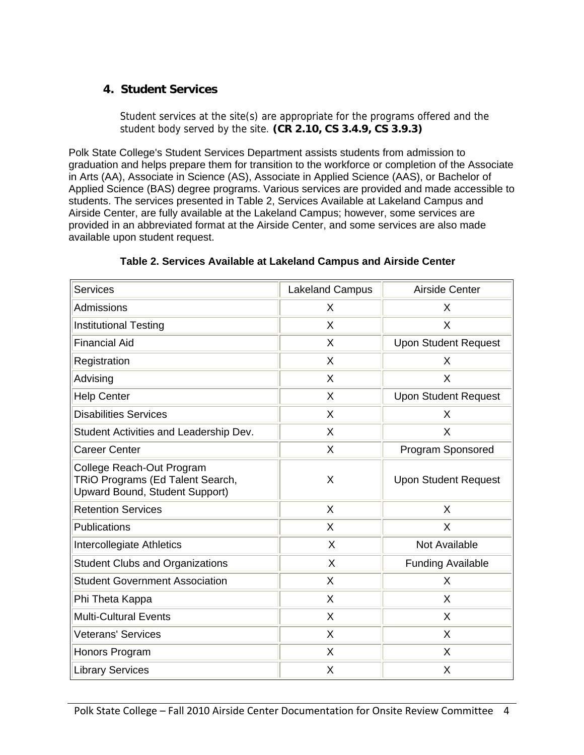## **4. Student Services**

Student services at the site(s) are appropriate for the programs offered and the student body served by the site. **(CR 2.10, CS 3.4.9, CS 3.9.3)** 

Polk State College's Student Services Department assists students from admission to graduation and helps prepare them for transition to the workforce or completion of the Associate in Arts (AA), Associate in Science (AS), Associate in Applied Science (AAS), or Bachelor of Applied Science (BAS) degree programs. Various services are provided and made accessible to students. The services presented in Table 2, Services Available at Lakeland Campus and Airside Center, are fully available at the Lakeland Campus; however, some services are provided in an abbreviated format at the Airside Center, and some services are also made available upon student request.

| <b>Services</b>                                                                                        | <b>Lakeland Campus</b> | Airside Center              |
|--------------------------------------------------------------------------------------------------------|------------------------|-----------------------------|
| Admissions                                                                                             | X                      | X                           |
| <b>Institutional Testing</b>                                                                           | X                      | X                           |
| <b>Financial Aid</b>                                                                                   | X                      | <b>Upon Student Request</b> |
| Registration                                                                                           | X                      | X                           |
| Advising                                                                                               | X                      | X                           |
| <b>Help Center</b>                                                                                     | Χ                      | <b>Upon Student Request</b> |
| <b>Disabilities Services</b>                                                                           | X                      | X                           |
| Student Activities and Leadership Dev.                                                                 | X                      | X                           |
| <b>Career Center</b>                                                                                   | X                      | Program Sponsored           |
| College Reach-Out Program<br>TRIO Programs (Ed Talent Search,<br><b>Upward Bound, Student Support)</b> | X                      | <b>Upon Student Request</b> |
| <b>Retention Services</b>                                                                              | X                      | X                           |
| Publications                                                                                           | X                      | $\sf X$                     |
| Intercollegiate Athletics                                                                              | X                      | <b>Not Available</b>        |
| <b>Student Clubs and Organizations</b>                                                                 | X                      | <b>Funding Available</b>    |
| <b>Student Government Association</b>                                                                  | X                      | X                           |
| Phi Theta Kappa                                                                                        | X                      | X                           |
| <b>Multi-Cultural Events</b>                                                                           | Χ                      | X                           |
| <b>Veterans' Services</b>                                                                              | X                      | X                           |
| Honors Program                                                                                         | X                      | X                           |
| <b>Library Services</b>                                                                                | Х                      | X                           |

**Table 2. Services Available at Lakeland Campus and Airside Center**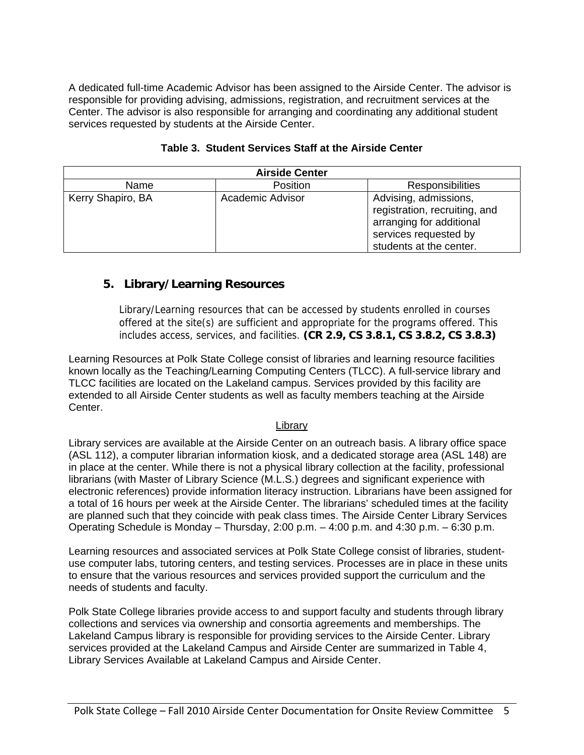A dedicated full-time Academic Advisor has been assigned to the Airside Center. The advisor is responsible for providing advising, admissions, registration, and recruitment services at the Center. The advisor is also responsible for arranging and coordinating any additional student services requested by students at the Airside Center.

| <b>Airside Center</b> |                  |                                                                                                                                        |  |  |
|-----------------------|------------------|----------------------------------------------------------------------------------------------------------------------------------------|--|--|
| Name                  | Position         | Responsibilities                                                                                                                       |  |  |
| Kerry Shapiro, BA     | Academic Advisor | Advising, admissions,<br>registration, recruiting, and<br>arranging for additional<br>services requested by<br>students at the center. |  |  |

#### **Table 3. Student Services Staff at the Airside Center**

### **5. Library/Learning Resources**

Library/Learning resources that can be accessed by students enrolled in courses offered at the site(s) are sufficient and appropriate for the programs offered. This includes access, services, and facilities. **(CR 2.9, CS 3.8.1, CS 3.8.2, CS 3.8.3)** 

Learning Resources at Polk State College consist of libraries and learning resource facilities known locally as the Teaching/Learning Computing Centers (TLCC). A full-service library and TLCC facilities are located on the Lakeland campus. Services provided by this facility are extended to all Airside Center students as well as faculty members teaching at the Airside Center.

#### Library

Library services are available at the Airside Center on an outreach basis. A library office space (ASL 112), a computer librarian information kiosk, and a dedicated storage area (ASL 148) are in place at the center. While there is not a physical library collection at the facility, professional librarians (with Master of Library Science (M.L.S.) degrees and significant experience with electronic references) provide information literacy instruction. Librarians have been assigned for a total of 16 hours per week at the Airside Center. The librarians' scheduled times at the facility are planned such that they coincide with peak class times. The Airside Center Library Services Operating Schedule is Monday – Thursday, 2:00 p.m. – 4:00 p.m. and 4:30 p.m. – 6:30 p.m.

Learning resources and associated services at Polk State College consist of libraries, studentuse computer labs, tutoring centers, and testing services. Processes are in place in these units to ensure that the various resources and services provided support the curriculum and the needs of students and faculty.

Polk State College libraries provide access to and support faculty and students through library collections and services via ownership and consortia agreements and memberships. The Lakeland Campus library is responsible for providing services to the Airside Center. Library services provided at the Lakeland Campus and Airside Center are summarized in Table 4, Library Services Available at Lakeland Campus and Airside Center.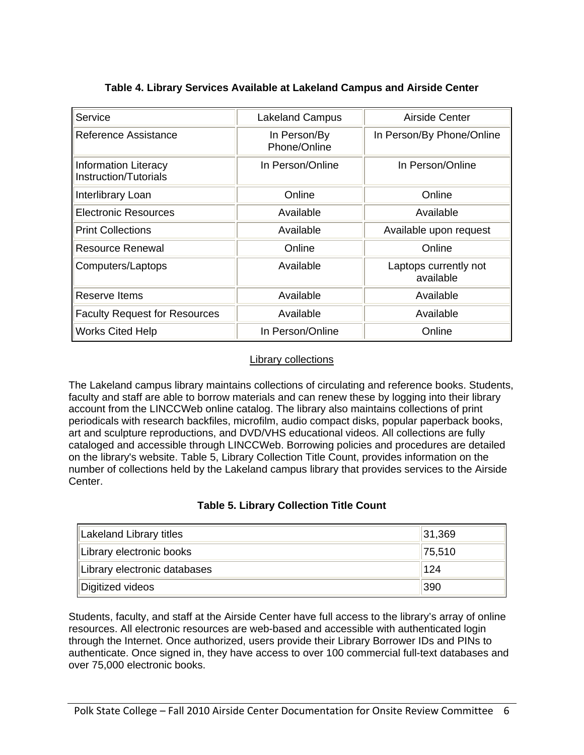| Service                                              | <b>Lakeland Campus</b>       | Airside Center                     |
|------------------------------------------------------|------------------------------|------------------------------------|
| Reference Assistance                                 | In Person/By<br>Phone/Online | In Person/By Phone/Online          |
| <b>Information Literacy</b><br>Instruction/Tutorials | In Person/Online             | In Person/Online                   |
| Interlibrary Loan                                    | Online                       | Online                             |
| <b>Electronic Resources</b>                          | Available                    | Available                          |
| <b>Print Collections</b>                             | Available                    | Available upon request             |
| Resource Renewal                                     | Online                       | Online                             |
| Computers/Laptops                                    | Available                    | Laptops currently not<br>available |
| Reserve Items                                        | Available                    | Available                          |
| <b>Faculty Request for Resources</b>                 | Available                    | Available                          |
| <b>Works Cited Help</b>                              | In Person/Online             | Online                             |

#### **Table 4. Library Services Available at Lakeland Campus and Airside Center**

#### Library collections

The Lakeland campus library maintains collections of circulating and reference books. Students, faculty and staff are able to borrow materials and can renew these by logging into their library account from the LINCCWeb online catalog. The library also maintains collections of print periodicals with research backfiles, microfilm, audio compact disks, popular paperback books, art and sculpture reproductions, and DVD/VHS educational videos. All collections are fully cataloged and accessible through LINCCWeb. Borrowing policies and procedures are detailed on the library's website. Table 5, Library Collection Title Count, provides information on the number of collections held by the Lakeland campus library that provides services to the Airside Center.

#### **Table 5. Library Collection Title Count**

| Lakeland Library titles      | 31,369 |
|------------------------------|--------|
| Library electronic books     | 75,510 |
| Library electronic databases | 124    |
| Digitized videos             | 390    |

Students, faculty, and staff at the Airside Center have full access to the library's array of online resources. All electronic resources are web-based and accessible with authenticated login through the Internet. Once authorized, users provide their Library Borrower IDs and PINs to authenticate. Once signed in, they have access to over 100 commercial full-text databases and over 75,000 electronic books.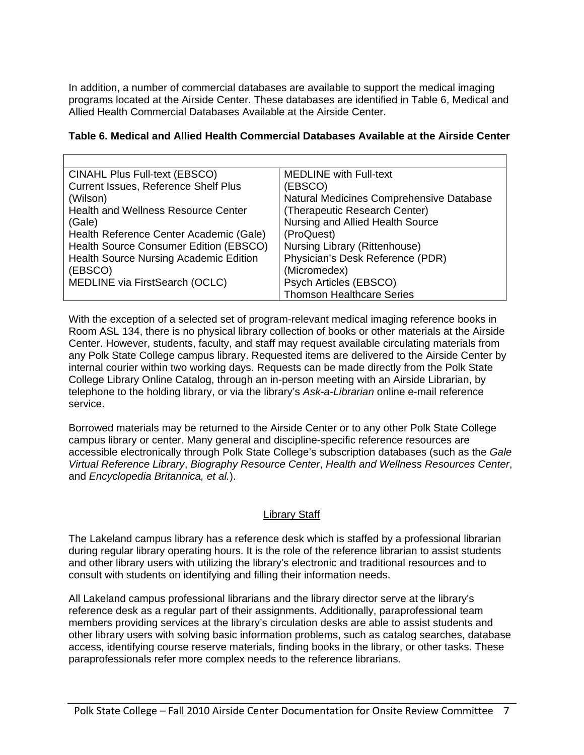In addition, a number of commercial databases are available to support the medical imaging programs located at the Airside Center. These databases are identified in Table 6, Medical and Allied Health Commercial Databases Available at the Airside Center.

| Table 6. Medical and Allied Health Commercial Databases Available at the Airside Center |  |  |
|-----------------------------------------------------------------------------------------|--|--|
|-----------------------------------------------------------------------------------------|--|--|

| CINAHL Plus Full-text (EBSCO)                 | <b>MEDLINE</b> with Full-text            |
|-----------------------------------------------|------------------------------------------|
| <b>Current Issues, Reference Shelf Plus</b>   | (EBSCO)                                  |
| (Wilson)                                      | Natural Medicines Comprehensive Database |
| <b>Health and Wellness Resource Center</b>    | (Therapeutic Research Center)            |
| (Gale)                                        | Nursing and Allied Health Source         |
| Health Reference Center Academic (Gale)       | (ProQuest)                               |
| Health Source Consumer Edition (EBSCO)        | Nursing Library (Rittenhouse)            |
| <b>Health Source Nursing Academic Edition</b> | Physician's Desk Reference (PDR)         |
| (EBSCO)                                       | (Micromedex)                             |
| MEDLINE via FirstSearch (OCLC)                | Psych Articles (EBSCO)                   |
|                                               | <b>Thomson Healthcare Series</b>         |

With the exception of a selected set of program-relevant medical imaging reference books in Room ASL 134, there is no physical library collection of books or other materials at the Airside Center. However, students, faculty, and staff may request available circulating materials from any Polk State College campus library. Requested items are delivered to the Airside Center by internal courier within two working days. Requests can be made directly from the Polk State College Library Online Catalog, through an in-person meeting with an Airside Librarian, by telephone to the holding library, or via the library's *Ask-a-Librarian* online e-mail reference service.

Borrowed materials may be returned to the Airside Center or to any other Polk State College campus library or center. Many general and discipline-specific reference resources are accessible electronically through Polk State College's subscription databases (such as the *Gale Virtual Reference Library*, *Biography Resource Center*, *Health and Wellness Resources Center*, and *Encyclopedia Britannica, et al.*).

#### Library Staff

The Lakeland campus library has a reference desk which is staffed by a professional librarian during regular library operating hours. It is the role of the reference librarian to assist students and other library users with utilizing the library's electronic and traditional resources and to consult with students on identifying and filling their information needs.

All Lakeland campus professional librarians and the library director serve at the library's reference desk as a regular part of their assignments. Additionally, paraprofessional team members providing services at the library's circulation desks are able to assist students and other library users with solving basic information problems, such as catalog searches, database access, identifying course reserve materials, finding books in the library, or other tasks. These paraprofessionals refer more complex needs to the reference librarians.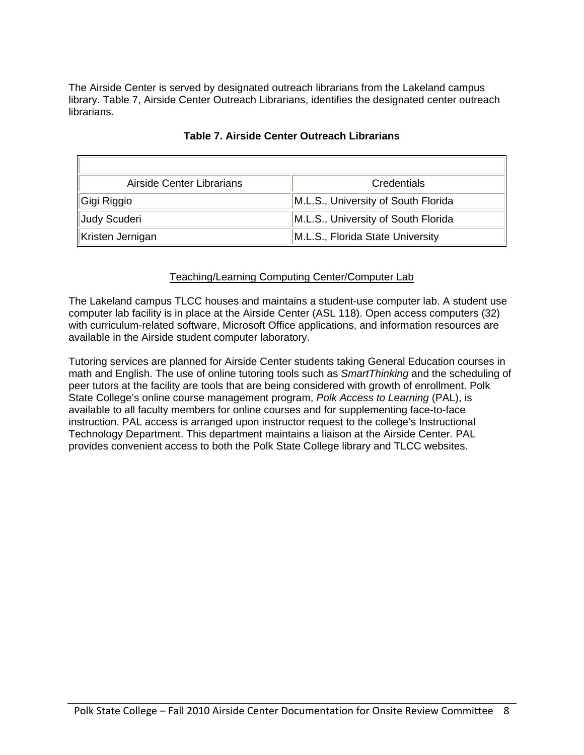The Airside Center is served by designated outreach librarians from the Lakeland campus library. Table 7, Airside Center Outreach Librarians, identifies the designated center outreach librarians.

| Airside Center Librarians | Credentials                         |
|---------------------------|-------------------------------------|
| Gigi Riggio               | M.L.S., University of South Florida |
| Judy Scuderi              | M.L.S., University of South Florida |
| Kristen Jernigan          | M.L.S., Florida State University    |

#### **Table 7. Airside Center Outreach Librarians**

#### Teaching/Learning Computing Center/Computer Lab

The Lakeland campus TLCC houses and maintains a student-use computer lab. A student use computer lab facility is in place at the Airside Center (ASL 118). Open access computers (32) with curriculum-related software, Microsoft Office applications, and information resources are available in the Airside student computer laboratory.

Tutoring services are planned for Airside Center students taking General Education courses in math and English. The use of online tutoring tools such as *SmartThinking* and the scheduling of peer tutors at the facility are tools that are being considered with growth of enrollment. Polk State College's online course management program, *Polk Access to Learning* (PAL), is available to all faculty members for online courses and for supplementing face-to-face instruction. PAL access is arranged upon instructor request to the college's Instructional Technology Department. This department maintains a liaison at the Airside Center. PAL provides convenient access to both the Polk State College library and TLCC websites.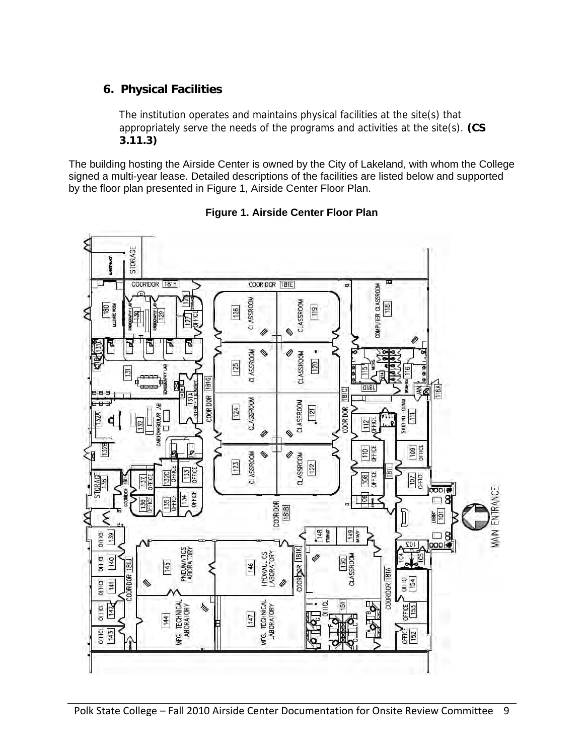## **6. Physical Facilities**

The institution operates and maintains physical facilities at the site(s) that appropriately serve the needs of the programs and activities at the site(s). **(CS 3.11.3)** 

The building hosting the Airside Center is owned by the City of Lakeland, with whom the College signed a multi-year lease. Detailed descriptions of the facilities are listed below and supported by the floor plan presented in Figure 1, Airside Center Floor Plan.



#### **Figure 1. Airside Center Floor Plan**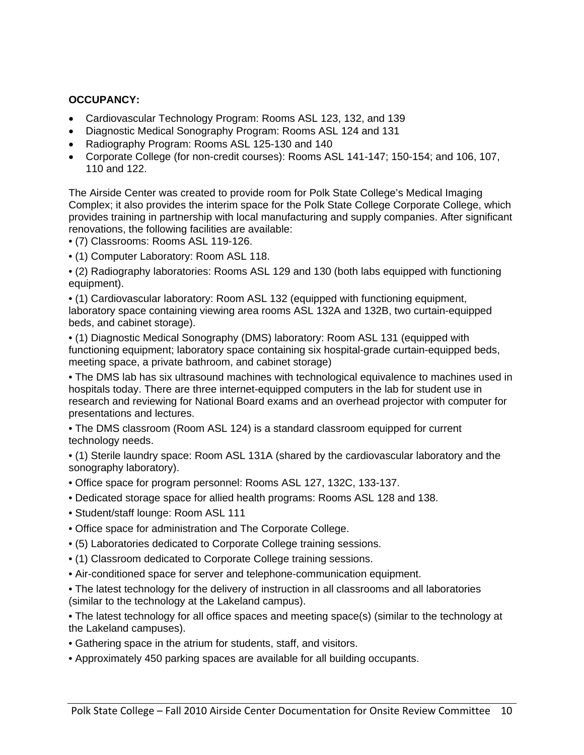### **OCCUPANCY:**

- Cardiovascular Technology Program: Rooms ASL 123, 132, and 139
- Diagnostic Medical Sonography Program: Rooms ASL 124 and 131
- Radiography Program: Rooms ASL 125-130 and 140
- Corporate College (for non-credit courses): Rooms ASL 141-147; 150-154; and 106, 107, 110 and 122.

The Airside Center was created to provide room for Polk State College's Medical Imaging Complex; it also provides the interim space for the Polk State College Corporate College, which provides training in partnership with local manufacturing and supply companies. After significant renovations, the following facilities are available:

- (7) Classrooms: Rooms ASL 119-126.
- (1) Computer Laboratory: Room ASL 118.
- (2) Radiography laboratories: Rooms ASL 129 and 130 (both labs equipped with functioning equipment).

• (1) Cardiovascular laboratory: Room ASL 132 (equipped with functioning equipment, laboratory space containing viewing area rooms ASL 132A and 132B, two curtain-equipped beds, and cabinet storage).

• (1) Diagnostic Medical Sonography (DMS) laboratory: Room ASL 131 (equipped with functioning equipment; laboratory space containing six hospital-grade curtain-equipped beds, meeting space, a private bathroom, and cabinet storage)

• The DMS lab has six ultrasound machines with technological equivalence to machines used in hospitals today. There are three internet-equipped computers in the lab for student use in research and reviewing for National Board exams and an overhead projector with computer for presentations and lectures.

- The DMS classroom (Room ASL 124) is a standard classroom equipped for current technology needs.
- (1) Sterile laundry space: Room ASL 131A (shared by the cardiovascular laboratory and the sonography laboratory).
- Office space for program personnel: Rooms ASL 127, 132C, 133-137.
- Dedicated storage space for allied health programs: Rooms ASL 128 and 138.
- Student/staff lounge: Room ASL 111
- Office space for administration and The Corporate College.
- (5) Laboratories dedicated to Corporate College training sessions.
- (1) Classroom dedicated to Corporate College training sessions.
- Air-conditioned space for server and telephone-communication equipment.
- The latest technology for the delivery of instruction in all classrooms and all laboratories (similar to the technology at the Lakeland campus).

• The latest technology for all office spaces and meeting space(s) (similar to the technology at the Lakeland campuses).

- Gathering space in the atrium for students, staff, and visitors.
- Approximately 450 parking spaces are available for all building occupants.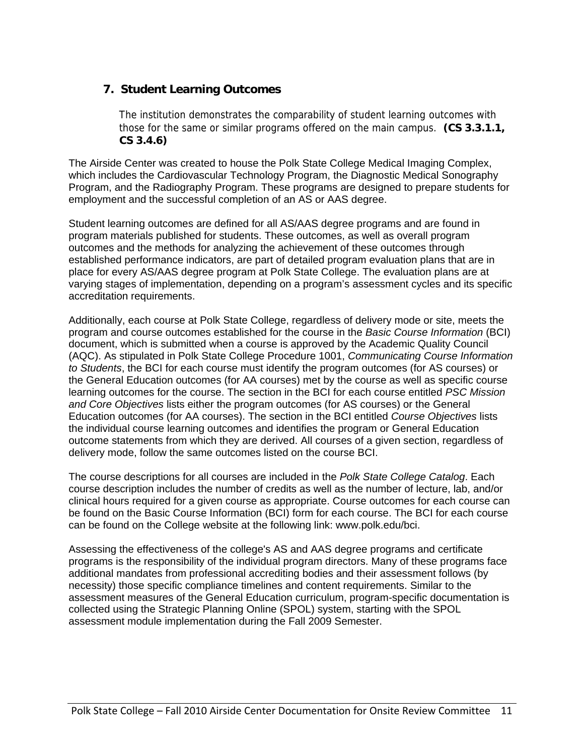## **7. Student Learning Outcomes**

The institution demonstrates the comparability of student learning outcomes with those for the same or similar programs offered on the main campus. **(CS 3.3.1.1, CS 3.4.6)** 

The Airside Center was created to house the Polk State College Medical Imaging Complex, which includes the Cardiovascular Technology Program, the Diagnostic Medical Sonography Program, and the Radiography Program. These programs are designed to prepare students for employment and the successful completion of an AS or AAS degree.

Student learning outcomes are defined for all AS/AAS degree programs and are found in program materials published for students. These outcomes, as well as overall program outcomes and the methods for analyzing the achievement of these outcomes through established performance indicators, are part of detailed program evaluation plans that are in place for every AS/AAS degree program at Polk State College. The evaluation plans are at varying stages of implementation, depending on a program's assessment cycles and its specific accreditation requirements.

Additionally, each course at Polk State College, regardless of delivery mode or site, meets the program and course outcomes established for the course in the *Basic Course Information* (BCI) document, which is submitted when a course is approved by the Academic Quality Council (AQC). As stipulated in Polk State College Procedure 1001, *Communicating Course Information to Students*, the BCI for each course must identify the program outcomes (for AS courses) or the General Education outcomes (for AA courses) met by the course as well as specific course learning outcomes for the course. The section in the BCI for each course entitled *PSC Mission and Core Objectives* lists either the program outcomes (for AS courses) or the General Education outcomes (for AA courses). The section in the BCI entitled *Course Objectives* lists the individual course learning outcomes and identifies the program or General Education outcome statements from which they are derived. All courses of a given section, regardless of delivery mode, follow the same outcomes listed on the course BCI.

The course descriptions for all courses are included in the *Polk State College Catalog*. Each course description includes the number of credits as well as the number of lecture, lab, and/or clinical hours required for a given course as appropriate. Course outcomes for each course can be found on the Basic Course Information (BCI) form for each course. The BCI for each course can be found on the College website at the following link: www.polk.edu/bci.

Assessing the effectiveness of the college's AS and AAS degree programs and certificate programs is the responsibility of the individual program directors. Many of these programs face additional mandates from professional accrediting bodies and their assessment follows (by necessity) those specific compliance timelines and content requirements. Similar to the assessment measures of the General Education curriculum, program-specific documentation is collected using the Strategic Planning Online (SPOL) system, starting with the SPOL assessment module implementation during the Fall 2009 Semester.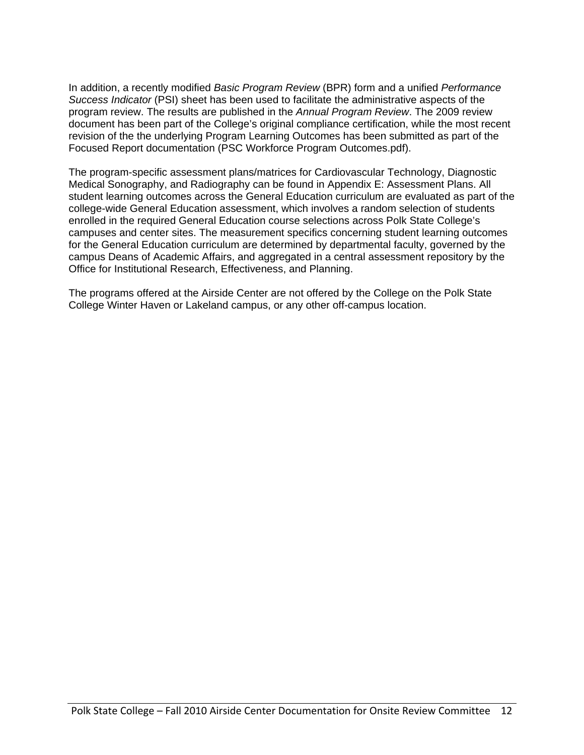In addition, a recently modified *Basic Program Review* (BPR) form and a unified *Performance Success Indicator* (PSI) sheet has been used to facilitate the administrative aspects of the program review. The results are published in the *Annual Program Review*. The 2009 review document has been part of the College's original compliance certification, while the most recent revision of the the underlying Program Learning Outcomes has been submitted as part of the Focused Report documentation (PSC Workforce Program Outcomes.pdf).

The program-specific assessment plans/matrices for Cardiovascular Technology, Diagnostic Medical Sonography, and Radiography can be found in Appendix E: Assessment Plans. All student learning outcomes across the General Education curriculum are evaluated as part of the college-wide General Education assessment, which involves a random selection of students enrolled in the required General Education course selections across Polk State College's campuses and center sites. The measurement specifics concerning student learning outcomes for the General Education curriculum are determined by departmental faculty, governed by the campus Deans of Academic Affairs, and aggregated in a central assessment repository by the Office for Institutional Research, Effectiveness, and Planning.

The programs offered at the Airside Center are not offered by the College on the Polk State College Winter Haven or Lakeland campus, or any other off-campus location.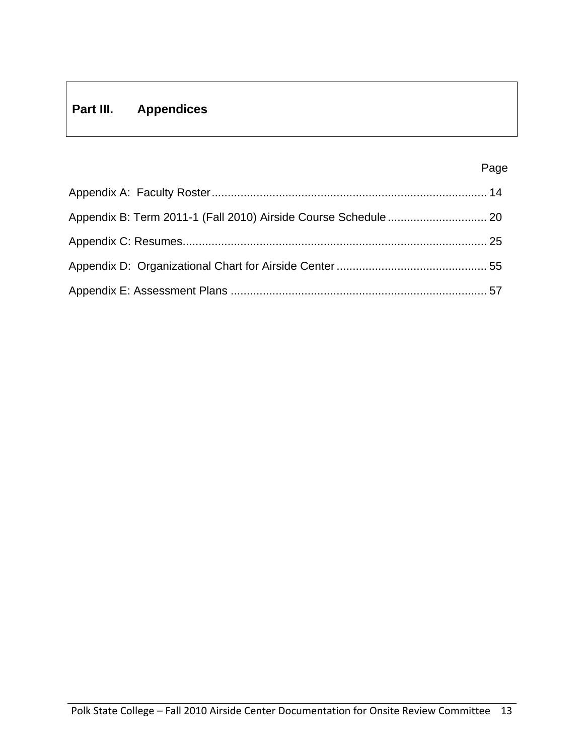## **Part III. Appendices**

#### Page in the contract of the contract of the contract of the contract of the contract of the contract of the contract of the contract of the contract of the contract of the contract of the contract of the contract of the co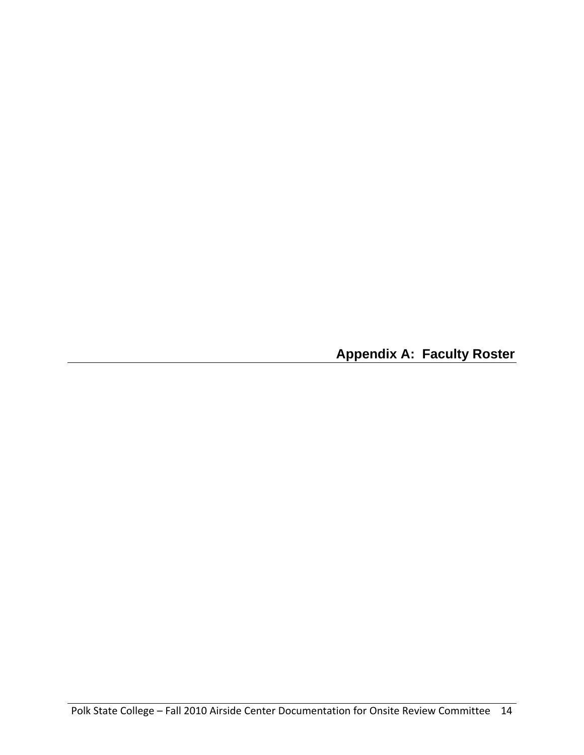**Appendix A: Faculty Roster**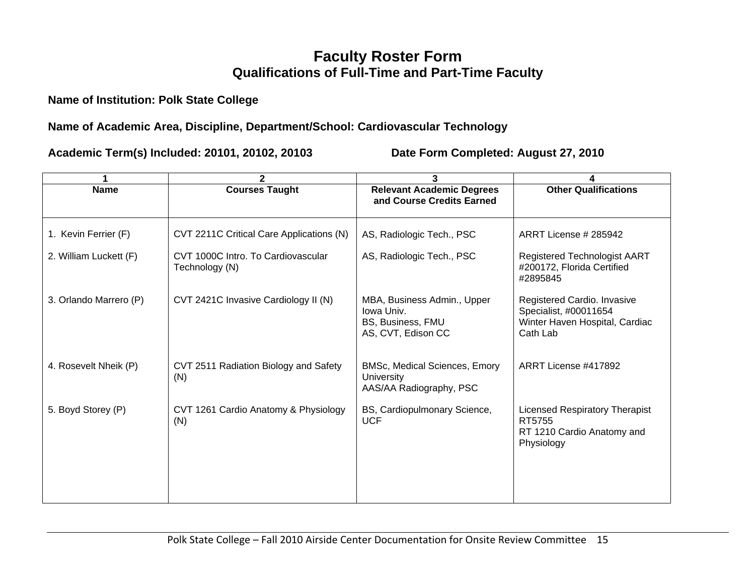## **Faculty Roster Form Qualifications of Full-Time and Part-Time Faculty**

**Name of Institution: Polk State College** 

## **Name of Academic Area, Discipline, Department/School: Cardiovascular Technology**

|                        | $\mathbf{2}$                                         | 3                                                                                    |                                                                                                    |
|------------------------|------------------------------------------------------|--------------------------------------------------------------------------------------|----------------------------------------------------------------------------------------------------|
| <b>Name</b>            | <b>Courses Taught</b>                                | <b>Relevant Academic Degrees</b><br>and Course Credits Earned                        | <b>Other Qualifications</b>                                                                        |
| 1. Kevin Ferrier (F)   | CVT 2211C Critical Care Applications (N)             | AS, Radiologic Tech., PSC                                                            | ARRT License # 285942                                                                              |
| 2. William Luckett (F) | CVT 1000C Intro. To Cardiovascular<br>Technology (N) | AS, Radiologic Tech., PSC                                                            | <b>Registered Technologist AART</b><br>#200172, Florida Certified<br>#2895845                      |
| 3. Orlando Marrero (P) | CVT 2421C Invasive Cardiology II (N)                 | MBA, Business Admin., Upper<br>Iowa Univ.<br>BS, Business, FMU<br>AS, CVT, Edison CC | Registered Cardio. Invasive<br>Specialist, #00011654<br>Winter Haven Hospital, Cardiac<br>Cath Lab |
| 4. Rosevelt Nheik (P)  | CVT 2511 Radiation Biology and Safety<br>(N)         | <b>BMSc, Medical Sciences, Emory</b><br>University<br>AAS/AA Radiography, PSC        | ARRT License #417892                                                                               |
| 5. Boyd Storey (P)     | CVT 1261 Cardio Anatomy & Physiology<br>(N)          | BS, Cardiopulmonary Science,<br><b>UCF</b>                                           | <b>Licensed Respiratory Therapist</b><br>RT5755<br>RT 1210 Cardio Anatomy and<br>Physiology        |
|                        |                                                      |                                                                                      |                                                                                                    |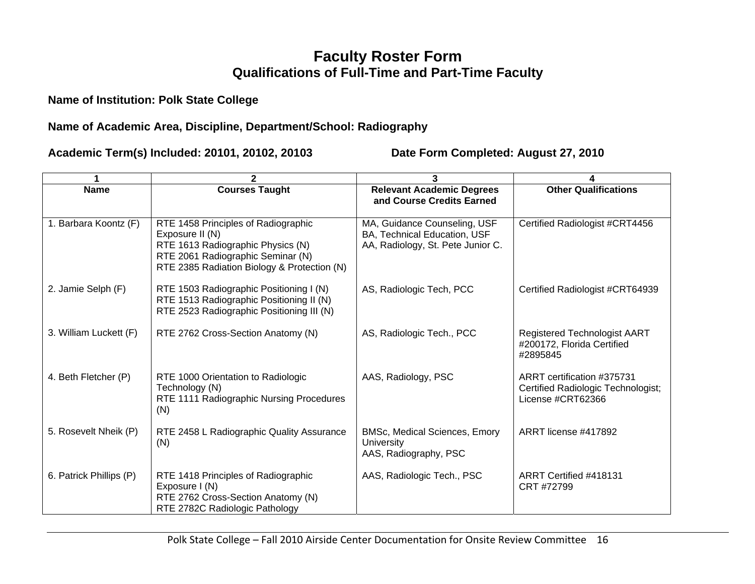## **Faculty Roster Form Qualifications of Full-Time and Part-Time Faculty**

## **Name of Institution: Polk State College**

## **Name of Academic Area, Discipline, Department/School: Radiography**

|                         | $\mathbf{2}$                                                                                                                                                                    | 3                                                                                                 |                                                                                       |
|-------------------------|---------------------------------------------------------------------------------------------------------------------------------------------------------------------------------|---------------------------------------------------------------------------------------------------|---------------------------------------------------------------------------------------|
| <b>Name</b>             | <b>Courses Taught</b>                                                                                                                                                           | <b>Relevant Academic Degrees</b><br>and Course Credits Earned                                     | <b>Other Qualifications</b>                                                           |
| 1. Barbara Koontz (F)   | RTE 1458 Principles of Radiographic<br>Exposure II (N)<br>RTE 1613 Radiographic Physics (N)<br>RTE 2061 Radiographic Seminar (N)<br>RTE 2385 Radiation Biology & Protection (N) | MA, Guidance Counseling, USF<br>BA, Technical Education, USF<br>AA, Radiology, St. Pete Junior C. | Certified Radiologist #CRT4456                                                        |
| 2. Jamie Selph (F)      | RTE 1503 Radiographic Positioning I (N)<br>RTE 1513 Radiographic Positioning II (N)<br>RTE 2523 Radiographic Positioning III (N)                                                | AS, Radiologic Tech, PCC                                                                          | Certified Radiologist #CRT64939                                                       |
| 3. William Luckett (F)  | RTE 2762 Cross-Section Anatomy (N)                                                                                                                                              | AS, Radiologic Tech., PCC                                                                         | <b>Registered Technologist AART</b><br>#200172, Florida Certified<br>#2895845         |
| 4. Beth Fletcher (P)    | RTE 1000 Orientation to Radiologic<br>Technology (N)<br>RTE 1111 Radiographic Nursing Procedures<br>(N)                                                                         | AAS, Radiology, PSC                                                                               | ARRT certification #375731<br>Certified Radiologic Technologist;<br>License #CRT62366 |
| 5. Rosevelt Nheik (P)   | RTE 2458 L Radiographic Quality Assurance<br>(N)                                                                                                                                | <b>BMSc, Medical Sciences, Emory</b><br><b>University</b><br>AAS, Radiography, PSC                | ARRT license #417892                                                                  |
| 6. Patrick Phillips (P) | RTE 1418 Principles of Radiographic<br>Exposure I (N)<br>RTE 2762 Cross-Section Anatomy (N)<br>RTE 2782C Radiologic Pathology                                                   | AAS, Radiologic Tech., PSC                                                                        | ARRT Certified #418131<br>CRT #72799                                                  |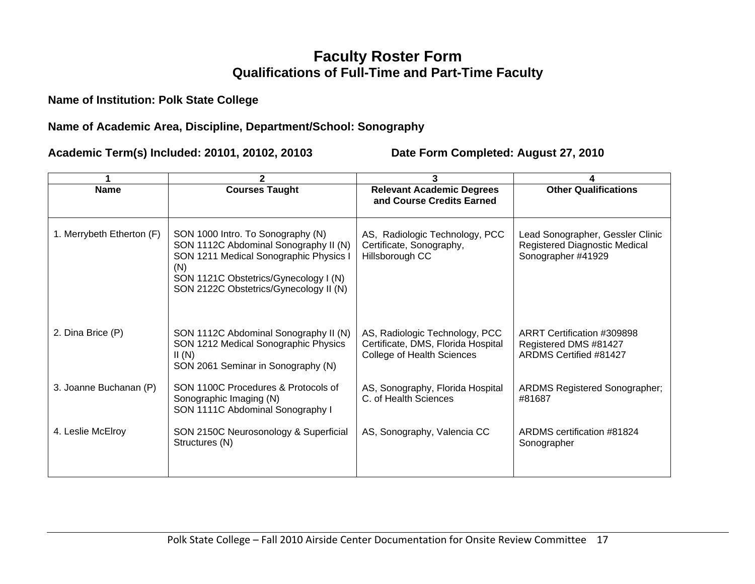## **Faculty Roster Form Qualifications of Full-Time and Part-Time Faculty**

**Name of Institution: Polk State College** 

## **Name of Academic Area, Discipline, Department/School: Sonography**

|                           | 2                                                                                                                                                                                                              | 3                                                                                                         |                                                                                         |  |  |
|---------------------------|----------------------------------------------------------------------------------------------------------------------------------------------------------------------------------------------------------------|-----------------------------------------------------------------------------------------------------------|-----------------------------------------------------------------------------------------|--|--|
| <b>Name</b>               | <b>Courses Taught</b>                                                                                                                                                                                          | <b>Relevant Academic Degrees</b><br>and Course Credits Earned                                             | <b>Other Qualifications</b>                                                             |  |  |
| 1. Merrybeth Etherton (F) | SON 1000 Intro. To Sonography (N)<br>SON 1112C Abdominal Sonography II (N)<br>SON 1211 Medical Sonographic Physics I<br>(N)<br>SON 1121C Obstetrics/Gynecology I (N)<br>SON 2122C Obstetrics/Gynecology II (N) | AS, Radiologic Technology, PCC<br>Certificate, Sonography,<br>Hillsborough CC                             | Lead Sonographer, Gessler Clinic<br>Registered Diagnostic Medical<br>Sonographer #41929 |  |  |
| 2. Dina Brice (P)         | SON 1112C Abdominal Sonography II (N)<br>SON 1212 Medical Sonographic Physics<br>II(N)<br>SON 2061 Seminar in Sonography (N)                                                                                   | AS, Radiologic Technology, PCC<br>Certificate, DMS, Florida Hospital<br><b>College of Health Sciences</b> | ARRT Certification #309898<br>Registered DMS #81427<br>ARDMS Certified #81427           |  |  |
| 3. Joanne Buchanan (P)    | SON 1100C Procedures & Protocols of<br>Sonographic Imaging (N)<br>SON 1111C Abdominal Sonography I                                                                                                             | AS, Sonography, Florida Hospital<br>C. of Health Sciences                                                 | <b>ARDMS Registered Sonographer;</b><br>#81687                                          |  |  |
| 4. Leslie McElroy         | SON 2150C Neurosonology & Superficial<br>Structures (N)                                                                                                                                                        | AS, Sonography, Valencia CC                                                                               | ARDMS certification #81824<br>Sonographer                                               |  |  |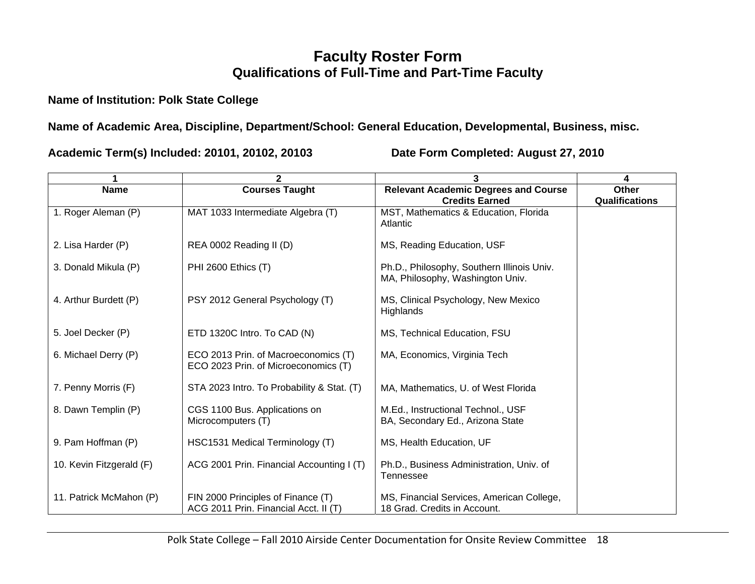## **Faculty Roster Form Qualifications of Full-Time and Part-Time Faculty**

## **Name of Institution: Polk State College**

**Name of Academic Area, Discipline, Department/School: General Education, Developmental, Business, misc.** 

|                          | $\mathbf{2}$                                                                                                 | 3                                                                              | 4                              |
|--------------------------|--------------------------------------------------------------------------------------------------------------|--------------------------------------------------------------------------------|--------------------------------|
| <b>Name</b>              | <b>Courses Taught</b>                                                                                        | <b>Relevant Academic Degrees and Course</b><br><b>Credits Earned</b>           | Other<br><b>Qualifications</b> |
| 1. Roger Aleman (P)      | MAT 1033 Intermediate Algebra (T)                                                                            | MST, Mathematics & Education, Florida<br>Atlantic                              |                                |
| 2. Lisa Harder (P)       | REA 0002 Reading II (D)                                                                                      | MS, Reading Education, USF                                                     |                                |
| 3. Donald Mikula (P)     | PHI 2600 Ethics (T)                                                                                          | Ph.D., Philosophy, Southern Illinois Univ.<br>MA, Philosophy, Washington Univ. |                                |
| 4. Arthur Burdett (P)    | PSY 2012 General Psychology (T)                                                                              | MS, Clinical Psychology, New Mexico<br>Highlands                               |                                |
| 5. Joel Decker (P)       | ETD 1320C Intro. To CAD (N)                                                                                  | MS, Technical Education, FSU                                                   |                                |
| 6. Michael Derry (P)     | ECO 2013 Prin. of Macroeconomics (T)<br>MA, Economics, Virginia Tech<br>ECO 2023 Prin. of Microeconomics (T) |                                                                                |                                |
| 7. Penny Morris (F)      | STA 2023 Intro. To Probability & Stat. (T)                                                                   | MA, Mathematics, U. of West Florida                                            |                                |
| 8. Dawn Templin (P)      | CGS 1100 Bus. Applications on<br>Microcomputers (T)                                                          | M.Ed., Instructional Technol., USF<br>BA, Secondary Ed., Arizona State         |                                |
| 9. Pam Hoffman (P)       | HSC1531 Medical Terminology (T)                                                                              | MS, Health Education, UF                                                       |                                |
| 10. Kevin Fitzgerald (F) | ACG 2001 Prin. Financial Accounting I (T)                                                                    | Ph.D., Business Administration, Univ. of<br>Tennessee                          |                                |
| 11. Patrick McMahon (P)  | FIN 2000 Principles of Finance (T)<br>ACG 2011 Prin. Financial Acct. II (T)                                  | MS, Financial Services, American College,<br>18 Grad. Credits in Account.      |                                |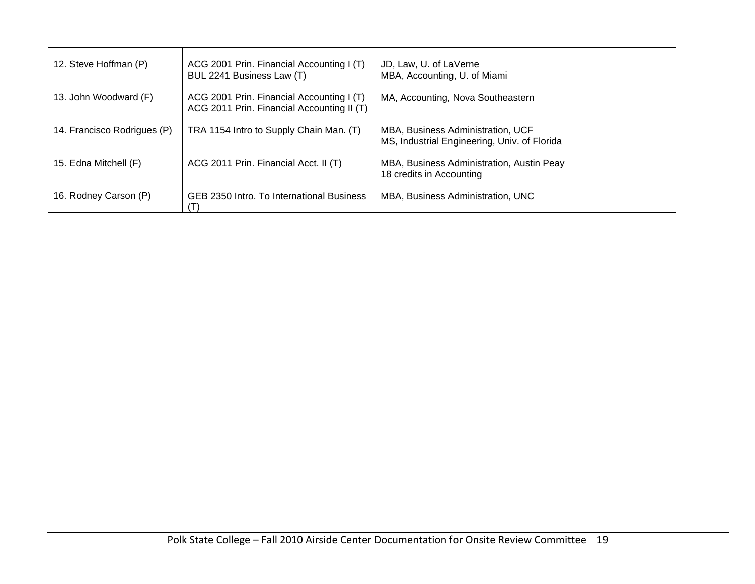| 12. Steve Hoffman (P)       | ACG 2001 Prin. Financial Accounting I (T)<br>BUL 2241 Business Law (T)                  | JD, Law, U. of LaVerne<br>MBA, Accounting, U. of Miami                            |  |
|-----------------------------|-----------------------------------------------------------------------------------------|-----------------------------------------------------------------------------------|--|
| 13. John Woodward (F)       | ACG 2001 Prin. Financial Accounting I (T)<br>ACG 2011 Prin. Financial Accounting II (T) | MA, Accounting, Nova Southeastern                                                 |  |
| 14. Francisco Rodrigues (P) | TRA 1154 Intro to Supply Chain Man. (T)                                                 | MBA, Business Administration, UCF<br>MS, Industrial Engineering, Univ. of Florida |  |
| 15. Edna Mitchell (F)       | ACG 2011 Prin. Financial Acct. II (T)                                                   | MBA, Business Administration, Austin Peay<br>18 credits in Accounting             |  |
| 16. Rodney Carson (P)       | GEB 2350 Intro. To International Business                                               | MBA, Business Administration, UNC                                                 |  |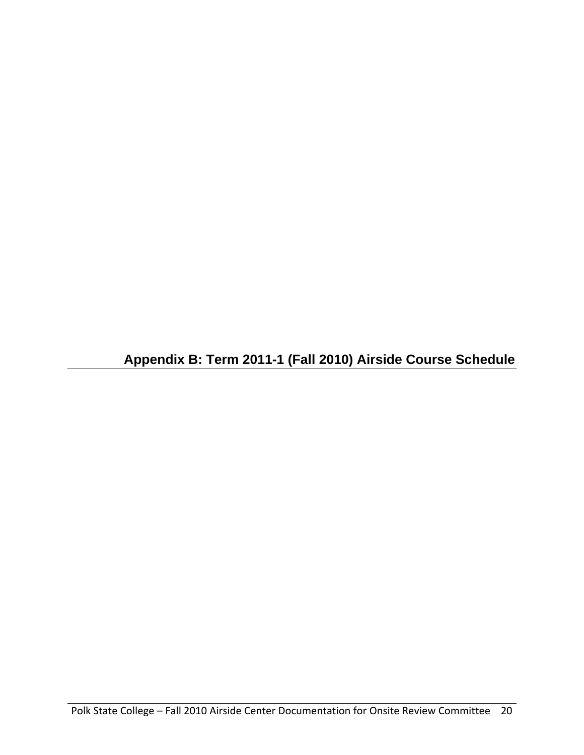**Appendix B: Term 2011-1 (Fall 2010) Airside Course Schedule**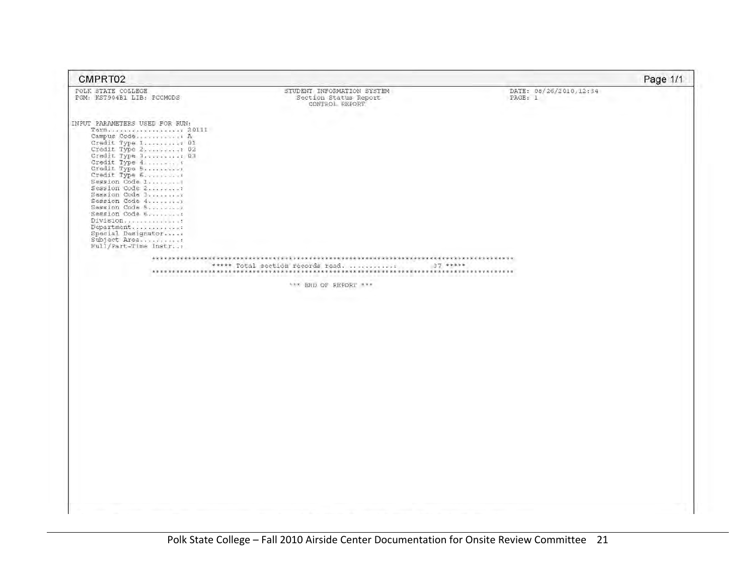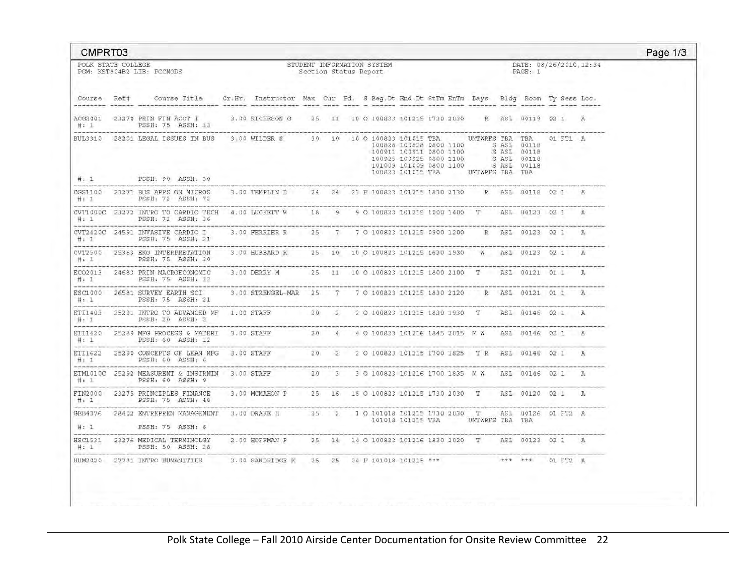| CMPRT03            |                                                                                                                                                                             |                                                                       |  |  |                                                     |  |                                                                                                                                                                                         |                                   |          | Page 1/3 |
|--------------------|-----------------------------------------------------------------------------------------------------------------------------------------------------------------------------|-----------------------------------------------------------------------|--|--|-----------------------------------------------------|--|-----------------------------------------------------------------------------------------------------------------------------------------------------------------------------------------|-----------------------------------|----------|----------|
| POLK STATE COLLEGE | PGM: KST904B2 LIB: PCCMODS                                                                                                                                                  |                                                                       |  |  | STUDENT INFORMATION SYSTEM<br>Section Status Report |  |                                                                                                                                                                                         | DATE: 08/26/2010.12:34<br>PAGE: 1 |          |          |
|                    | Course Ref# Course Title Cr.Hr. Instructor Max Cur Pd. S Beg.Dt End.Dt StTm EnTm Days Bldg Room Ty Sess Loc.                                                                |                                                                       |  |  |                                                     |  |                                                                                                                                                                                         |                                   |          |          |
|                    | ACG2001 23270 PRIN FIN ACCT 1<br>#: 1 PSSH: 75 ASSH: 33                                                                                                                     | 3.00 RICHESON G 25 11 10 0 100823 101215 1730 2030 R ASL 00119 02 1 A |  |  |                                                     |  |                                                                                                                                                                                         |                                   |          |          |
| #: 1               | the contract of the contract of the contract of the contract of the contract of the contract of<br>BUL3310 28201 LEGAL ISSUES IN BUS<br>PSSH: 90 ASSH: 30                   | 3,00 WILDER S 30 10 10 0 100823 101015 TBA UMTWRFS TBA TBA            |  |  |                                                     |  | 100828 100828 0800 1100<br>100911 100911 0800 1100 8 7.85L 00118<br>100925 100925 0800 1100 8 7.85L 00118<br>101009 101009 0800 1100 8 7.85L 00118<br>100623 101015 TBA UMTWRFS TBA TBA |                                   | 01 FT1 A |          |
| #: 1               | CGS1100 23271 BUS APPS ON MICROS 3.00 TEMPLIN D 24 24 23 F 100823 101215 1830 2130 R ASL 00118 02 1 A<br><b>PSSH: 72 ASSH: 72</b>                                           |                                                                       |  |  |                                                     |  |                                                                                                                                                                                         |                                   |          |          |
| #: 1               | CVT1000C 23272 INTRO TO CARDIO TECH 4.00 LUCKETT W 18 9 9 0 100823 101215 1000 1400 T ASL 00123 02 1 A<br>PSSH: 72 ASSH: 36                                                 |                                                                       |  |  |                                                     |  |                                                                                                                                                                                         |                                   |          |          |
|                    | CVT2420C 24591 INVASIVE CARDIO I 3.00 FERRIER R 25 7 7 0 100823 101215 0900 1200 R ASL 00123 02 1 A<br>#: 1 PSSH: 75 ASSH: 21                                               |                                                                       |  |  |                                                     |  |                                                                                                                                                                                         |                                   |          |          |
| #: 1               | CVT2500 25363 EKG INTERPRETATION 3.00 HUBBARD K 25 10 10 0 100823 101215 1630 1930 W ASL 00123 02 1 A<br>PSSH: 75 ASSH: 30                                                  |                                                                       |  |  |                                                     |  |                                                                                                                                                                                         |                                   |          |          |
|                    | ECO2013 24683 PRIN MACROECONOMIC 3.00 DERRY M 25 11 10 0 100823 101215 1800 2100 T ASL 00121 01 1 A<br>and the complete security of the control of the con-                 |                                                                       |  |  |                                                     |  |                                                                                                                                                                                         |                                   |          |          |
| #: 1               | ESC1000 26581 SURVEY EARTH SCI<br>PSSH: 75 ASSH: 21<br>the set of the country company in the set of the country of the country of the country of the country of the country | 3,00 STRENGEL-MAR 25 7 7 0 100823 101215 1830 2120 R ASL 00121 01 1 A |  |  |                                                     |  |                                                                                                                                                                                         |                                   |          |          |
|                    | ETI1403 25291 INTRO TO ADVANCED MF 1.00 STAFF 20 2 20100823 101215 1830 1930 T ASL 00146 02 1 A                                                                             |                                                                       |  |  |                                                     |  |                                                                                                                                                                                         |                                   |          |          |
| #: 1               | ETI1420 25289 MFG PROCESS & MATERI 3.00 STAFF 20 4 4 0 100823 101216 1845 2015 M W ASL 00146 02 1 A<br>PSSH: 60 ASSH: 12                                                    |                                                                       |  |  |                                                     |  |                                                                                                                                                                                         |                                   |          |          |
| #: 1               | ETI1622 25290 CONCEPTS OF LEAN MFG 3.00 STAFF 20 2 2 0 100823 101215 1700 1825 T R ASL 00146 02 1 A<br>PSSH: 60 ASSH: 6                                                     |                                                                       |  |  |                                                     |  |                                                                                                                                                                                         |                                   |          |          |
| $\#$ : $\bot$      | ETM1010C 25292 MEASUREMT & INSTRMIN 3.00 STAFF<br>PSSH: 60 ASSH: 9                                                                                                          |                                                                       |  |  |                                                     |  | 20 3 3 0 100823 101216 1700 1835 M W ASL 00146 02 1 A                                                                                                                                   |                                   |          |          |
| #: 1               | FIN2000 23275 PRINCIPLES FINANCE 3.00 MCMAHON P 25 16 16 0 100823 101215 1730 2030 T ASL 00120 02 1 A<br>PSSH: 75 ASSH: 48                                                  |                                                                       |  |  |                                                     |  |                                                                                                                                                                                         |                                   |          |          |
| #: 1               | GEB4376 28402 ENTREPREN MANAGEMENT 3.00 DRAKE H 35 2 1 0 101018 101215 1730 2030 T ASL 00126 01 FT2 A<br>PSSH: 75 ASSH: 6                                                   |                                                                       |  |  |                                                     |  | 101018 101215 TBA UMTWRFS TBA TBA                                                                                                                                                       |                                   |          |          |
| # : 1              | HSC1531 23276 MEDICAL TERMINOLGY 2.00 HOFFMAN P 25 14 14 0 100823 101216 1830 2020 T ASL 00123 02 1 A<br>PSSH: 50 ASSH: 28                                                  |                                                                       |  |  |                                                     |  |                                                                                                                                                                                         |                                   |          |          |
|                    | HUM2020 27781 INTRO HUMANITIES 3.00 SANDRIDGE K 25 25 24 F 101018 101215 *** *** *** 01 FT2 A                                                                               |                                                                       |  |  |                                                     |  |                                                                                                                                                                                         |                                   |          |          |
|                    |                                                                                                                                                                             |                                                                       |  |  |                                                     |  |                                                                                                                                                                                         |                                   |          |          |
|                    |                                                                                                                                                                             |                                                                       |  |  |                                                     |  |                                                                                                                                                                                         |                                   |          |          |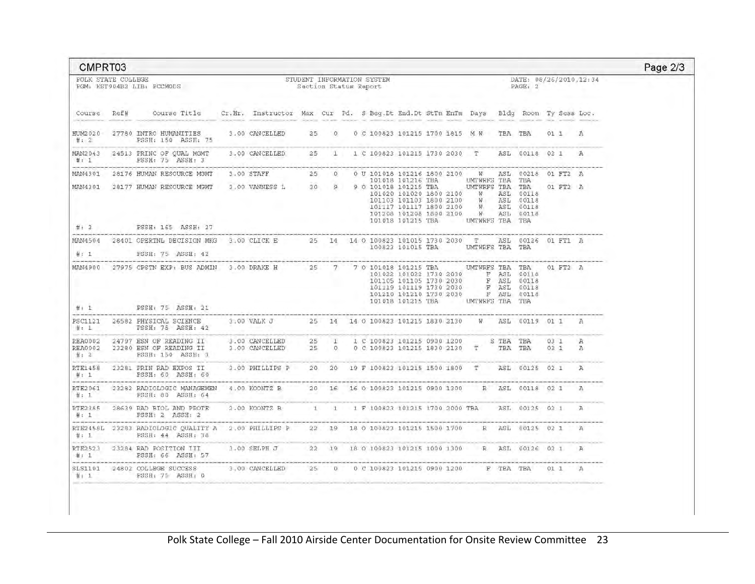| CMPRT03                      |                                                                                                                                                                                                             |                                                                                     |  |  |                                                     |  |                                                                                                                                                                                                                                                                                                                                                            |                                   |                      |                 |
|------------------------------|-------------------------------------------------------------------------------------------------------------------------------------------------------------------------------------------------------------|-------------------------------------------------------------------------------------|--|--|-----------------------------------------------------|--|------------------------------------------------------------------------------------------------------------------------------------------------------------------------------------------------------------------------------------------------------------------------------------------------------------------------------------------------------------|-----------------------------------|----------------------|-----------------|
| POLK STATE COLLEGE           | PGM: KST904B2 LIB: PCCMODS                                                                                                                                                                                  |                                                                                     |  |  | STUDENT INFORMATION SYSTEM<br>Section Status Report |  |                                                                                                                                                                                                                                                                                                                                                            | DATE: 08/26/2010.12:34<br>PAGE: 2 |                      |                 |
|                              | Course Ref# Course Title                                                                                                                                                                                    | Cr.Hr. Instructor Max Cur Pd. S Beq.Dt End.Dt StTm EnTm Days Bldg Room Ty Sess Loc. |  |  |                                                     |  |                                                                                                                                                                                                                                                                                                                                                            |                                   |                      |                 |
| #: 2                         | HUM2020 27780 INTRO HUMANITIES<br>PSSH: 150 ASSH: 75                                                                                                                                                        | 3,00 CANCELLED 25 0 0 C 100823 101215 1700 1815 M W TBA TBA 01 1 A                  |  |  |                                                     |  |                                                                                                                                                                                                                                                                                                                                                            |                                   |                      |                 |
| #: 1                         | MAN2043 24513 PRINC OF QUAL MGMT<br>PSSH: 75 ASSH: 3                                                                                                                                                        | 3.00 CANCELLED                                                                      |  |  |                                                     |  | 25 1 1 C 100823 101215 1730 2030 T ASL 00118 02 1 A                                                                                                                                                                                                                                                                                                        |                                   |                      |                 |
|                              | MAN4301 28176 HUMAN RESOURCE MGMT                                                                                                                                                                           | 3.00 STAFF 25 0 0 U 101018 101216 1800 2100 W ASL 00218 01 FT2 A                    |  |  |                                                     |  |                                                                                                                                                                                                                                                                                                                                                            |                                   |                      |                 |
|                              | MAN4301 28177 HUMAN RESOURCE MGMT                                                                                                                                                                           | 3.00 VANNESS L 30 9                                                                 |  |  |                                                     |  | 101018 101216 TBA UMTWRFS TBA TBA 9 0 101018 101215 TBA UMTWRFS TBA TBA<br>101020 101020 1800 2100 W ASL 00118<br>101103 101103 1800 2100 W ASL 00118<br>101117 101117 1890 2100 W ASL 00118<br>101208 101208 1800 2100 W ASL 00118<br>101018 101215 TBA UMTWRFS TBA TBA                                                                                   |                                   | 01 FT2 A             |                 |
| #: 2<br><b>Service State</b> | PSSH: 165 ASSH: 27                                                                                                                                                                                          |                                                                                     |  |  |                                                     |  |                                                                                                                                                                                                                                                                                                                                                            |                                   |                      |                 |
| #: 1                         | MAN4504 28401 OPERTNL DECISION MKG 3.00 CLICK E 25 14 14 0 100823 101015 1730 2030 T ASL 00126 01 FT1 A<br>PSSH: 75 ASSH: 42                                                                                |                                                                                     |  |  |                                                     |  | 100823 101015 TBA UMTWRFS TBA TBA                                                                                                                                                                                                                                                                                                                          |                                   |                      |                 |
|                              | MAN4900 27975 CPSTN EXP: BUS ADMIN 3.00 DRAKE H 25 7 7 0 101018 101215 TBA UMTWRFS TBA TBA<br>#: 1 PSSH: 75 ASSH: 21                                                                                        |                                                                                     |  |  |                                                     |  | $\begin{array}{cccccc} 1\,0\,1\,0\,2\,2 & 1\,0\,1\,0\,2\,2 & 1\,7\,3\,0 & 2\,0\,3\,0 & \quad & \mathbb{F} & \mathbb{A}\mathbb{S}\,\mathbb{L} & 0\,0\,1\,1\,8 \\ 1\,0\,1\,1\,0\,5 & 1\,0\,1\,1\,0\,5 & 1\,7\,3\,0 & 2\,0\,3\,0 & \quad & \mathbb{F} & \mathbb{A}\mathbb{S}\,\mathbb{L} & 0\,0\,1\,1\,8 \\ \end{array}$<br>101018 101215 TBA UMTWRFS TBA TBA |                                   | 01 FT2 A             |                 |
|                              | PSC1121 26582 PHYSICAL SCIENCE 3.00 VALK J 25 14 14 0 100823 101215 1830 2130 W ASL 00119 01 1 A<br>#: $1$ PSSH: 75 ASSH: 42                                                                                |                                                                                     |  |  |                                                     |  |                                                                                                                                                                                                                                                                                                                                                            |                                   |                      |                 |
| #: 2                         | REA0002 24797 ESN OF READING II 3.00 CANCELLED 25 1 1 C 100823 101215 0900 1200 S TBA TBA<br>REA0002 23280 ESN OF READING II 3.00 CANCELLED 25 0 0 C 100823 101215 1830 2130 T TBA TBA<br>PSSH: 150 ASSH: 3 |                                                                                     |  |  |                                                     |  |                                                                                                                                                                                                                                                                                                                                                            |                                   | $03 \t1 \tA$<br>031A |                 |
| -------                      | RTE1458 23281 PRIN RAD EXPOS II<br>the state of the product of the product of the state of the state of the                                                                                                 | 3.00 PHILLIPS P 20 20 19 F 100823 101215 1500 1800 T ASL 00125 02 1 A               |  |  |                                                     |  |                                                                                                                                                                                                                                                                                                                                                            |                                   |                      |                 |
| #: 1                         | RTE2061 23282 RADIOLOGIC MANAGEMEN 4.00 KOONTZ B 20 16 16 0 100823 101215 0900 1300 R ASL 00118 02 1<br>FSSH: 80 ASSH: 64                                                                                   |                                                                                     |  |  |                                                     |  |                                                                                                                                                                                                                                                                                                                                                            |                                   |                      | $\mathcal{D}_k$ |
|                              | RTE2385 28639 RAD BIOL AND PROTE<br>$\#: 1$ PSSH: 2 ASSH: 2                                                                                                                                                 | 2.00 KOONTZ B 1 1 1 F 100823 101215 1700 2000 TBA ASL 00125 02 1                    |  |  |                                                     |  |                                                                                                                                                                                                                                                                                                                                                            |                                   |                      | A.              |
| 廿: 1                         | RTE2458L 23283 RADIOLOGIC QUALITY A 2,00 PHILLIPS P 22 19 18 0 100823 101215 1500 1700 R ASL 00125 02 1 A<br><b>PSSH: 44 ASSH: 38</b>                                                                       |                                                                                     |  |  |                                                     |  |                                                                                                                                                                                                                                                                                                                                                            |                                   |                      |                 |
| #: 1                         | RTE2523 23284 RAD POSITION III<br>PSSH: 66 ASSH: 57                                                                                                                                                         | 3.00 SELPH J 22 19 18 0 100823 101215 1000 1300 R ASL 00126 02 1 A                  |  |  |                                                     |  |                                                                                                                                                                                                                                                                                                                                                            |                                   |                      |                 |
| #: 1                         | SLS1101 24802 COLLEGE SUCCESS 3,00 CANCELLED 25 0 0 C 100823 101215 0900 1200 F TBA TBA 01 1 A<br>PSSH: 75 ASSH: 0                                                                                          |                                                                                     |  |  |                                                     |  |                                                                                                                                                                                                                                                                                                                                                            |                                   |                      |                 |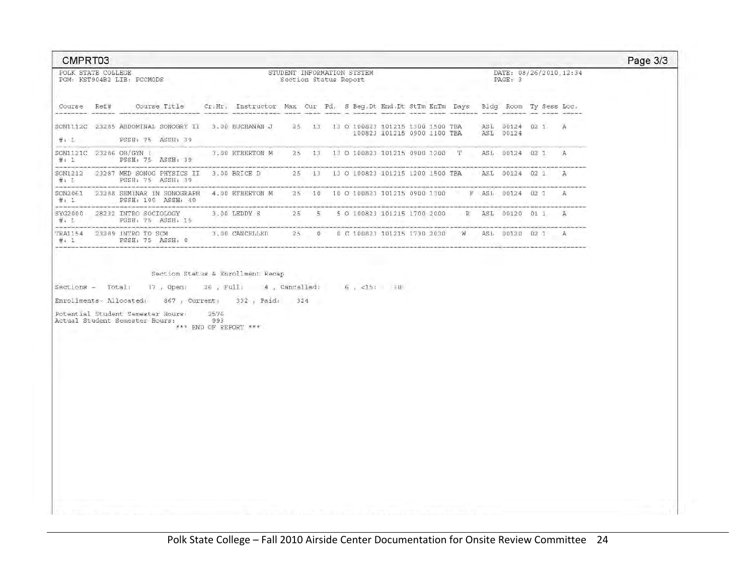Page 3/3 CMPRT03 POLK STATE COLLEGE STUDENT INFORMATION SYSTEM DATE: 08/26/2010, 12:34 PGM: KST904B2 LIB: PCCMODS Section Status Report PAGE: 3 Course Ref# Course Title Cr.Hr. Instructor Max Cur Pd. S Beg, Dt End. Dt StTm EnTm Days Bldg Room Ty Sess Loc. SON1112C 23285 ABDOMINAL SONOGRY II 3.00 BUCHANAN J 25. 13 13 0 100823 101215 1300 1500 TBA ASL 00124 02 1 A #: 1 PSSH: 75 ASSH: 39 Contractor of the company's com-3.00 ETHERTON M 25 13 13 0 100823 101215 0900 1200 T ASL 00124 02 1 A SON1121C 23286 OB/GYN 1  $#: 1$ PSSH: 75 ASSH: 39 SON1212 23287 MED SONOG PHYSICS II 3.00 BRICE D 25 13 13 0 100823 101215 1200 1500 TEA ASL 00124 02 1 A #: 1 PSSH: 75 ASSH: 79 SON2061 23288 SEMINAR IN SONOGRAPH 4.00 ETHERTON M 25 10 10 0 100823 101215 0900 1300 F ASL 00124 02 1 A  $#: 1$ PSSH: 100 ASSH: 40 SYG2000 28232 INTRO SOCIOLOGY 3.00 LEDDY S 25 5 5 0 100823 101215 1700 2000 R ASL 00120 01 1 A<br>#: 1 PSSH: 75 ASSH: 15 an established in TRA1154 23389 INTRO TO SCM 3.00 CANCELLED 25 0 0 C 100823 101215 1730 2030 W ASL 00130 02 1 A<br>
#: 1 PSSH: 75 ASSH: 0 Section Status & Enrollment Recap Sections - Total: 37, Open: 26, Full; 4, Cancelled: 6, <15: 30 Enrollments-Allocated: 867, Current: 332, Paid: 324 Potential Student Semester Hours: 2576 Actual Student Semester Hours: 993 \*\*\* END OF REPORT \*\*\*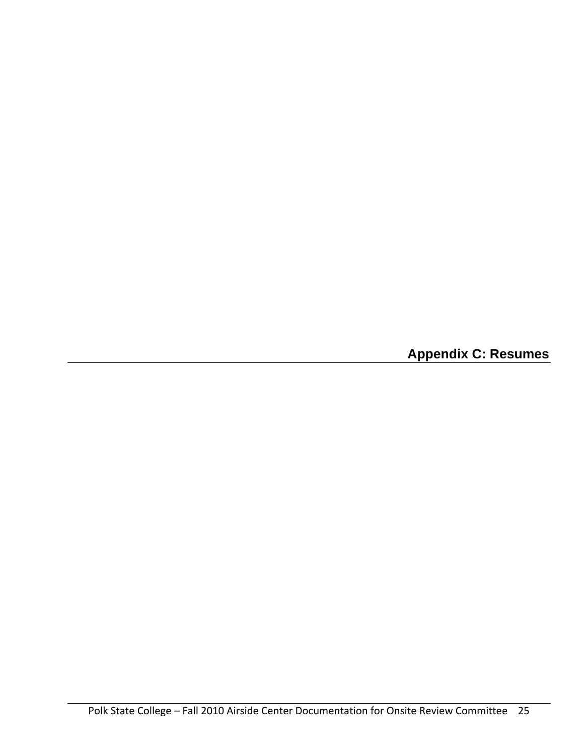**Appendix C: Resumes**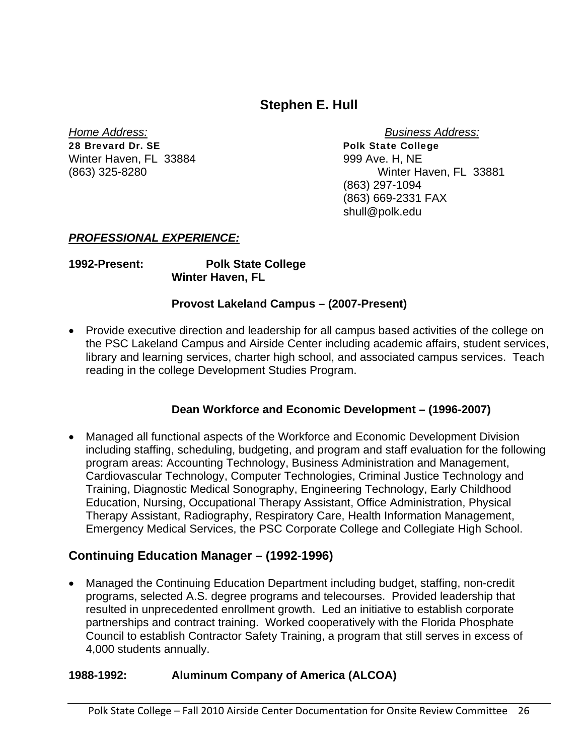## **Stephen E. Hull**

28 Brevard Dr. SE Polk State College Winter Haven, FL 33884 999 Ave. H, NE

*Home Address: Business Address:* (863) 325-8280 Winter Haven, FL 33881 (863) 297-1094 (863) 669-2331 FAX shull@polk.edu

## *PROFESSIONAL EXPERIENCE:*

**1992-Present: Polk State College Winter Haven, FL** 

### **Provost Lakeland Campus – (2007-Present)**

 Provide executive direction and leadership for all campus based activities of the college on the PSC Lakeland Campus and Airside Center including academic affairs, student services, library and learning services, charter high school, and associated campus services. Teach reading in the college Development Studies Program.

## **Dean Workforce and Economic Development – (1996-2007)**

 Managed all functional aspects of the Workforce and Economic Development Division including staffing, scheduling, budgeting, and program and staff evaluation for the following program areas: Accounting Technology, Business Administration and Management, Cardiovascular Technology, Computer Technologies, Criminal Justice Technology and Training, Diagnostic Medical Sonography, Engineering Technology, Early Childhood Education, Nursing, Occupational Therapy Assistant, Office Administration, Physical Therapy Assistant, Radiography, Respiratory Care, Health Information Management, Emergency Medical Services, the PSC Corporate College and Collegiate High School.

## **Continuing Education Manager – (1992-1996)**

 Managed the Continuing Education Department including budget, staffing, non-credit programs, selected A.S. degree programs and telecourses. Provided leadership that resulted in unprecedented enrollment growth. Led an initiative to establish corporate partnerships and contract training. Worked cooperatively with the Florida Phosphate Council to establish Contractor Safety Training, a program that still serves in excess of 4,000 students annually.

## **1988-1992: Aluminum Company of America (ALCOA)**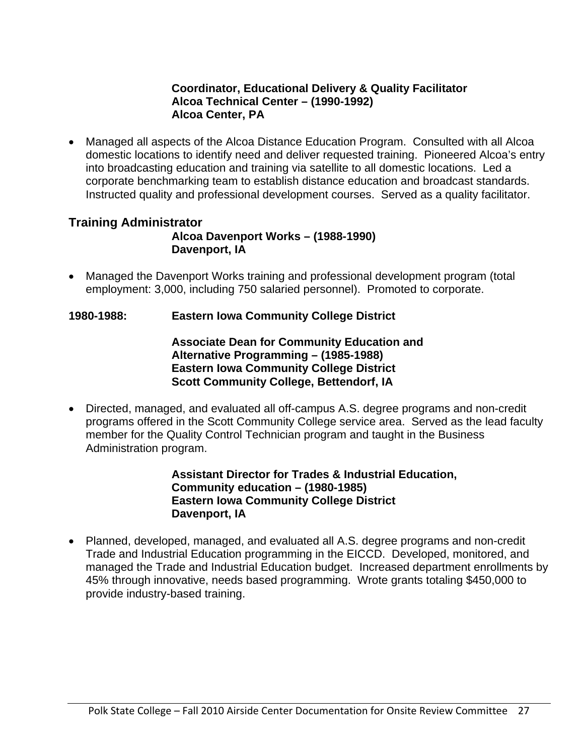### **Coordinator, Educational Delivery & Quality Facilitator Alcoa Technical Center – (1990-1992) Alcoa Center, PA**

 Managed all aspects of the Alcoa Distance Education Program. Consulted with all Alcoa domestic locations to identify need and deliver requested training. Pioneered Alcoa's entry into broadcasting education and training via satellite to all domestic locations. Led a corporate benchmarking team to establish distance education and broadcast standards. Instructed quality and professional development courses. Served as a quality facilitator.

## **Training Administrator**

**Alcoa Davenport Works – (1988-1990) Davenport, IA** 

 Managed the Davenport Works training and professional development program (total employment: 3,000, including 750 salaried personnel). Promoted to corporate.

## **1980-1988: Eastern Iowa Community College District**

#### **Associate Dean for Community Education and Alternative Programming – (1985-1988) Eastern Iowa Community College District Scott Community College, Bettendorf, IA**

 Directed, managed, and evaluated all off-campus A.S. degree programs and non-credit programs offered in the Scott Community College service area. Served as the lead faculty member for the Quality Control Technician program and taught in the Business Administration program.

#### **Assistant Director for Trades & Industrial Education, Community education – (1980-1985) Eastern Iowa Community College District Davenport, IA**

 Planned, developed, managed, and evaluated all A.S. degree programs and non-credit Trade and Industrial Education programming in the EICCD. Developed, monitored, and managed the Trade and Industrial Education budget. Increased department enrollments by 45% through innovative, needs based programming. Wrote grants totaling \$450,000 to provide industry-based training.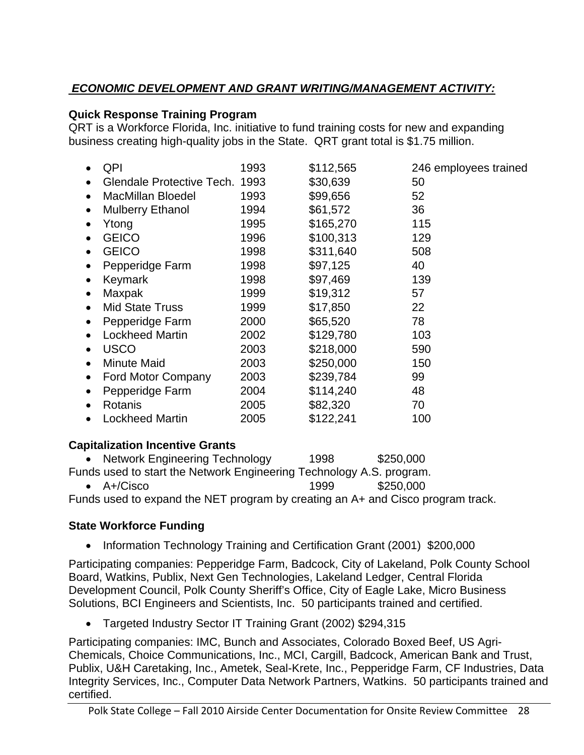## *ECONOMIC DEVELOPMENT AND GRANT WRITING/MANAGEMENT ACTIVITY:*

## **Quick Response Training Program**

QRT is a Workforce Florida, Inc. initiative to fund training costs for new and expanding business creating high-quality jobs in the State. QRT grant total is \$1.75 million.

|           | QPI                       | 1993 | \$112,565 | 246 employees trained |
|-----------|---------------------------|------|-----------|-----------------------|
| $\bullet$ | Glendale Protective Tech. | 1993 | \$30,639  | 50                    |
| $\bullet$ | <b>MacMillan Bloedel</b>  | 1993 | \$99,656  | 52                    |
| $\bullet$ | <b>Mulberry Ethanol</b>   | 1994 | \$61,572  | 36                    |
|           | Ytong                     | 1995 | \$165,270 | 115                   |
|           | <b>GEICO</b>              | 1996 | \$100,313 | 129                   |
| $\bullet$ | <b>GEICO</b>              | 1998 | \$311,640 | 508                   |
|           | Pepperidge Farm           | 1998 | \$97,125  | 40                    |
| $\bullet$ | Keymark                   | 1998 | \$97,469  | 139                   |
|           | Maxpak                    | 1999 | \$19,312  | 57                    |
| $\bullet$ | <b>Mid State Truss</b>    | 1999 | \$17,850  | 22                    |
|           | Pepperidge Farm           | 2000 | \$65,520  | 78                    |
|           | <b>Lockheed Martin</b>    | 2002 | \$129,780 | 103                   |
| $\bullet$ | <b>USCO</b>               | 2003 | \$218,000 | 590                   |
| $\bullet$ | <b>Minute Maid</b>        | 2003 | \$250,000 | 150                   |
|           | <b>Ford Motor Company</b> | 2003 | \$239,784 | 99                    |
|           | Pepperidge Farm           | 2004 | \$114,240 | 48                    |
|           | Rotanis                   | 2005 | \$82,320  | 70                    |
|           | <b>Lockheed Martin</b>    | 2005 | \$122,241 | 100                   |

## **Capitalization Incentive Grants**

| • Network Engineering Technology                                     | 1998 | \$250,000 |
|----------------------------------------------------------------------|------|-----------|
| Funds used to start the Network Engineering Technology A.S. program. |      |           |
| $\bullet$ A+/Cisco                                                   | 1999 | \$250,000 |

Funds used to expand the NET program by creating an A+ and Cisco program track.

## **State Workforce Funding**

• Information Technology Training and Certification Grant (2001) \$200,000

Participating companies: Pepperidge Farm, Badcock, City of Lakeland, Polk County School Board, Watkins, Publix, Next Gen Technologies, Lakeland Ledger, Central Florida Development Council, Polk County Sheriff's Office, City of Eagle Lake, Micro Business Solutions, BCI Engineers and Scientists, Inc. 50 participants trained and certified.

Targeted Industry Sector IT Training Grant (2002) \$294,315

Participating companies: IMC, Bunch and Associates, Colorado Boxed Beef, US Agri-Chemicals, Choice Communications, Inc., MCI, Cargill, Badcock, American Bank and Trust, Publix, U&H Caretaking, Inc., Ametek, Seal-Krete, Inc., Pepperidge Farm, CF Industries, Data Integrity Services, Inc., Computer Data Network Partners, Watkins. 50 participants trained and certified.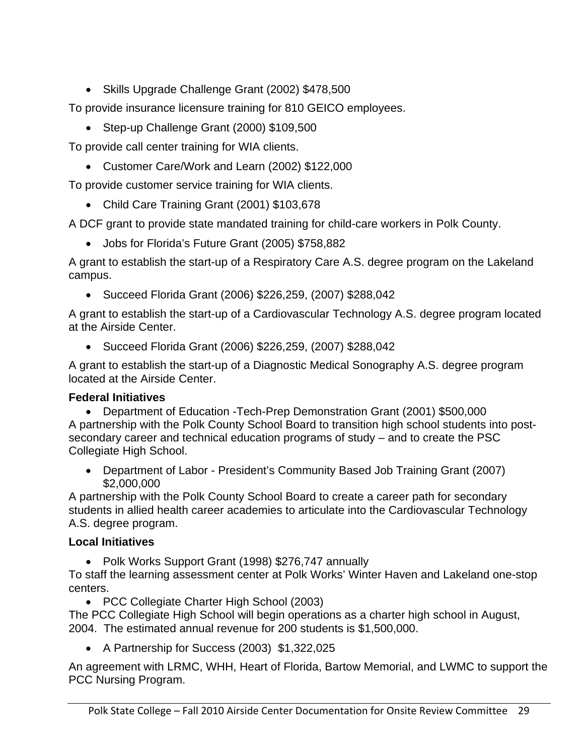Skills Upgrade Challenge Grant (2002) \$478,500

To provide insurance licensure training for 810 GEICO employees.

• Step-up Challenge Grant (2000) \$109,500

To provide call center training for WIA clients.

Customer Care/Work and Learn (2002) \$122,000

To provide customer service training for WIA clients.

Child Care Training Grant (2001) \$103,678

A DCF grant to provide state mandated training for child-care workers in Polk County.

Jobs for Florida's Future Grant (2005) \$758,882

A grant to establish the start-up of a Respiratory Care A.S. degree program on the Lakeland campus.

Succeed Florida Grant (2006) \$226,259, (2007) \$288,042

A grant to establish the start-up of a Cardiovascular Technology A.S. degree program located at the Airside Center.

Succeed Florida Grant (2006) \$226,259, (2007) \$288,042

A grant to establish the start-up of a Diagnostic Medical Sonography A.S. degree program located at the Airside Center.

## **Federal Initiatives**

 Department of Education -Tech-Prep Demonstration Grant (2001) \$500,000 A partnership with the Polk County School Board to transition high school students into postsecondary career and technical education programs of study – and to create the PSC Collegiate High School.

 Department of Labor - President's Community Based Job Training Grant (2007) \$2,000,000

A partnership with the Polk County School Board to create a career path for secondary students in allied health career academies to articulate into the Cardiovascular Technology A.S. degree program.

## **Local Initiatives**

• Polk Works Support Grant (1998) \$276,747 annually

To staff the learning assessment center at Polk Works' Winter Haven and Lakeland one-stop centers.

• PCC Collegiate Charter High School (2003)

The PCC Collegiate High School will begin operations as a charter high school in August, 2004. The estimated annual revenue for 200 students is \$1,500,000.

A Partnership for Success (2003) \$1,322,025

An agreement with LRMC, WHH, Heart of Florida, Bartow Memorial, and LWMC to support the PCC Nursing Program.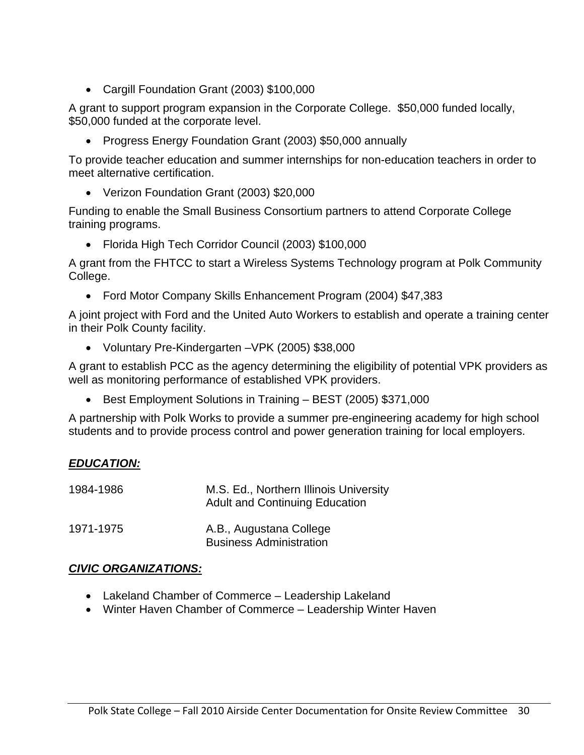Cargill Foundation Grant (2003) \$100,000

A grant to support program expansion in the Corporate College. \$50,000 funded locally, \$50,000 funded at the corporate level.

Progress Energy Foundation Grant (2003) \$50,000 annually

To provide teacher education and summer internships for non-education teachers in order to meet alternative certification.

Verizon Foundation Grant (2003) \$20,000

Funding to enable the Small Business Consortium partners to attend Corporate College training programs.

Florida High Tech Corridor Council (2003) \$100,000

A grant from the FHTCC to start a Wireless Systems Technology program at Polk Community College.

Ford Motor Company Skills Enhancement Program (2004) \$47,383

A joint project with Ford and the United Auto Workers to establish and operate a training center in their Polk County facility.

Voluntary Pre-Kindergarten –VPK (2005) \$38,000

A grant to establish PCC as the agency determining the eligibility of potential VPK providers as well as monitoring performance of established VPK providers.

Best Employment Solutions in Training – BEST (2005) \$371,000

A partnership with Polk Works to provide a summer pre-engineering academy for high school students and to provide process control and power generation training for local employers.

## *EDUCATION:*

| 1984-1986 | M.S. Ed., Northern Illinois University<br><b>Adult and Continuing Education</b> |
|-----------|---------------------------------------------------------------------------------|
| 1971-1975 | A.B., Augustana College<br><b>Business Administration</b>                       |

## *CIVIC ORGANIZATIONS:*

- Lakeland Chamber of Commerce Leadership Lakeland
- Winter Haven Chamber of Commerce Leadership Winter Haven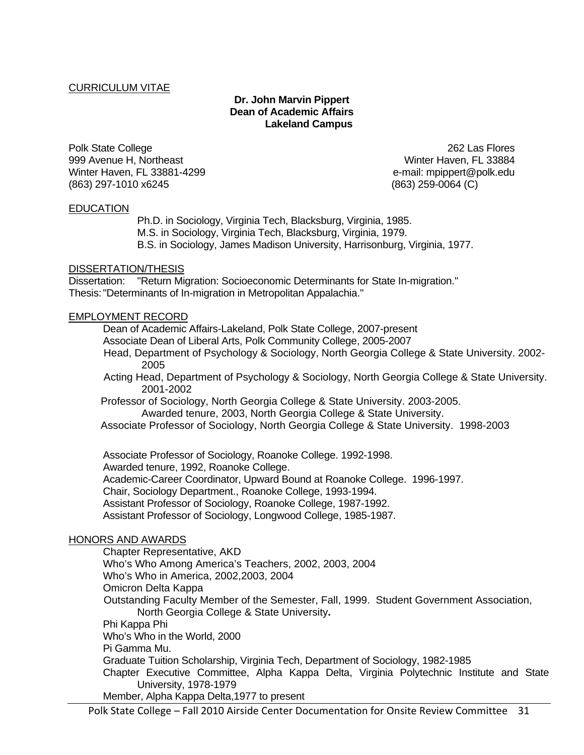#### CURRICULUM VITAE

#### **Dr. John Marvin Pippert Dean of Academic Affairs Lakeland Campus**

Polk State College 262 Las Flores 999 Avenue H, Northeast Winter Haven, FL 33884 Winter Haven, FL 33881-4299 e-mail: mpippert@polk.edu (863) 297-1010 x6245 (863) 259-0064 (C)

#### EDUCATION

 Ph.D. in Sociology, Virginia Tech, Blacksburg, Virginia, 1985. M.S. in Sociology, Virginia Tech, Blacksburg, Virginia, 1979. B.S. in Sociology, James Madison University, Harrisonburg, Virginia, 1977.

#### DISSERTATION/THESIS

Dissertation: "Return Migration: Socioeconomic Determinants for State In-migration." Thesis: "Determinants of In-migration in Metropolitan Appalachia."

#### EMPLOYMENT RECORD

Dean of Academic Affairs-Lakeland, Polk State College, 2007-present

Associate Dean of Liberal Arts, Polk Community College, 2005-2007

 Head, Department of Psychology & Sociology, North Georgia College & State University. 2002- 2005

 Acting Head, Department of Psychology & Sociology, North Georgia College & State University. 2001-2002

 Professor of Sociology, North Georgia College & State University. 2003-2005. Awarded tenure, 2003, North Georgia College & State University.

Associate Professor of Sociology, North Georgia College & State University. 1998-2003

 Associate Professor of Sociology, Roanoke College. 1992-1998. Awarded tenure, 1992, Roanoke College. Academic-Career Coordinator, Upward Bound at Roanoke College. 1996-1997. Chair, Sociology Department., Roanoke College, 1993-1994. Assistant Professor of Sociology, Roanoke College, 1987-1992. Assistant Professor of Sociology, Longwood College, 1985-1987.

#### HONORS AND AWARDS

Chapter Representative, AKD Who's Who Among America's Teachers, 2002, 2003, 2004 Who's Who in America, 2002,2003, 2004 Omicron Delta Kappa Outstanding Faculty Member of the Semester, Fall, 1999. Student Government Association, North Georgia College & State University**.** Phi Kappa Phi Who's Who in the World, 2000 Pi Gamma Mu. Graduate Tuition Scholarship, Virginia Tech, Department of Sociology, 1982-1985 Chapter Executive Committee, Alpha Kappa Delta, Virginia Polytechnic Institute and State University, 1978-1979 Member, Alpha Kappa Delta,1977 to present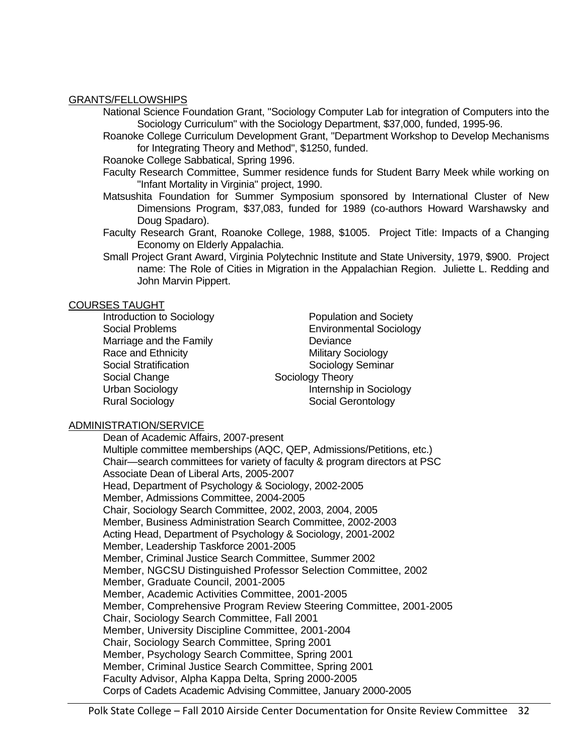#### GRANTS/FELLOWSHIPS

National Science Foundation Grant, "Sociology Computer Lab for integration of Computers into the Sociology Curriculum" with the Sociology Department, \$37,000, funded, 1995-96.

 Roanoke College Curriculum Development Grant, "Department Workshop to Develop Mechanisms for Integrating Theory and Method", \$1250, funded.

Roanoke College Sabbatical, Spring 1996.

 Faculty Research Committee, Summer residence funds for Student Barry Meek while working on "Infant Mortality in Virginia" project, 1990.

- Matsushita Foundation for Summer Symposium sponsored by International Cluster of New Dimensions Program, \$37,083, funded for 1989 (co-authors Howard Warshawsky and Doug Spadaro).
- Faculty Research Grant, Roanoke College, 1988, \$1005. Project Title: Impacts of a Changing Economy on Elderly Appalachia.
- Small Project Grant Award, Virginia Polytechnic Institute and State University, 1979, \$900. Project name: The Role of Cities in Migration in the Appalachian Region. Juliette L. Redding and John Marvin Pippert.

#### COURSES TAUGHT

Marriage and the Family **Example 20** Deviance Race and Ethnicity Military Sociology Social Stratification Sociology Seminar Social Change Sociology Theory Rural Sociology **Social Gerontology Social Gerontology** 

Introduction to Sociology **Population and Society** Social Problems **Environmental Sociology** Urban Sociology **Internship in Sociology** 

#### ADMINISTRATION/SERVICE

 Dean of Academic Affairs, 2007-present Multiple committee memberships (AQC, QEP, Admissions/Petitions, etc.) Chair—search committees for variety of faculty & program directors at PSC Associate Dean of Liberal Arts, 2005-2007 Head, Department of Psychology & Sociology, 2002-2005 Member, Admissions Committee, 2004-2005 Chair, Sociology Search Committee, 2002, 2003, 2004, 2005 Member, Business Administration Search Committee, 2002-2003 Acting Head, Department of Psychology & Sociology, 2001-2002 Member, Leadership Taskforce 2001-2005 Member, Criminal Justice Search Committee, Summer 2002 Member, NGCSU Distinguished Professor Selection Committee, 2002 Member, Graduate Council, 2001-2005 Member, Academic Activities Committee, 2001-2005 Member, Comprehensive Program Review Steering Committee, 2001-2005 Chair, Sociology Search Committee, Fall 2001 Member, University Discipline Committee, 2001-2004 Chair, Sociology Search Committee, Spring 2001 Member, Psychology Search Committee, Spring 2001 Member, Criminal Justice Search Committee, Spring 2001 Faculty Advisor, Alpha Kappa Delta, Spring 2000-2005 Corps of Cadets Academic Advising Committee, January 2000-2005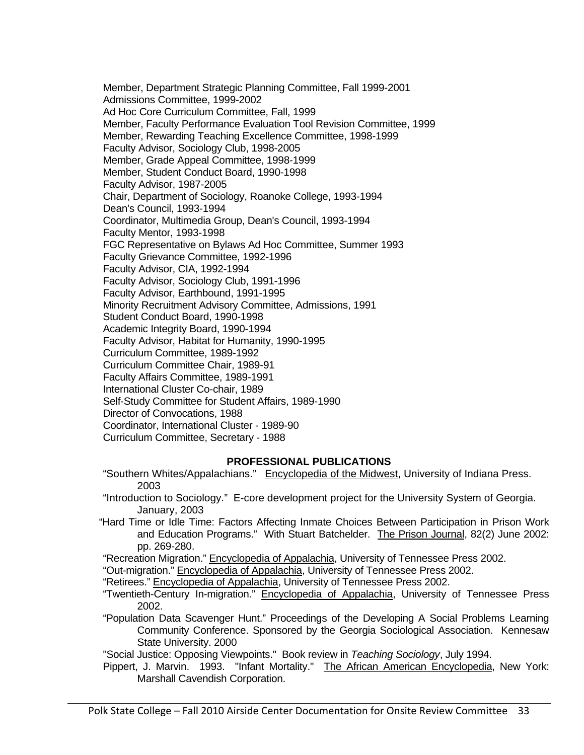Member, Department Strategic Planning Committee, Fall 1999-2001 Admissions Committee, 1999-2002 Ad Hoc Core Curriculum Committee, Fall, 1999 Member, Faculty Performance Evaluation Tool Revision Committee, 1999 Member, Rewarding Teaching Excellence Committee, 1998-1999 Faculty Advisor, Sociology Club, 1998-2005 Member, Grade Appeal Committee, 1998-1999 Member, Student Conduct Board, 1990-1998 Faculty Advisor, 1987-2005 Chair, Department of Sociology, Roanoke College, 1993-1994 Dean's Council, 1993-1994 Coordinator, Multimedia Group, Dean's Council, 1993-1994 Faculty Mentor, 1993-1998 FGC Representative on Bylaws Ad Hoc Committee, Summer 1993 Faculty Grievance Committee, 1992-1996 Faculty Advisor, CIA, 1992-1994 Faculty Advisor, Sociology Club, 1991-1996 Faculty Advisor, Earthbound, 1991-1995 Minority Recruitment Advisory Committee, Admissions, 1991 Student Conduct Board, 1990-1998 Academic Integrity Board, 1990-1994 Faculty Advisor, Habitat for Humanity, 1990-1995 Curriculum Committee, 1989-1992 Curriculum Committee Chair, 1989-91 Faculty Affairs Committee, 1989-1991 International Cluster Co-chair, 1989 Self-Study Committee for Student Affairs, 1989-1990 Director of Convocations, 1988 Coordinator, International Cluster - 1989-90

Curriculum Committee, Secretary - 1988

#### **PROFESSIONAL PUBLICATIONS**

- "Southern Whites/Appalachians." Encyclopedia of the Midwest, University of Indiana Press. 2003
- "Introduction to Sociology." E-core development project for the University System of Georgia. January, 2003
- "Hard Time or Idle Time: Factors Affecting Inmate Choices Between Participation in Prison Work and Education Programs." With Stuart Batchelder. The Prison Journal, 82(2) June 2002: pp. 269-280.
- "Recreation Migration." Encyclopedia of Appalachia, University of Tennessee Press 2002.

"Out-migration." Encyclopedia of Appalachia, University of Tennessee Press 2002.

"Retirees." Encyclopedia of Appalachia, University of Tennessee Press 2002.

- "Twentieth-Century In-migration." Encyclopedia of Appalachia, University of Tennessee Press 2002.
- "Population Data Scavenger Hunt." Proceedings of the Developing A Social Problems Learning Community Conference. Sponsored by the Georgia Sociological Association. Kennesaw State University. 2000

"Social Justice: Opposing Viewpoints." Book review in *Teaching Sociology*, July 1994.

 Pippert, J. Marvin. 1993. "Infant Mortality." The African American Encyclopedia, New York: Marshall Cavendish Corporation.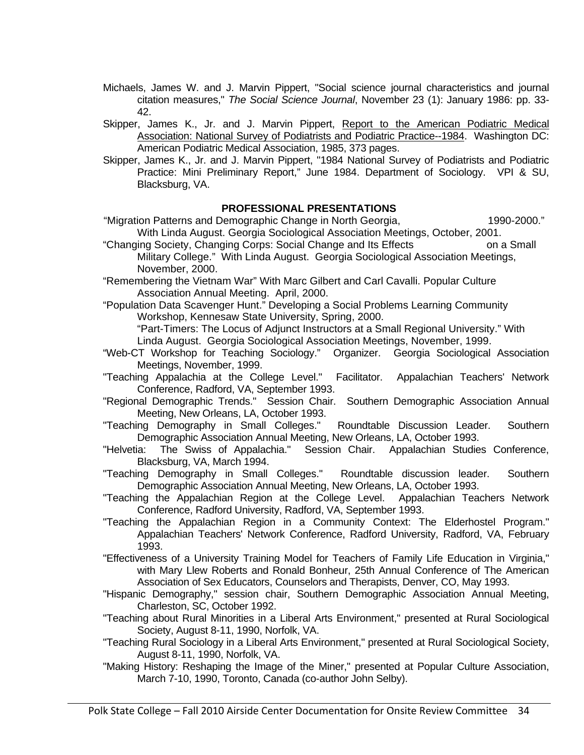- Michaels, James W. and J. Marvin Pippert, "Social science journal characteristics and journal citation measures," *The Social Science Journal*, November 23 (1): January 1986: pp. 33- 42.
- Skipper, James K., Jr. and J. Marvin Pippert, Report to the American Podiatric Medical Association: National Survey of Podiatrists and Podiatric Practice--1984. Washington DC: American Podiatric Medical Association, 1985, 373 pages.
- Skipper, James K., Jr. and J. Marvin Pippert, "1984 National Survey of Podiatrists and Podiatric Practice: Mini Preliminary Report," June 1984. Department of Sociology. VPI & SU, Blacksburg, VA.

#### **PROFESSIONAL PRESENTATIONS**

- "Migration Patterns and Demographic Change in North Georgia, 1990-2000." With Linda August. Georgia Sociological Association Meetings, October, 2001.
- "Changing Society, Changing Corps: Social Change and Its Effects on a Small Military College." With Linda August. Georgia Sociological Association Meetings, November, 2000.
- "Remembering the Vietnam War" With Marc Gilbert and Carl Cavalli. Popular Culture Association Annual Meeting. April, 2000.
- "Population Data Scavenger Hunt." Developing a Social Problems Learning Community Workshop, Kennesaw State University, Spring, 2000.

 "Part-Timers: The Locus of Adjunct Instructors at a Small Regional University." With Linda August. Georgia Sociological Association Meetings, November, 1999.

- "Web-CT Workshop for Teaching Sociology." Organizer. Georgia Sociological Association Meetings, November, 1999.
- "Teaching Appalachia at the College Level." Facilitator. Appalachian Teachers' Network Conference, Radford, VA, September 1993.
- "Regional Demographic Trends." Session Chair. Southern Demographic Association Annual Meeting, New Orleans, LA, October 1993.
- "Teaching Demography in Small Colleges." Roundtable Discussion Leader. Southern Demographic Association Annual Meeting, New Orleans, LA, October 1993.
- "Helvetia: The Swiss of Appalachia." Session Chair. Appalachian Studies Conference, Blacksburg, VA, March 1994.
- "Teaching Demography in Small Colleges." Roundtable discussion leader. Southern Demographic Association Annual Meeting, New Orleans, LA, October 1993.
- "Teaching the Appalachian Region at the College Level. Appalachian Teachers Network Conference, Radford University, Radford, VA, September 1993.
- "Teaching the Appalachian Region in a Community Context: The Elderhostel Program." Appalachian Teachers' Network Conference, Radford University, Radford, VA, February 1993.
- "Effectiveness of a University Training Model for Teachers of Family Life Education in Virginia," with Mary Llew Roberts and Ronald Bonheur, 25th Annual Conference of The American Association of Sex Educators, Counselors and Therapists, Denver, CO, May 1993.
- "Hispanic Demography," session chair, Southern Demographic Association Annual Meeting, Charleston, SC, October 1992.
- "Teaching about Rural Minorities in a Liberal Arts Environment," presented at Rural Sociological Society, August 8-11, 1990, Norfolk, VA.
- "Teaching Rural Sociology in a Liberal Arts Environment," presented at Rural Sociological Society, August 8-11, 1990, Norfolk, VA.
- "Making History: Reshaping the Image of the Miner," presented at Popular Culture Association, March 7-10, 1990, Toronto, Canada (co-author John Selby).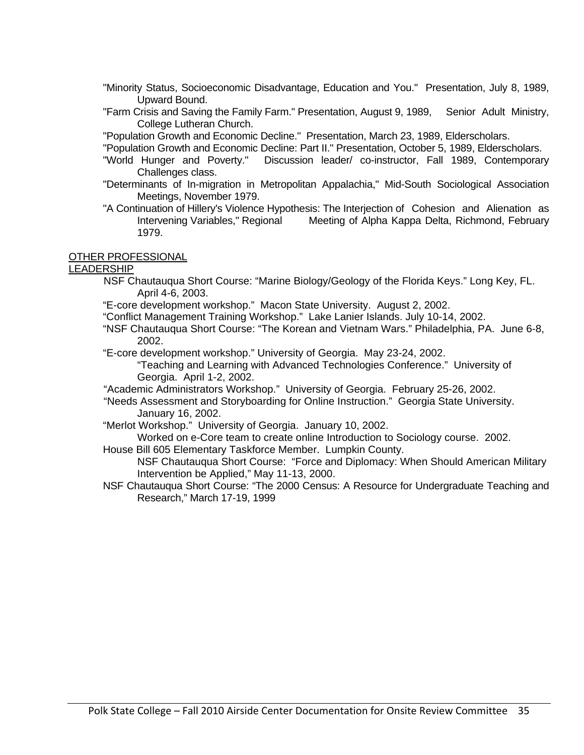- "Minority Status, Socioeconomic Disadvantage, Education and You." Presentation, July 8, 1989, Upward Bound.
- "Farm Crisis and Saving the Family Farm." Presentation, August 9, 1989, Senior Adult Ministry, College Lutheran Church.

"Population Growth and Economic Decline." Presentation, March 23, 1989, Elderscholars.

- "Population Growth and Economic Decline: Part II." Presentation, October 5, 1989, Elderscholars.
- "World Hunger and Poverty." Discussion leader/ co-instructor, Fall 1989, Contemporary Challenges class.
- "Determinants of In-migration in Metropolitan Appalachia," Mid-South Sociological Association Meetings, November 1979.
- "A Continuation of Hillery's Violence Hypothesis: The Interjection of Cohesion and Alienation as Intervening Variables," Regional Meeting of Alpha Kappa Delta, Richmond, February 1979.

#### OTHER PROFESSIONAL

#### LEADERSHIP

- NSF Chautauqua Short Course: "Marine Biology/Geology of the Florida Keys." Long Key, FL. April 4-6, 2003.
- "E-core development workshop." Macon State University. August 2, 2002.
- "Conflict Management Training Workshop." Lake Lanier Islands. July 10-14, 2002.
- "NSF Chautauqua Short Course: "The Korean and Vietnam Wars." Philadelphia, PA. June 6-8, 2002.
- "E-core development workshop." University of Georgia. May 23-24, 2002.
	- "Teaching and Learning with Advanced Technologies Conference." University of Georgia. April 1-2, 2002.
- "Academic Administrators Workshop." University of Georgia. February 25-26, 2002.
- "Needs Assessment and Storyboarding for Online Instruction." Georgia State University. January 16, 2002.
- "Merlot Workshop." University of Georgia. January 10, 2002.
- Worked on e-Core team to create online Introduction to Sociology course. 2002.
- House Bill 605 Elementary Taskforce Member. Lumpkin County.
	- NSF Chautauqua Short Course: "Force and Diplomacy: When Should American Military Intervention be Applied," May 11-13, 2000.
- NSF Chautauqua Short Course: "The 2000 Census: A Resource for Undergraduate Teaching and Research," March 17-19, 1999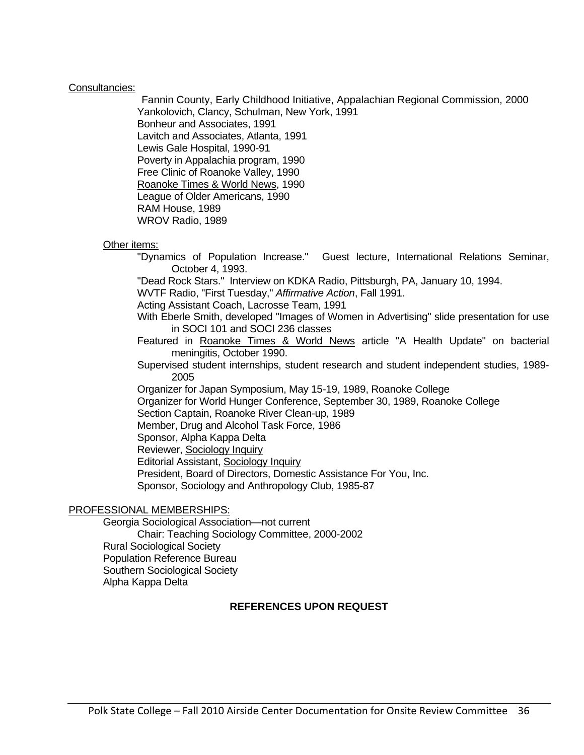#### Consultancies:

 Fannin County, Early Childhood Initiative, Appalachian Regional Commission, 2000 Yankolovich, Clancy, Schulman, New York, 1991 Bonheur and Associates, 1991 Lavitch and Associates, Atlanta, 1991 Lewis Gale Hospital, 1990-91 Poverty in Appalachia program, 1990 Free Clinic of Roanoke Valley, 1990 Roanoke Times & World News, 1990 League of Older Americans, 1990 RAM House, 1989 WROV Radio, 1989

#### Other items:

 "Dynamics of Population Increase." Guest lecture, International Relations Seminar, October 4, 1993. "Dead Rock Stars." Interview on KDKA Radio, Pittsburgh, PA, January 10, 1994. WVTF Radio, "First Tuesday," *Affirmative Action*, Fall 1991. Acting Assistant Coach, Lacrosse Team, 1991 With Eberle Smith, developed "Images of Women in Advertising" slide presentation for use in SOCI 101 and SOCI 236 classes Featured in Roanoke Times & World News article "A Health Update" on bacterial meningitis, October 1990. Supervised student internships, student research and student independent studies, 1989- 2005 Organizer for Japan Symposium, May 15-19, 1989, Roanoke College Organizer for World Hunger Conference, September 30, 1989, Roanoke College Section Captain, Roanoke River Clean-up, 1989 Member, Drug and Alcohol Task Force, 1986 Sponsor, Alpha Kappa Delta Reviewer, Sociology Inquiry Editorial Assistant, Sociology Inquiry President, Board of Directors, Domestic Assistance For You, Inc. Sponsor, Sociology and Anthropology Club, 1985-87

#### PROFESSIONAL MEMBERSHIPS:

 Georgia Sociological Association—not current Chair: Teaching Sociology Committee, 2000-2002 Rural Sociological Society Population Reference Bureau Southern Sociological Society Alpha Kappa Delta

#### **REFERENCES UPON REQUEST**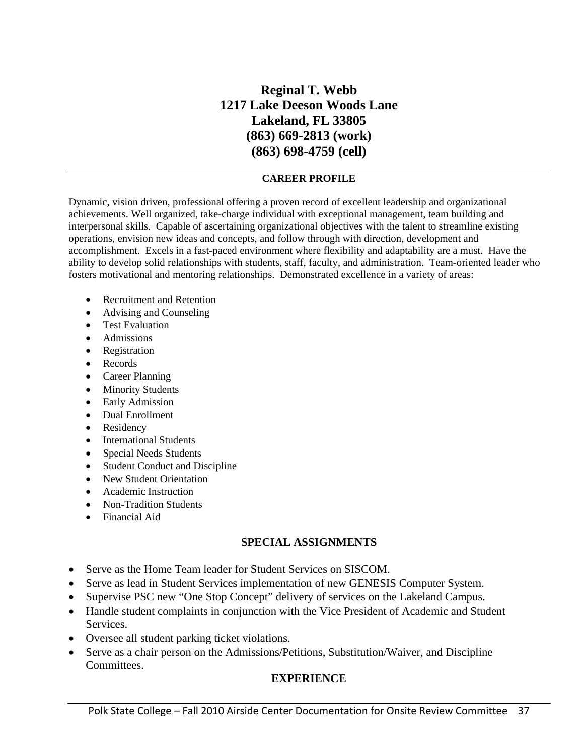## **Reginal T. Webb 1217 Lake Deeson Woods Lane Lakeland, FL 33805 (863) 669-2813 (work) (863) 698-4759 (cell)**

#### **CAREER PROFILE**

Dynamic, vision driven, professional offering a proven record of excellent leadership and organizational achievements. Well organized, take-charge individual with exceptional management, team building and interpersonal skills. Capable of ascertaining organizational objectives with the talent to streamline existing operations, envision new ideas and concepts, and follow through with direction, development and accomplishment. Excels in a fast-paced environment where flexibility and adaptability are a must. Have the ability to develop solid relationships with students, staff, faculty, and administration. Team-oriented leader who fosters motivational and mentoring relationships. Demonstrated excellence in a variety of areas:

- Recruitment and Retention
- Advising and Counseling
- Test Evaluation
- Admissions
- Registration
- Records
- Career Planning
- Minority Students
- Early Admission
- Dual Enrollment
- Residency
- International Students
- Special Needs Students
- Student Conduct and Discipline
- New Student Orientation
- Academic Instruction
- Non-Tradition Students
- Financial Aid

#### **SPECIAL ASSIGNMENTS**

- Serve as the Home Team leader for Student Services on SISCOM.
- Serve as lead in Student Services implementation of new GENESIS Computer System.
- Supervise PSC new "One Stop Concept" delivery of services on the Lakeland Campus.
- Handle student complaints in conjunction with the Vice President of Academic and Student Services.
- Oversee all student parking ticket violations.
- Serve as a chair person on the Admissions/Petitions, Substitution/Waiver, and Discipline Committees.

#### **EXPERIENCE**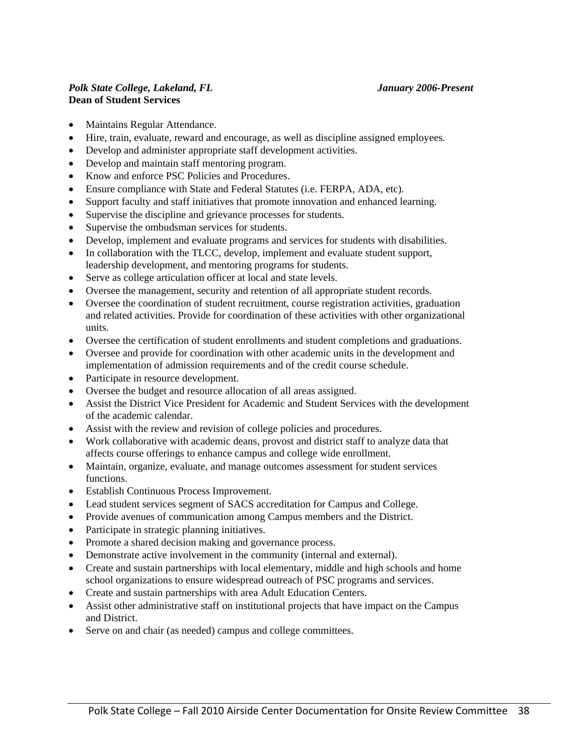#### *Polk State College, Lakeland, FL January 2006-Present*  **Dean of Student Services**

- Maintains Regular Attendance.
- Hire, train, evaluate, reward and encourage, as well as discipline assigned employees.
- Develop and administer appropriate staff development activities.
- Develop and maintain staff mentoring program.
- Know and enforce PSC Policies and Procedures.
- Ensure compliance with State and Federal Statutes (i.e. FERPA, ADA, etc).
- Support faculty and staff initiatives that promote innovation and enhanced learning.
- Supervise the discipline and grievance processes for students.
- Supervise the ombudsman services for students.
- Develop, implement and evaluate programs and services for students with disabilities.
- In collaboration with the TLCC, develop, implement and evaluate student support, leadership development, and mentoring programs for students.
- Serve as college articulation officer at local and state levels.
- Oversee the management, security and retention of all appropriate student records.
- Oversee the coordination of student recruitment, course registration activities, graduation and related activities. Provide for coordination of these activities with other organizational units.
- Oversee the certification of student enrollments and student completions and graduations.
- Oversee and provide for coordination with other academic units in the development and implementation of admission requirements and of the credit course schedule.
- Participate in resource development.
- Oversee the budget and resource allocation of all areas assigned.
- Assist the District Vice President for Academic and Student Services with the development of the academic calendar.
- Assist with the review and revision of college policies and procedures.
- Work collaborative with academic deans, provost and district staff to analyze data that affects course offerings to enhance campus and college wide enrollment.
- Maintain, organize, evaluate, and manage outcomes assessment for student services functions.
- Establish Continuous Process Improvement.
- Lead student services segment of SACS accreditation for Campus and College.
- Provide avenues of communication among Campus members and the District.
- Participate in strategic planning initiatives.
- Promote a shared decision making and governance process.
- Demonstrate active involvement in the community (internal and external).
- Create and sustain partnerships with local elementary, middle and high schools and home school organizations to ensure widespread outreach of PSC programs and services.
- Create and sustain partnerships with area Adult Education Centers.
- Assist other administrative staff on institutional projects that have impact on the Campus and District.
- Serve on and chair (as needed) campus and college committees.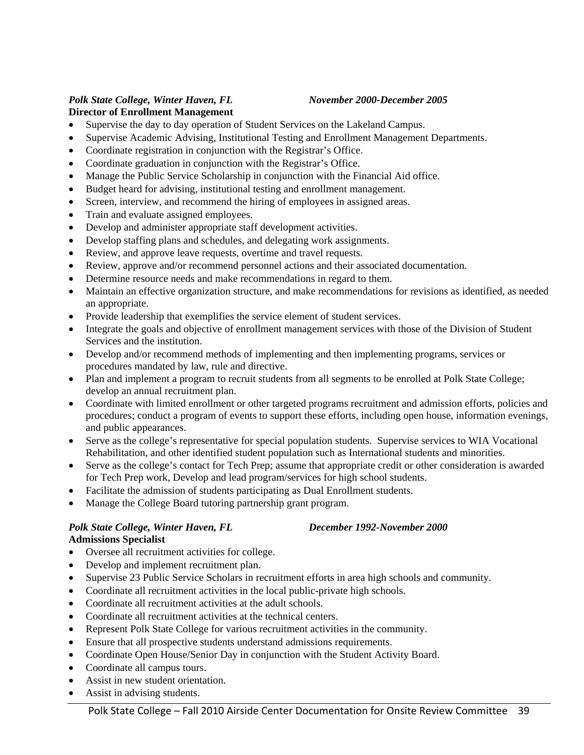#### *Polk State College, Winter Haven, FL November 2000-December 2005*

#### **Director of Enrollment Management**

- Supervise the day to day operation of Student Services on the Lakeland Campus.
- Supervise Academic Advising, Institutional Testing and Enrollment Management Departments.
- Coordinate registration in conjunction with the Registrar's Office.
- Coordinate graduation in conjunction with the Registrar's Office.
- Manage the Public Service Scholarship in conjunction with the Financial Aid office.
- Budget heard for advising, institutional testing and enrollment management.
- Screen, interview, and recommend the hiring of employees in assigned areas.
- Train and evaluate assigned employees.
- Develop and administer appropriate staff development activities.
- Develop staffing plans and schedules, and delegating work assignments.
- Review, and approve leave requests, overtime and travel requests.
- Review, approve and/or recommend personnel actions and their associated documentation.
- Determine resource needs and make recommendations in regard to them.
- Maintain an effective organization structure, and make recommendations for revisions as identified, as needed an appropriate.
- Provide leadership that exemplifies the service element of student services.
- Integrate the goals and objective of enrollment management services with those of the Division of Student Services and the institution.
- Develop and/or recommend methods of implementing and then implementing programs, services or procedures mandated by law, rule and directive.
- Plan and implement a program to recruit students from all segments to be enrolled at Polk State College; develop an annual recruitment plan.
- Coordinate with limited enrollment or other targeted programs recruitment and admission efforts, policies and procedures; conduct a program of events to support these efforts, including open house, information evenings, and public appearances.
- Serve as the college's representative for special population students. Supervise services to WIA Vocational Rehabilitation, and other identified student population such as International students and minorities.
- Serve as the college's contact for Tech Prep; assume that appropriate credit or other consideration is awarded for Tech Prep work, Develop and lead program/services for high school students.
- Facilitate the admission of students participating as Dual Enrollment students.
- Manage the College Board tutoring partnership grant program.

#### *Polk State College, Winter Haven, FL December 1992-November 2000*  **Admissions Specialist**

- Oversee all recruitment activities for college.
- Develop and implement recruitment plan.
- Supervise 23 Public Service Scholars in recruitment efforts in area high schools and community.
- Coordinate all recruitment activities in the local public-private high schools.
- Coordinate all recruitment activities at the adult schools.
- Coordinate all recruitment activities at the technical centers.
- Represent Polk State College for various recruitment activities in the community.
- Ensure that all prospective students understand admissions requirements.
- Coordinate Open House/Senior Day in conjunction with the Student Activity Board.
- Coordinate all campus tours.
- Assist in new student orientation.
- Assist in advising students.

#### Polk State College – Fall 2010 Airside Center Documentation for Onsite Review Committee 39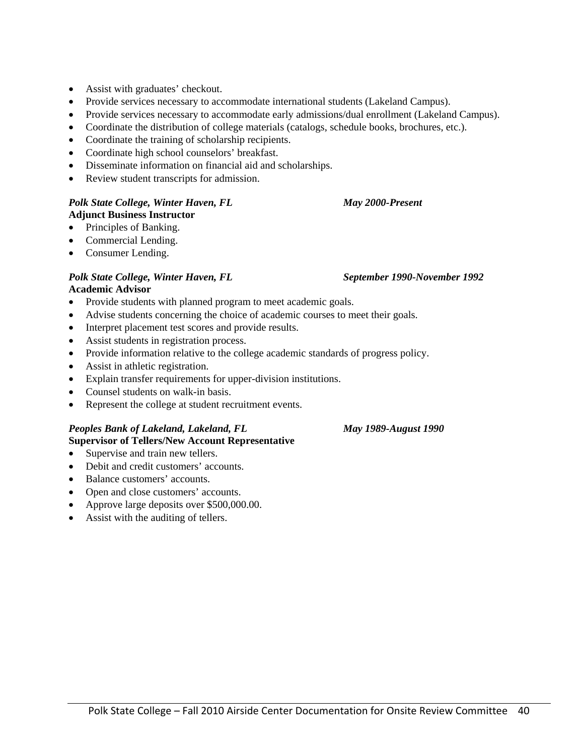- Assist with graduates' checkout.
- Provide services necessary to accommodate international students (Lakeland Campus).
- Provide services necessary to accommodate early admissions/dual enrollment (Lakeland Campus).
- Coordinate the distribution of college materials (catalogs, schedule books, brochures, etc.).
- Coordinate the training of scholarship recipients.
- Coordinate high school counselors' breakfast.
- Disseminate information on financial aid and scholarships.
- Review student transcripts for admission.

#### *Polk State College, Winter Haven, FL* May 2000-Present **Adjunct Business Instructor**

- Principles of Banking.
- Commercial Lending.
- Consumer Lending.

#### Polk State College, Winter Haven, FL September 1990-November 1992 **Academic Advisor**

- Provide students with planned program to meet academic goals.
- Advise students concerning the choice of academic courses to meet their goals.
- Interpret placement test scores and provide results.
- Assist students in registration process.
- Provide information relative to the college academic standards of progress policy.
- Assist in athletic registration.
- Explain transfer requirements for upper-division institutions.
- Counsel students on walk-in basis.
- Represent the college at student recruitment events.

#### *Peoples Bank of Lakeland, Lakeland, FL May 1989-August 1990*

#### **Supervisor of Tellers/New Account Representative**

- Supervise and train new tellers.
- Debit and credit customers' accounts.
- Balance customers' accounts.
- Open and close customers' accounts.
- Approve large deposits over \$500,000.00.
- Assist with the auditing of tellers.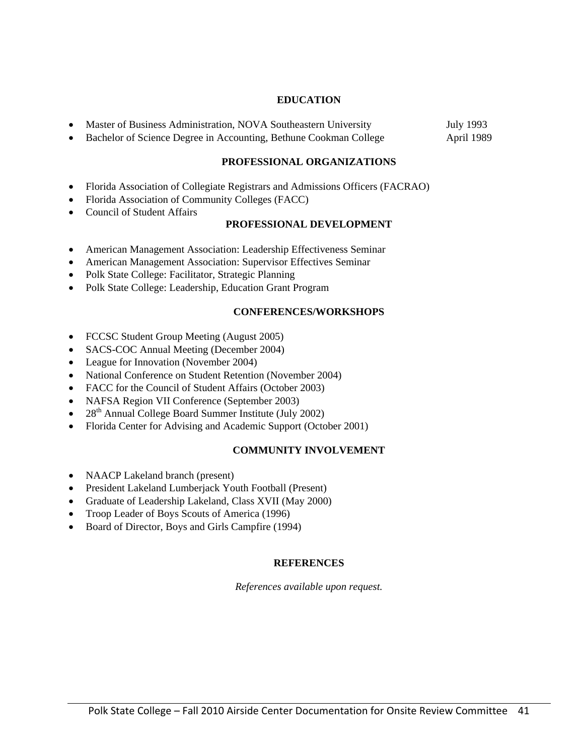#### **EDUCATION**

- Master of Business Administration, NOVA Southeastern University July 1993
- Bachelor of Science Degree in Accounting, Bethune Cookman College April 1989

#### **PROFESSIONAL ORGANIZATIONS**

- Florida Association of Collegiate Registrars and Admissions Officers (FACRAO)
- Florida Association of Community Colleges (FACC)
- Council of Student Affairs

#### **PROFESSIONAL DEVELOPMENT**

- American Management Association: Leadership Effectiveness Seminar
- American Management Association: Supervisor Effectives Seminar
- Polk State College: Facilitator, Strategic Planning
- Polk State College: Leadership, Education Grant Program

#### **CONFERENCES/WORKSHOPS**

- FCCSC Student Group Meeting (August 2005)
- SACS-COC Annual Meeting (December 2004)
- League for Innovation (November 2004)
- National Conference on Student Retention (November 2004)
- FACC for the Council of Student Affairs (October 2003)
- NAFSA Region VII Conference (September 2003)
- $28<sup>th</sup>$  Annual College Board Summer Institute (July 2002)
- Florida Center for Advising and Academic Support (October 2001)

#### **COMMUNITY INVOLVEMENT**

- NAACP Lakeland branch (present)
- President Lakeland Lumberjack Youth Football (Present)
- Graduate of Leadership Lakeland, Class XVII (May 2000)
- Troop Leader of Boys Scouts of America (1996)
- Board of Director, Boys and Girls Campfire (1994)

#### **REFERENCES**

*References available upon request.*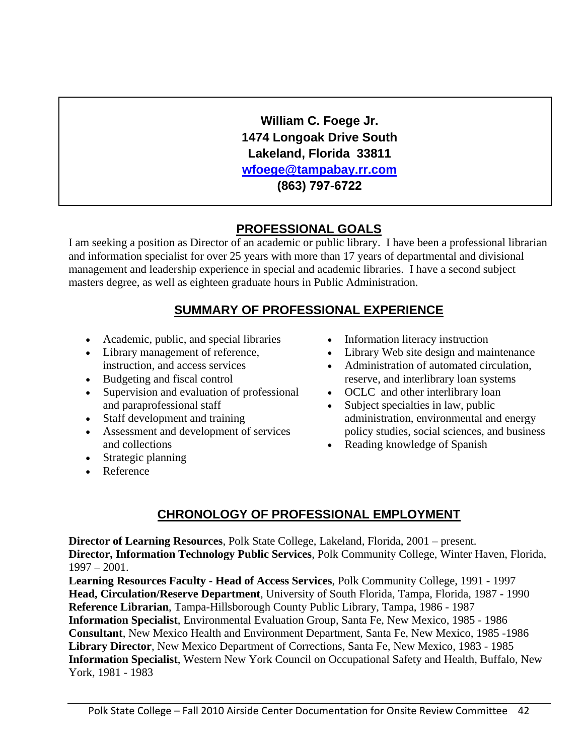**William C. Foege Jr. 1474 Longoak Drive South Lakeland, Florida 33811 wfoege@tampabay.rr.com (863) 797-6722** 

## **PROFESSIONAL GOALS**

I am seeking a position as Director of an academic or public library. I have been a professional librarian and information specialist for over 25 years with more than 17 years of departmental and divisional management and leadership experience in special and academic libraries. I have a second subject masters degree, as well as eighteen graduate hours in Public Administration.

## **SUMMARY OF PROFESSIONAL EXPERIENCE**

- Academic, public, and special libraries
- Library management of reference, instruction, and access services
- Budgeting and fiscal control
- Supervision and evaluation of professional and paraprofessional staff
- Staff development and training
- Assessment and development of services and collections
- Strategic planning
- Reference
- Information literacy instruction
- Library Web site design and maintenance
- Administration of automated circulation, reserve, and interlibrary loan systems
- OCLC and other interlibrary loan
- Subject specialties in law, public administration, environmental and energy policy studies, social sciences, and business
- Reading knowledge of Spanish

## **CHRONOLOGY OF PROFESSIONAL EMPLOYMENT**

**Director of Learning Resources**, Polk State College, Lakeland, Florida, 2001 – present. **Director, Information Technology Public Services**, Polk Community College, Winter Haven, Florida, 1997 – 2001.

**Learning Resources Faculty - Head of Access Services**, Polk Community College, 1991 - 1997 **Head, Circulation/Reserve Department**, University of South Florida, Tampa, Florida, 1987 - 1990 **Reference Librarian**, Tampa-Hillsborough County Public Library, Tampa, 1986 - 1987 **Information Specialist**, Environmental Evaluation Group, Santa Fe, New Mexico, 1985 - 1986 **Consultant**, New Mexico Health and Environment Department, Santa Fe, New Mexico, 1985 -1986 **Library Director**, New Mexico Department of Corrections, Santa Fe, New Mexico, 1983 - 1985 **Information Specialist**, Western New York Council on Occupational Safety and Health, Buffalo, New York, 1981 - 1983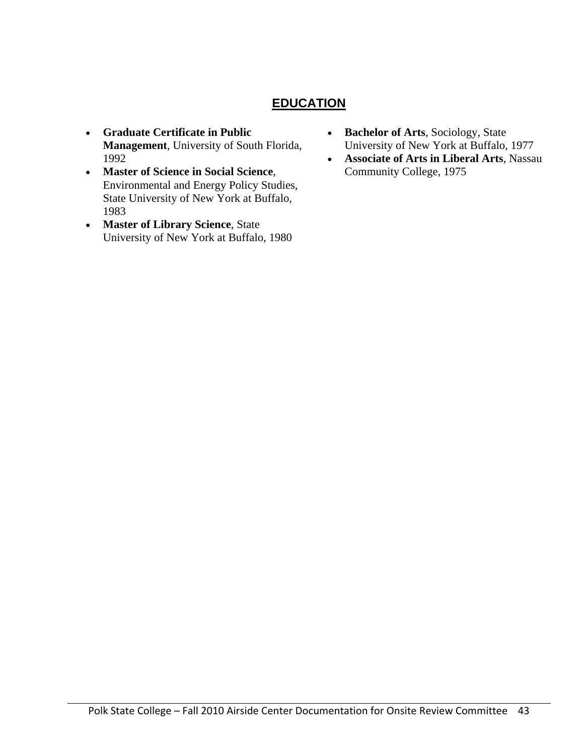## **EDUCATION**

- **Graduate Certificate in Public Management**, University of South Florida, 1992
- **Master of Science in Social Science**, Environmental and Energy Policy Studies, State University of New York at Buffalo, 1983
- **Master of Library Science**, State University of New York at Buffalo, 1980
- **Bachelor of Arts**, Sociology, State University of New York at Buffalo, 1977
- **Associate of Arts in Liberal Arts**, Nassau Community College, 1975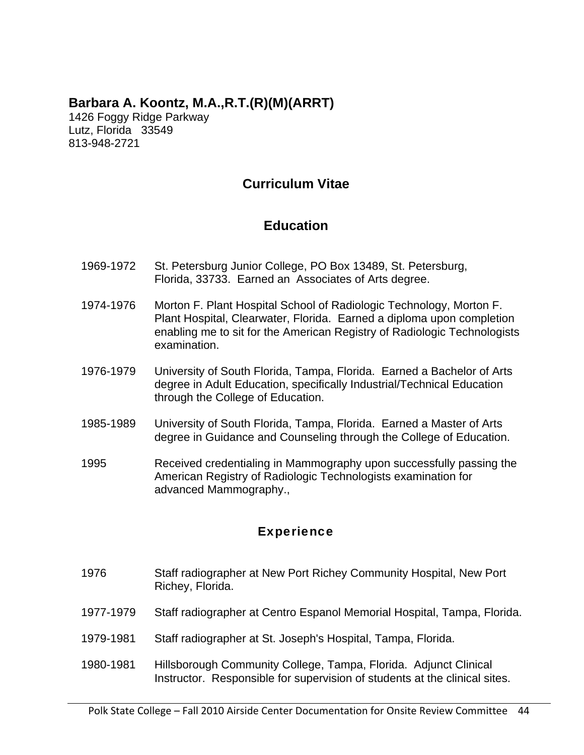## **Barbara A. Koontz, M.A.,R.T.(R)(M)(ARRT)**

1426 Foggy Ridge Parkway Lutz, Florida 33549 813-948-2721

## **Curriculum Vitae**

## **Education**

- 1969-1972 St. Petersburg Junior College, PO Box 13489, St. Petersburg, Florida, 33733. Earned an Associates of Arts degree.
- 1974-1976 Morton F. Plant Hospital School of Radiologic Technology, Morton F. Plant Hospital, Clearwater, Florida. Earned a diploma upon completion enabling me to sit for the American Registry of Radiologic Technologists examination.
- 1976-1979 University of South Florida, Tampa, Florida. Earned a Bachelor of Arts degree in Adult Education, specifically Industrial/Technical Education through the College of Education.
- 1985-1989 University of South Florida, Tampa, Florida. Earned a Master of Arts degree in Guidance and Counseling through the College of Education.
- 1995 Received credentialing in Mammography upon successfully passing the American Registry of Radiologic Technologists examination for advanced Mammography.,

## **Experience**

- 1976 Staff radiographer at New Port Richey Community Hospital, New Port Richey, Florida.
- 1977-1979 Staff radiographer at Centro Espanol Memorial Hospital, Tampa, Florida.
- 1979-1981 Staff radiographer at St. Joseph's Hospital, Tampa, Florida.
- 1980-1981 Hillsborough Community College, Tampa, Florida. Adjunct Clinical Instructor. Responsible for supervision of students at the clinical sites.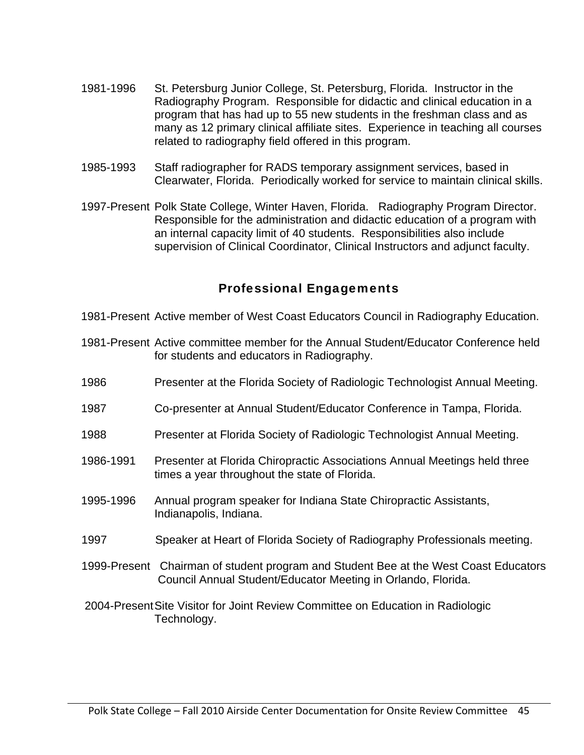- 1981-1996 St. Petersburg Junior College, St. Petersburg, Florida. Instructor in the Radiography Program. Responsible for didactic and clinical education in a program that has had up to 55 new students in the freshman class and as many as 12 primary clinical affiliate sites. Experience in teaching all courses related to radiography field offered in this program.
- 1985-1993 Staff radiographer for RADS temporary assignment services, based in Clearwater, Florida. Periodically worked for service to maintain clinical skills.
- 1997-Present Polk State College, Winter Haven, Florida. Radiography Program Director. Responsible for the administration and didactic education of a program with an internal capacity limit of 40 students. Responsibilities also include supervision of Clinical Coordinator, Clinical Instructors and adjunct faculty.

## Professional Engagements

- 1981-Present Active member of West Coast Educators Council in Radiography Education.
- 1981-Present Active committee member for the Annual Student/Educator Conference held for students and educators in Radiography.
- 1986 Presenter at the Florida Society of Radiologic Technologist Annual Meeting.
- 1987 Co-presenter at Annual Student/Educator Conference in Tampa, Florida.
- 1988 Presenter at Florida Society of Radiologic Technologist Annual Meeting.
- 1986-1991 Presenter at Florida Chiropractic Associations Annual Meetings held three times a year throughout the state of Florida.
- 1995-1996 Annual program speaker for Indiana State Chiropractic Assistants, Indianapolis, Indiana.
- 1997 Speaker at Heart of Florida Society of Radiography Professionals meeting.
- 1999-Present Chairman of student program and Student Bee at the West Coast Educators Council Annual Student/Educator Meeting in Orlando, Florida.
- 2004-Present Site Visitor for Joint Review Committee on Education in Radiologic Technology.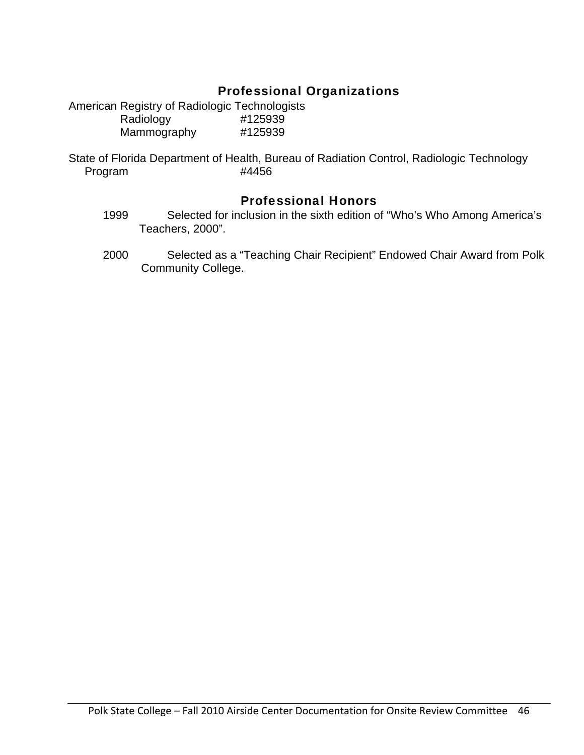## Professional Organizations

American Registry of Radiologic Technologists Radiology #125939 Mammography #125939

State of Florida Department of Health, Bureau of Radiation Control, Radiologic Technology Program #4456

## Professional Honors

- 1999 Selected for inclusion in the sixth edition of "Who's Who Among America's Teachers, 2000".
- 2000 Selected as a "Teaching Chair Recipient" Endowed Chair Award from Polk Community College.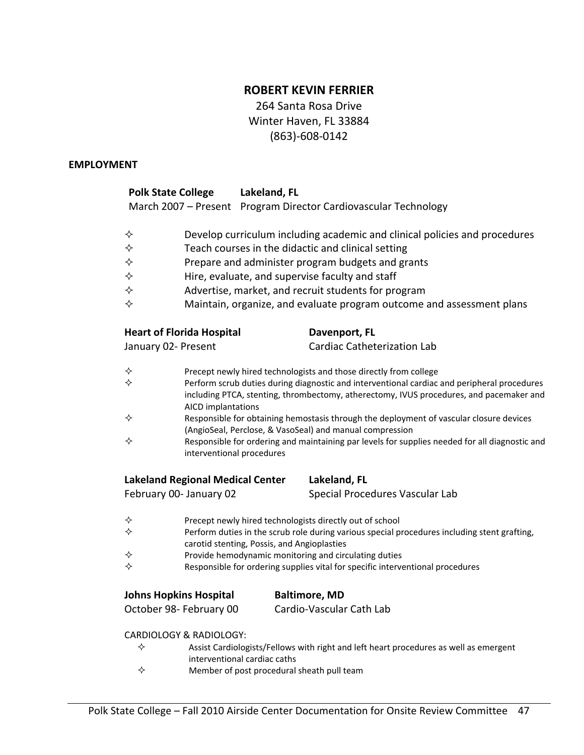## **ROBERT KEVIN FERRIER**

264 Santa Rosa Drive Winter Haven, FL 33884 (863)‐608‐0142

#### **EMPLOYMENT**

| <b>Polk State College</b>               |                                                                                                                                                                                                              | Lakeland, FL                                |                                                                                                                                                     |  |  |  |  |
|-----------------------------------------|--------------------------------------------------------------------------------------------------------------------------------------------------------------------------------------------------------------|---------------------------------------------|-----------------------------------------------------------------------------------------------------------------------------------------------------|--|--|--|--|
|                                         |                                                                                                                                                                                                              |                                             | March 2007 - Present Program Director Cardiovascular Technology                                                                                     |  |  |  |  |
| ✧                                       |                                                                                                                                                                                                              |                                             | Develop curriculum including academic and clinical policies and procedures                                                                          |  |  |  |  |
| ✧                                       |                                                                                                                                                                                                              |                                             | Teach courses in the didactic and clinical setting                                                                                                  |  |  |  |  |
| ✧                                       |                                                                                                                                                                                                              |                                             | Prepare and administer program budgets and grants                                                                                                   |  |  |  |  |
| ♦                                       |                                                                                                                                                                                                              |                                             | Hire, evaluate, and supervise faculty and staff                                                                                                     |  |  |  |  |
| ✧                                       |                                                                                                                                                                                                              |                                             | Advertise, market, and recruit students for program                                                                                                 |  |  |  |  |
| ✧                                       |                                                                                                                                                                                                              |                                             | Maintain, organize, and evaluate program outcome and assessment plans                                                                               |  |  |  |  |
| <b>Heart of Florida Hospital</b>        |                                                                                                                                                                                                              |                                             | Davenport, FL                                                                                                                                       |  |  |  |  |
| January 02- Present                     |                                                                                                                                                                                                              |                                             | Cardiac Catheterization Lab                                                                                                                         |  |  |  |  |
| ✧                                       |                                                                                                                                                                                                              |                                             | Precept newly hired technologists and those directly from college                                                                                   |  |  |  |  |
| ✧                                       | Perform scrub duties during diagnostic and interventional cardiac and peripheral procedures<br>including PTCA, stenting, thrombectomy, atherectomy, IVUS procedures, and pacemaker and<br>AICD implantations |                                             |                                                                                                                                                     |  |  |  |  |
| ✧                                       |                                                                                                                                                                                                              |                                             | Responsible for obtaining hemostasis through the deployment of vascular closure devices<br>(AngioSeal, Perclose, & VasoSeal) and manual compression |  |  |  |  |
| ✧                                       | interventional procedures                                                                                                                                                                                    |                                             | Responsible for ordering and maintaining par levels for supplies needed for all diagnostic and                                                      |  |  |  |  |
| <b>Lakeland Regional Medical Center</b> |                                                                                                                                                                                                              |                                             | Lakeland, FL                                                                                                                                        |  |  |  |  |
| February 00- January 02                 |                                                                                                                                                                                                              |                                             | Special Procedures Vascular Lab                                                                                                                     |  |  |  |  |
| ✧                                       |                                                                                                                                                                                                              |                                             | Precept newly hired technologists directly out of school                                                                                            |  |  |  |  |
| ✧                                       |                                                                                                                                                                                                              | carotid stenting, Possis, and Angioplasties | Perform duties in the scrub role during various special procedures including stent grafting,                                                        |  |  |  |  |
| ✧                                       |                                                                                                                                                                                                              |                                             | Provide hemodynamic monitoring and circulating duties                                                                                               |  |  |  |  |
| ✧                                       |                                                                                                                                                                                                              |                                             | Responsible for ordering supplies vital for specific interventional procedures                                                                      |  |  |  |  |
| <b>Johns Hopkins Hospital</b>           |                                                                                                                                                                                                              |                                             | <b>Baltimore, MD</b>                                                                                                                                |  |  |  |  |
| October 98- February 00                 |                                                                                                                                                                                                              |                                             | Cardio-Vascular Cath Lab                                                                                                                            |  |  |  |  |
| CARDIOLOGY & RADIOLOGY:                 |                                                                                                                                                                                                              |                                             |                                                                                                                                                     |  |  |  |  |
| ✧                                       |                                                                                                                                                                                                              | interventional cardiac caths                | Assist Cardiologists/Fellows with right and left heart procedures as well as emergent                                                               |  |  |  |  |
| ✧                                       |                                                                                                                                                                                                              | Member of post procedural sheath pull team  |                                                                                                                                                     |  |  |  |  |
|                                         |                                                                                                                                                                                                              |                                             |                                                                                                                                                     |  |  |  |  |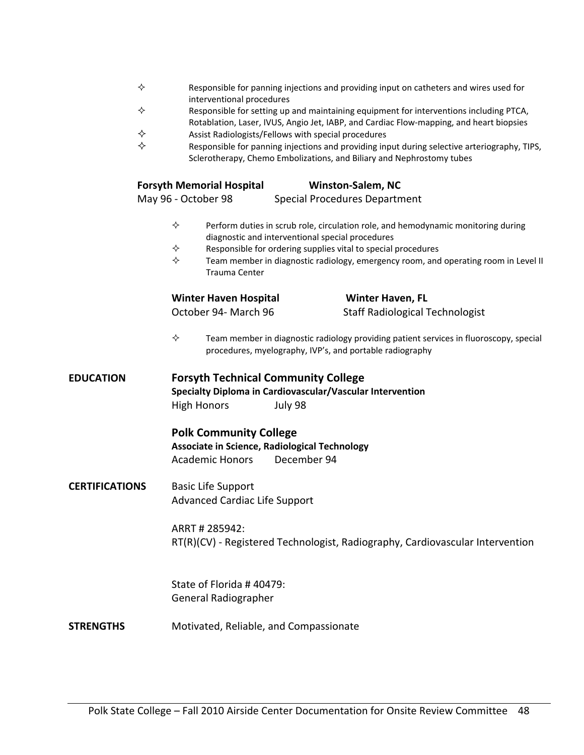|                       | ✧ | interventional procedures                                                                                |             |                                                                                                                   | Responsible for panning injections and providing input on catheters and wires used for                                                                                            |  |
|-----------------------|---|----------------------------------------------------------------------------------------------------------|-------------|-------------------------------------------------------------------------------------------------------------------|-----------------------------------------------------------------------------------------------------------------------------------------------------------------------------------|--|
|                       | ✧ |                                                                                                          |             |                                                                                                                   | Responsible for setting up and maintaining equipment for interventions including PTCA,<br>Rotablation, Laser, IVUS, Angio Jet, IABP, and Cardiac Flow-mapping, and heart biopsies |  |
|                       | ✧ |                                                                                                          |             | Assist Radiologists/Fellows with special procedures                                                               |                                                                                                                                                                                   |  |
|                       | ✧ |                                                                                                          |             |                                                                                                                   | Responsible for panning injections and providing input during selective arteriography, TIPS,<br>Sclerotherapy, Chemo Embolizations, and Biliary and Nephrostomy tubes             |  |
|                       |   | <b>Forsyth Memorial Hospital</b>                                                                         |             | <b>Winston-Salem, NC</b>                                                                                          |                                                                                                                                                                                   |  |
|                       |   | May 96 - October 98                                                                                      |             | <b>Special Procedures Department</b>                                                                              |                                                                                                                                                                                   |  |
|                       |   | ✧<br>✧<br>✧<br>Trauma Center                                                                             |             | diagnostic and interventional special procedures<br>Responsible for ordering supplies vital to special procedures | Perform duties in scrub role, circulation role, and hemodynamic monitoring during<br>Team member in diagnostic radiology, emergency room, and operating room in Level II          |  |
|                       |   | <b>Winter Haven Hospital</b>                                                                             |             | <b>Winter Haven, FL</b>                                                                                           |                                                                                                                                                                                   |  |
|                       |   | October 94- March 96                                                                                     |             |                                                                                                                   | <b>Staff Radiological Technologist</b>                                                                                                                                            |  |
|                       |   | ✧                                                                                                        |             | procedures, myelography, IVP's, and portable radiography                                                          | Team member in diagnostic radiology providing patient services in fluoroscopy, special                                                                                            |  |
| <b>EDUCATION</b>      |   | <b>Forsyth Technical Community College</b><br><b>High Honors</b>                                         | July 98     | Specialty Diploma in Cardiovascular/Vascular Intervention                                                         |                                                                                                                                                                                   |  |
|                       |   | <b>Polk Community College</b><br>Associate in Science, Radiological Technology<br><b>Academic Honors</b> | December 94 |                                                                                                                   |                                                                                                                                                                                   |  |
| <b>CERTIFICATIONS</b> |   | <b>Basic Life Support</b><br><b>Advanced Cardiac Life Support</b>                                        |             |                                                                                                                   |                                                                                                                                                                                   |  |
|                       |   | ARRT # 285942:                                                                                           |             |                                                                                                                   | RT(R)(CV) - Registered Technologist, Radiography, Cardiovascular Intervention                                                                                                     |  |
|                       |   | State of Florida #40479:<br>General Radiographer                                                         |             |                                                                                                                   |                                                                                                                                                                                   |  |
| STRENGTHS             |   | Motivated, Reliable, and Compassionate                                                                   |             |                                                                                                                   |                                                                                                                                                                                   |  |
|                       |   |                                                                                                          |             |                                                                                                                   |                                                                                                                                                                                   |  |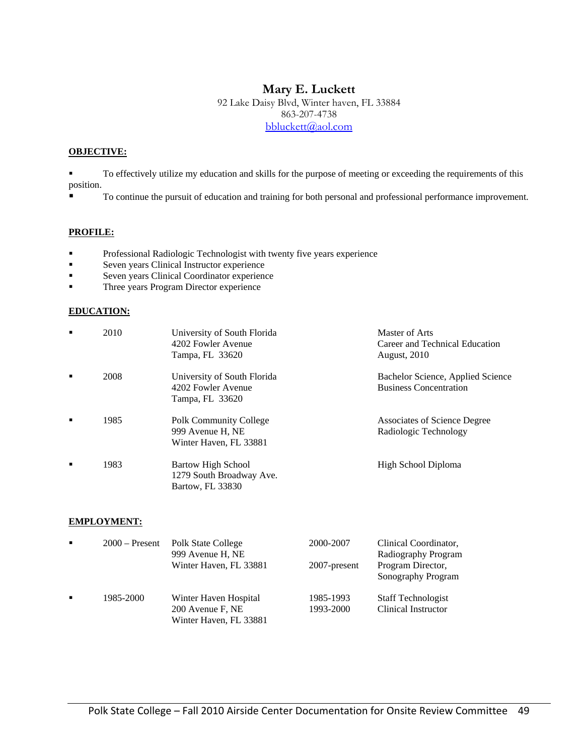## **Mary E. Luckett**

92 Lake Daisy Blvd, Winter haven, FL 33884 863-207-4738 bbluckett@aol.com

#### **OBJECTIVE:**

 To effectively utilize my education and skills for the purpose of meeting or exceeding the requirements of this position.

To continue the pursuit of education and training for both personal and professional performance improvement.

#### **PROFILE:**

- **Professional Radiologic Technologist with twenty five years experience**
- **Seven years Clinical Instructor experience**
- Seven years Clinical Coordinator experience
- **Three years Program Director experience**

#### **EDUCATION:**

| ٠ | 2010 | University of South Florida<br>4202 Fowler Avenue<br>Tampa, FL 33620        | Master of Arts<br>Career and Technical Education<br><b>August, 2010</b> |
|---|------|-----------------------------------------------------------------------------|-------------------------------------------------------------------------|
| ٠ | 2008 | University of South Florida<br>4202 Fowler Avenue<br>Tampa, FL 33620        | Bachelor Science, Applied Science<br><b>Business Concentration</b>      |
| ٠ | 1985 | <b>Polk Community College</b><br>999 Avenue H, NE<br>Winter Haven, FL 33881 | Associates of Science Degree<br>Radiologic Technology                   |
| п | 1983 | Bartow High School<br>1279 South Broadway Ave.<br>Bartow, FL 33830          | High School Diploma                                                     |

#### **EMPLOYMENT:**

| $\blacksquare$ | $2000 -$ Present | Polk State College<br>999 Avenue H, NE<br>Winter Haven, FL 33881    | 2000-2007<br>2007-present | Clinical Coordinator,<br>Radiography Program<br>Program Director,<br>Sonography Program |
|----------------|------------------|---------------------------------------------------------------------|---------------------------|-----------------------------------------------------------------------------------------|
|                | 1985-2000        | Winter Haven Hospital<br>200 Avenue F, NE<br>Winter Haven, FL 33881 | 1985-1993<br>1993-2000    | <b>Staff Technologist</b><br>Clinical Instructor                                        |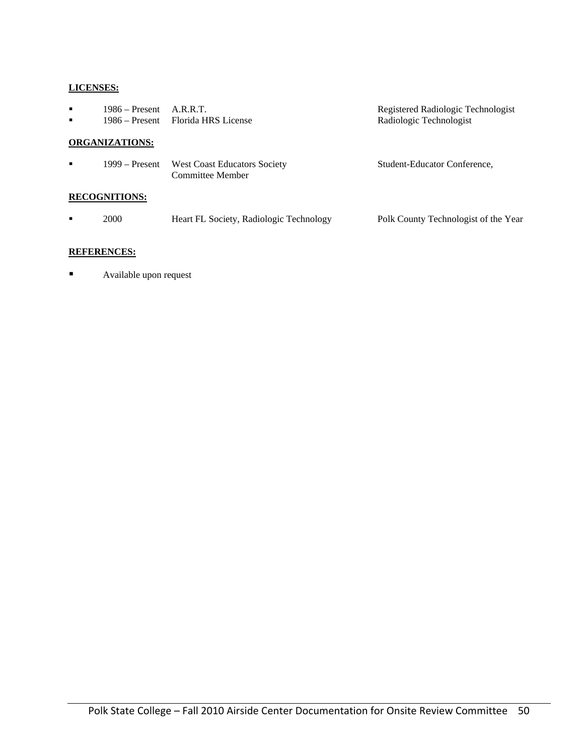#### **LICENSES:**

| п<br>$\blacksquare$ | $1986 -$ Present A.R.R.T. | 1986 – Present Florida HRS License                      | Registered Radiologic Technologist<br>Radiologic Technologist |
|---------------------|---------------------------|---------------------------------------------------------|---------------------------------------------------------------|
|                     | <b>ORGANIZATIONS:</b>     |                                                         |                                                               |
| ٠                   | 1999 – Present            | <b>West Coast Educators Society</b><br>Committee Member | Student-Educator Conference,                                  |
|                     | <b>RECOGNITIONS:</b>      |                                                         |                                                               |
| $\blacksquare$      | 2000                      | Heart FL Society, Radiologic Technology                 | Polk County Technologist of the Year                          |

#### **REFERENCES:**

**Available upon request**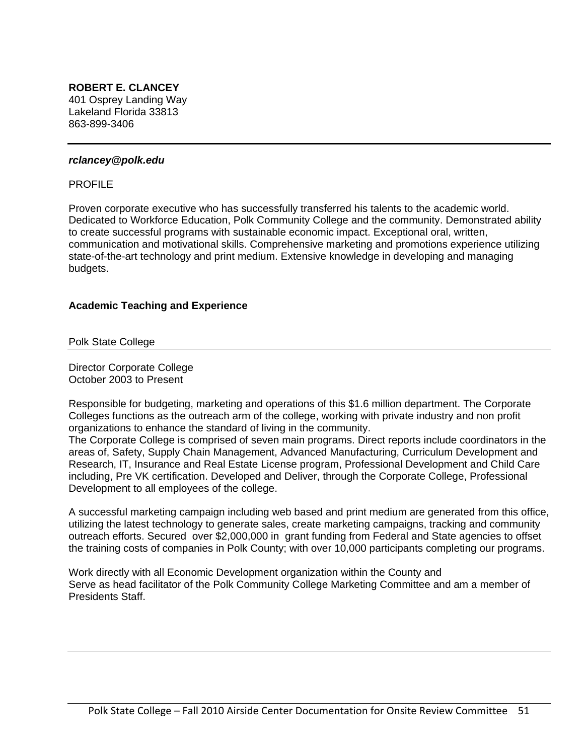## **ROBERT E. CLANCEY**

401 Osprey Landing Way Lakeland Florida 33813 863-899-3406

#### *rclancey@polk.edu*

#### PROFILE

Proven corporate executive who has successfully transferred his talents to the academic world. Dedicated to Workforce Education, Polk Community College and the community. Demonstrated ability to create successful programs with sustainable economic impact. Exceptional oral, written, communication and motivational skills. Comprehensive marketing and promotions experience utilizing state-of-the-art technology and print medium. Extensive knowledge in developing and managing budgets.

#### **Academic Teaching and Experience**

Polk State College

Director Corporate College October 2003 to Present

Responsible for budgeting, marketing and operations of this \$1.6 million department. The Corporate Colleges functions as the outreach arm of the college, working with private industry and non profit organizations to enhance the standard of living in the community.

The Corporate College is comprised of seven main programs. Direct reports include coordinators in the areas of, Safety, Supply Chain Management, Advanced Manufacturing, Curriculum Development and Research, IT, Insurance and Real Estate License program, Professional Development and Child Care including, Pre VK certification. Developed and Deliver, through the Corporate College, Professional Development to all employees of the college.

A successful marketing campaign including web based and print medium are generated from this office, utilizing the latest technology to generate sales, create marketing campaigns, tracking and community outreach efforts. Secured over \$2,000,000 in grant funding from Federal and State agencies to offset the training costs of companies in Polk County; with over 10,000 participants completing our programs.

Work directly with all Economic Development organization within the County and Serve as head facilitator of the Polk Community College Marketing Committee and am a member of Presidents Staff.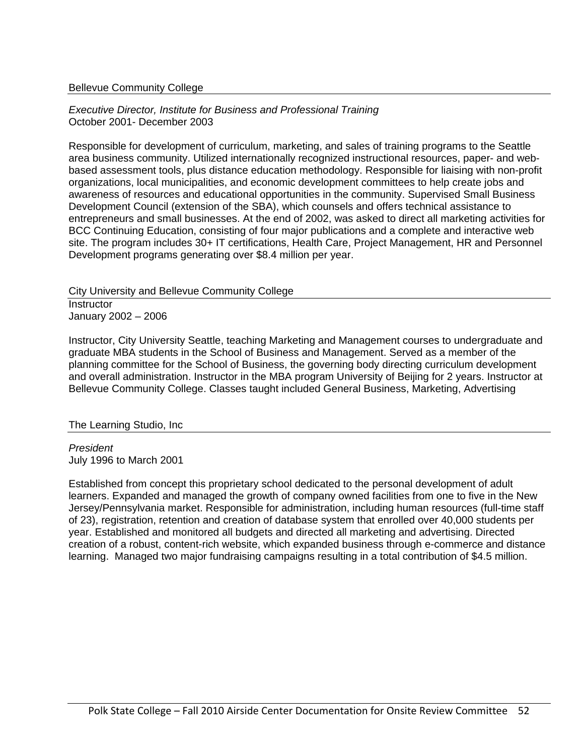#### Bellevue Community College

*Executive Director, Institute for Business and Professional Training*  October 2001- December 2003

Responsible for development of curriculum, marketing, and sales of training programs to the Seattle area business community. Utilized internationally recognized instructional resources, paper- and webbased assessment tools, plus distance education methodology. Responsible for liaising with non-profit organizations, local municipalities, and economic development committees to help create jobs and awareness of resources and educational opportunities in the community. Supervised Small Business Development Council (extension of the SBA), which counsels and offers technical assistance to entrepreneurs and small businesses. At the end of 2002, was asked to direct all marketing activities for BCC Continuing Education, consisting of four major publications and a complete and interactive web site. The program includes 30+ IT certifications, Health Care, Project Management, HR and Personnel Development programs generating over \$8.4 million per year.

City University and Bellevue Community College

**Instructor** January 2002 – 2006

Instructor, City University Seattle, teaching Marketing and Management courses to undergraduate and graduate MBA students in the School of Business and Management. Served as a member of the planning committee for the School of Business, the governing body directing curriculum development and overall administration. Instructor in the MBA program University of Beijing for 2 years. Instructor at Bellevue Community College. Classes taught included General Business, Marketing, Advertising

The Learning Studio, Inc

*President*  July 1996 to March 2001

Established from concept this proprietary school dedicated to the personal development of adult learners. Expanded and managed the growth of company owned facilities from one to five in the New Jersey/Pennsylvania market. Responsible for administration, including human resources (full-time staff of 23), registration, retention and creation of database system that enrolled over 40,000 students per year. Established and monitored all budgets and directed all marketing and advertising. Directed creation of a robust, content-rich website, which expanded business through e-commerce and distance learning. Managed two major fundraising campaigns resulting in a total contribution of \$4.5 million.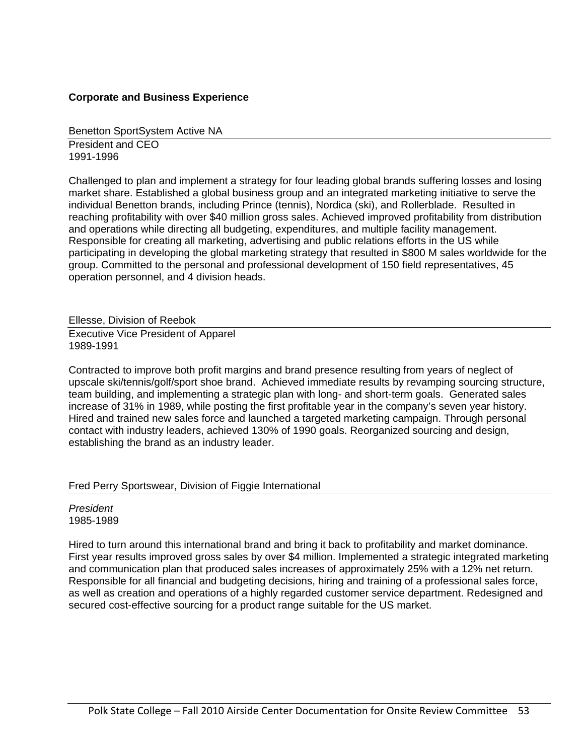#### **Corporate and Business Experience**

Benetton SportSystem Active NA

President and CEO 1991-1996

Challenged to plan and implement a strategy for four leading global brands suffering losses and losing market share. Established a global business group and an integrated marketing initiative to serve the individual Benetton brands, including Prince (tennis), Nordica (ski), and Rollerblade. Resulted in reaching profitability with over \$40 million gross sales. Achieved improved profitability from distribution and operations while directing all budgeting, expenditures, and multiple facility management. Responsible for creating all marketing, advertising and public relations efforts in the US while participating in developing the global marketing strategy that resulted in \$800 M sales worldwide for the group. Committed to the personal and professional development of 150 field representatives, 45 operation personnel, and 4 division heads.

Ellesse, Division of Reebok

Executive Vice President of Apparel 1989-1991

Contracted to improve both profit margins and brand presence resulting from years of neglect of upscale ski/tennis/golf/sport shoe brand. Achieved immediate results by revamping sourcing structure, team building, and implementing a strategic plan with long- and short-term goals. Generated sales increase of 31% in 1989, while posting the first profitable year in the company's seven year history. Hired and trained new sales force and launched a targeted marketing campaign. Through personal contact with industry leaders, achieved 130% of 1990 goals. Reorganized sourcing and design, establishing the brand as an industry leader.

#### Fred Perry Sportswear, Division of Figgie International

*President*  1985-1989

Hired to turn around this international brand and bring it back to profitability and market dominance. First year results improved gross sales by over \$4 million. Implemented a strategic integrated marketing and communication plan that produced sales increases of approximately 25% with a 12% net return. Responsible for all financial and budgeting decisions, hiring and training of a professional sales force, as well as creation and operations of a highly regarded customer service department. Redesigned and secured cost-effective sourcing for a product range suitable for the US market.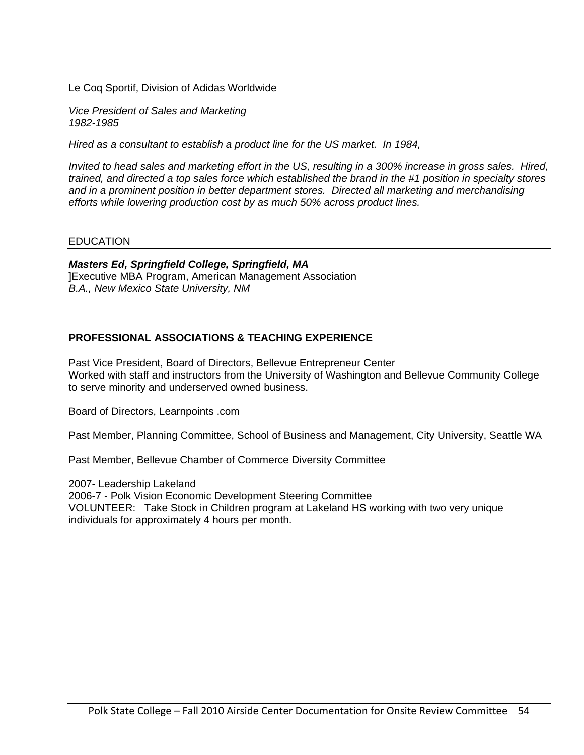#### Le Coq Sportif, Division of Adidas Worldwide

*Vice President of Sales and Marketing 1982-1985* 

*Hired as a consultant to establish a product line for the US market. In 1984,* 

*Invited to head sales and marketing effort in the US, resulting in a 300% increase in gross sales. Hired, trained, and directed a top sales force which established the brand in the #1 position in specialty stores and in a prominent position in better department stores. Directed all marketing and merchandising efforts while lowering production cost by as much 50% across product lines.* 

#### EDUCATION

*Masters Ed, Springfield College, Springfield, MA*  ]Executive MBA Program, American Management Association *B.A., New Mexico State University, NM* 

#### **PROFESSIONAL ASSOCIATIONS & TEACHING EXPERIENCE**

Past Vice President, Board of Directors, Bellevue Entrepreneur Center Worked with staff and instructors from the University of Washington and Bellevue Community College to serve minority and underserved owned business.

Board of Directors, Learnpoints .com

Past Member, Planning Committee, School of Business and Management, City University, Seattle WA

Past Member, Bellevue Chamber of Commerce Diversity Committee

2007- Leadership Lakeland 2006-7 - Polk Vision Economic Development Steering Committee VOLUNTEER: Take Stock in Children program at Lakeland HS working with two very unique individuals for approximately 4 hours per month.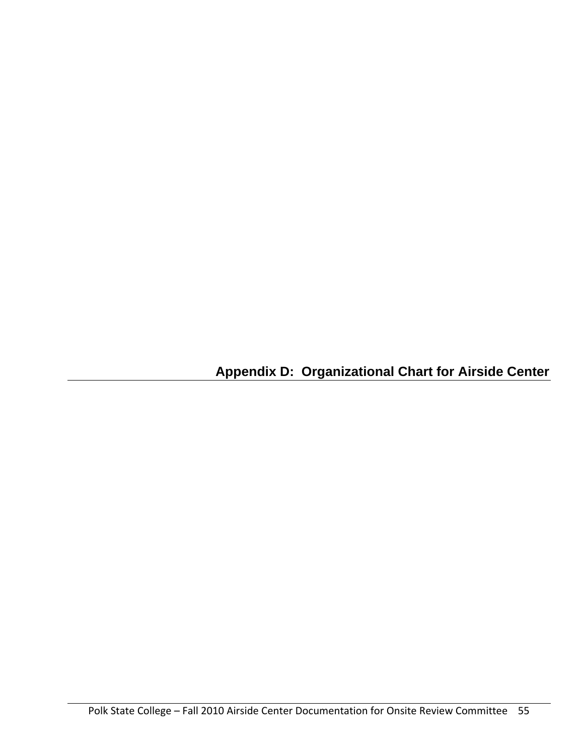**Appendix D: Organizational Chart for Airside Center**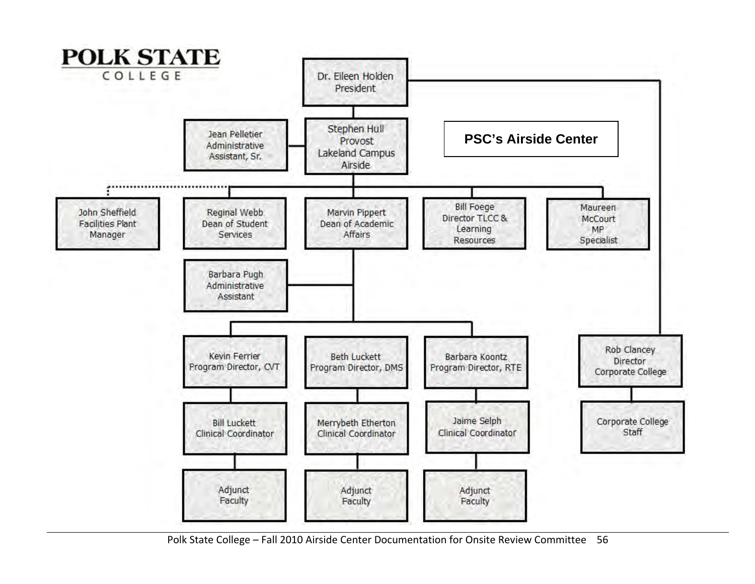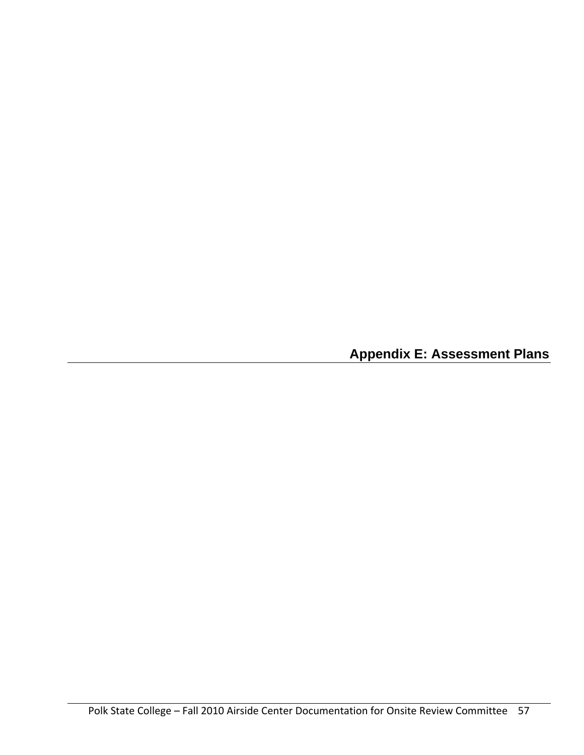**Appendix E: Assessment Plans**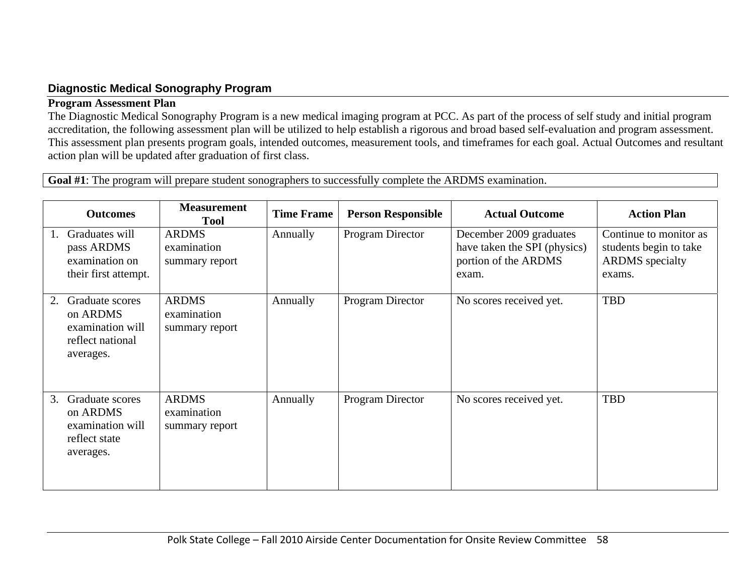## **Diagnostic Medical Sonography Program**

#### **Program Assessment Plan**

The Diagnostic Medical Sonography Program is a new medical imaging program at PCC. As part of the process of self study and initial program accreditation, the following assessment plan will be utilized to help establish a rigorous and broad based self-evaluation and program assessment. This assessment plan presents program goals, intended outcomes, measurement tools, and timeframes for each goal. Actual Outcomes and resultant action plan will be updated after graduation of first class.

**Goal #1**: The program will prepare student sonographers to successfully complete the ARDMS examination.

|    | <b>Outcomes</b>                                                                  | <b>Measurement</b><br><b>Tool</b>             | <b>Time Frame</b> | <b>Person Responsible</b> | <b>Actual Outcome</b>                                                                    | <b>Action Plan</b>                                                                   |
|----|----------------------------------------------------------------------------------|-----------------------------------------------|-------------------|---------------------------|------------------------------------------------------------------------------------------|--------------------------------------------------------------------------------------|
|    | Graduates will<br>pass ARDMS<br>examination on<br>their first attempt.           | <b>ARDMS</b><br>examination<br>summary report | Annually          | Program Director          | December 2009 graduates<br>have taken the SPI (physics)<br>portion of the ARDMS<br>exam. | Continue to monitor as<br>students begin to take<br><b>ARDMS</b> specialty<br>exams. |
| 2. | Graduate scores<br>on ARDMS<br>examination will<br>reflect national<br>averages. | <b>ARDMS</b><br>examination<br>summary report | Annually          | Program Director          | No scores received yet.                                                                  | <b>TBD</b>                                                                           |
| 3. | Graduate scores<br>on ARDMS<br>examination will<br>reflect state<br>averages.    | <b>ARDMS</b><br>examination<br>summary report | Annually          | Program Director          | No scores received yet.                                                                  | <b>TBD</b>                                                                           |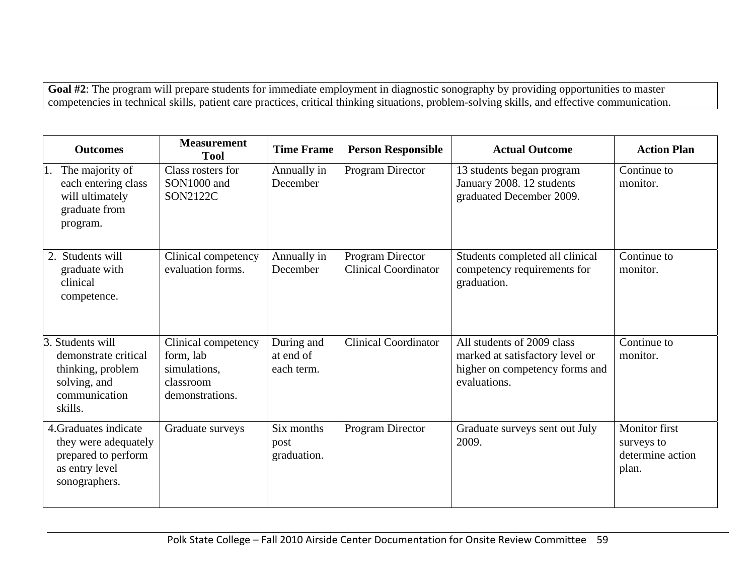Goal #2: The program will prepare students for immediate employment in diagnostic sonography by providing opportunities to master competencies in technical skills, patient care practices, critical thinking situations, problem-solving skills, and effective communication.

| <b>Outcomes</b>                                                                                              | <b>Measurement</b><br><b>Tool</b>                                                | <b>Time Frame</b>                     | <b>Person Responsible</b>                       | <b>Actual Outcome</b>                                                                                           | <b>Action Plan</b>                                       |
|--------------------------------------------------------------------------------------------------------------|----------------------------------------------------------------------------------|---------------------------------------|-------------------------------------------------|-----------------------------------------------------------------------------------------------------------------|----------------------------------------------------------|
| The majority of<br>1.<br>each entering class<br>will ultimately<br>graduate from<br>program.                 | Class rosters for<br>SON1000 and<br><b>SON2122C</b>                              | Annually in<br>December               | Program Director                                | 13 students began program<br>January 2008. 12 students<br>graduated December 2009.                              | Continue to<br>monitor.                                  |
| 2. Students will<br>graduate with<br>clinical<br>competence.                                                 | Clinical competency<br>evaluation forms.                                         | Annually in<br>December               | Program Director<br><b>Clinical Coordinator</b> | Students completed all clinical<br>competency requirements for<br>graduation.                                   | Continue to<br>monitor.                                  |
| Students will<br>3.<br>demonstrate critical<br>thinking, problem<br>solving, and<br>communication<br>skills. | Clinical competency<br>form, lab<br>simulations,<br>classroom<br>demonstrations. | During and<br>at end of<br>each term. | <b>Clinical Coordinator</b>                     | All students of 2009 class<br>marked at satisfactory level or<br>higher on competency forms and<br>evaluations. | Continue to<br>monitor.                                  |
| 4. Graduates indicate<br>they were adequately<br>prepared to perform<br>as entry level<br>sonographers.      | Graduate surveys                                                                 | Six months<br>post<br>graduation.     | Program Director                                | Graduate surveys sent out July<br>2009.                                                                         | Monitor first<br>surveys to<br>determine action<br>plan. |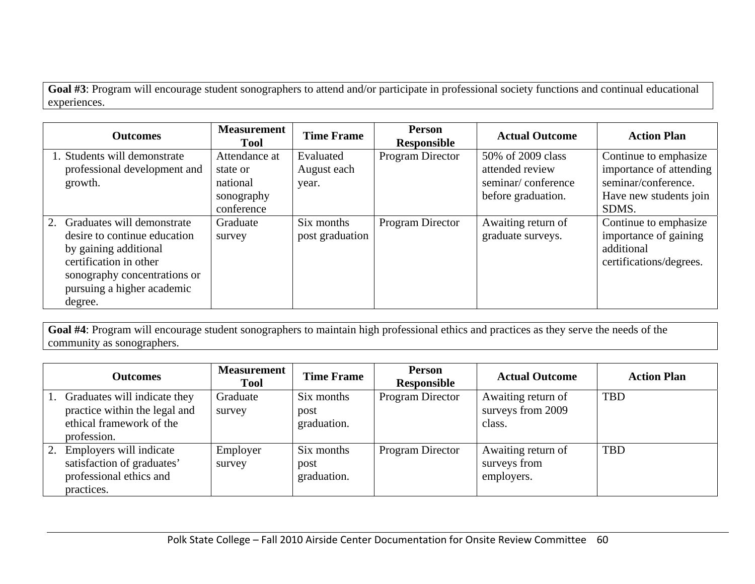**Goal #3**: Program will encourage student sonographers to attend and/or participate in professional society functions and continual educational experiences.

| <b>Outcomes</b>                                                                                                                                                                           | <b>Measurement</b><br><b>Tool</b>                                 | <b>Time Frame</b>                 | <b>Person</b><br><b>Responsible</b> | <b>Actual Outcome</b>                                                            | <b>Action Plan</b>                                                                                         |
|-------------------------------------------------------------------------------------------------------------------------------------------------------------------------------------------|-------------------------------------------------------------------|-----------------------------------|-------------------------------------|----------------------------------------------------------------------------------|------------------------------------------------------------------------------------------------------------|
| 1. Students will demonstrate<br>professional development and<br>growth.                                                                                                                   | Attendance at<br>state or<br>national<br>sonography<br>conference | Evaluated<br>August each<br>year. | Program Director                    | 50% of 2009 class<br>attended review<br>seminar/conference<br>before graduation. | Continue to emphasize<br>importance of attending<br>seminar/conference.<br>Have new students join<br>SDMS. |
| 2. Graduates will demonstrate<br>desire to continue education<br>by gaining additional<br>certification in other<br>sonography concentrations or<br>pursuing a higher academic<br>degree. | Graduate<br>survey                                                | Six months<br>post graduation     | Program Director                    | Awaiting return of<br>graduate surveys.                                          | Continue to emphasize<br>importance of gaining<br>additional<br>certifications/degrees.                    |

**Goal #4**: Program will encourage student sonographers to maintain high professional ethics and practices as they serve the needs of the community as sonographers.

|    | <b>Outcomes</b>                                                                                          | <b>Measurement</b><br><b>Tool</b> | <b>Time Frame</b>                 | <b>Person</b><br>Responsible | <b>Actual Outcome</b>                             | <b>Action Plan</b> |
|----|----------------------------------------------------------------------------------------------------------|-----------------------------------|-----------------------------------|------------------------------|---------------------------------------------------|--------------------|
|    | Graduates will indicate they<br>practice within the legal and<br>ethical framework of the<br>profession. | Graduate<br>survey                | Six months<br>post<br>graduation. | Program Director             | Awaiting return of<br>surveys from 2009<br>class. | <b>TBD</b>         |
| 2. | Employers will indicate<br>satisfaction of graduates'<br>professional ethics and<br>practices.           | Employer<br>survey                | Six months<br>post<br>graduation. | Program Director             | Awaiting return of<br>surveys from<br>employers.  | <b>TBD</b>         |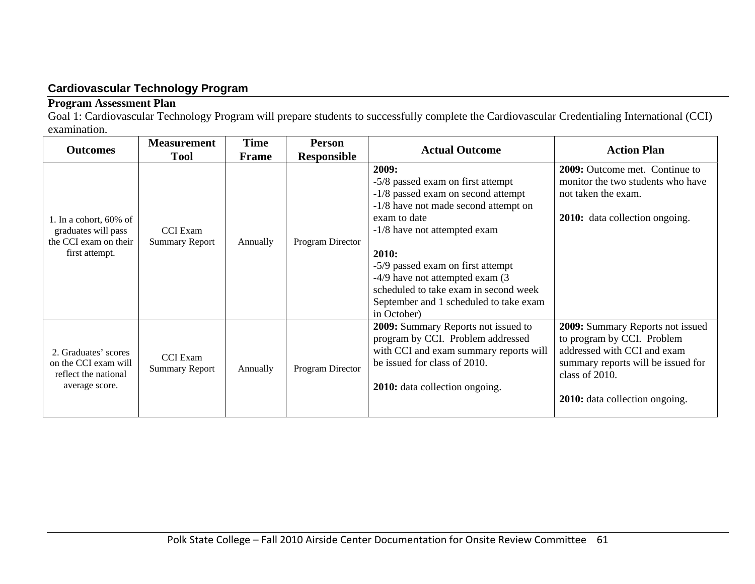## **Cardiovascular Technology Program**

## **Program Assessment Plan**

Goal 1: Cardiovascular Technology Program will prepare students to successfully complete the Cardiovascular Credentialing International (CCI) examination.

| <b>Outcomes</b>                                                                             | <b>Measurement</b>                       | <b>Time</b>                 | <b>Person</b>    | <b>Actual Outcome</b>                                                                                                                                                                                                                                                                                                                                       | <b>Action Plan</b>                                                                                                                                                                             |  |
|---------------------------------------------------------------------------------------------|------------------------------------------|-----------------------------|------------------|-------------------------------------------------------------------------------------------------------------------------------------------------------------------------------------------------------------------------------------------------------------------------------------------------------------------------------------------------------------|------------------------------------------------------------------------------------------------------------------------------------------------------------------------------------------------|--|
|                                                                                             | <b>Tool</b>                              | <b>Responsible</b><br>Frame |                  |                                                                                                                                                                                                                                                                                                                                                             |                                                                                                                                                                                                |  |
| 1. In a cohort, $60\%$ of<br>graduates will pass<br>the CCI exam on their<br>first attempt. | <b>CCI</b> Exam<br><b>Summary Report</b> | Annually                    | Program Director | 2009:<br>-5/8 passed exam on first attempt<br>-1/8 passed exam on second attempt<br>-1/8 have not made second attempt on<br>exam to date<br>-1/8 have not attempted exam<br>2010:<br>-5/9 passed exam on first attempt<br>-4/9 have not attempted exam (3<br>scheduled to take exam in second week<br>September and 1 scheduled to take exam<br>in October) | 2009: Outcome met. Continue to<br>monitor the two students who have<br>not taken the exam.<br>2010: data collection ongoing.                                                                   |  |
| 2. Graduates' scores<br>on the CCI exam will<br>reflect the national<br>average score.      | <b>CCI</b> Exam<br><b>Summary Report</b> | Annually                    | Program Director | <b>2009:</b> Summary Reports not issued to<br>program by CCI. Problem addressed<br>with CCI and exam summary reports will<br>be issued for class of 2010.<br>2010: data collection ongoing.                                                                                                                                                                 | 2009: Summary Reports not issued<br>to program by CCI. Problem<br>addressed with CCI and exam<br>summary reports will be issued for<br>class of 2010.<br><b>2010:</b> data collection ongoing. |  |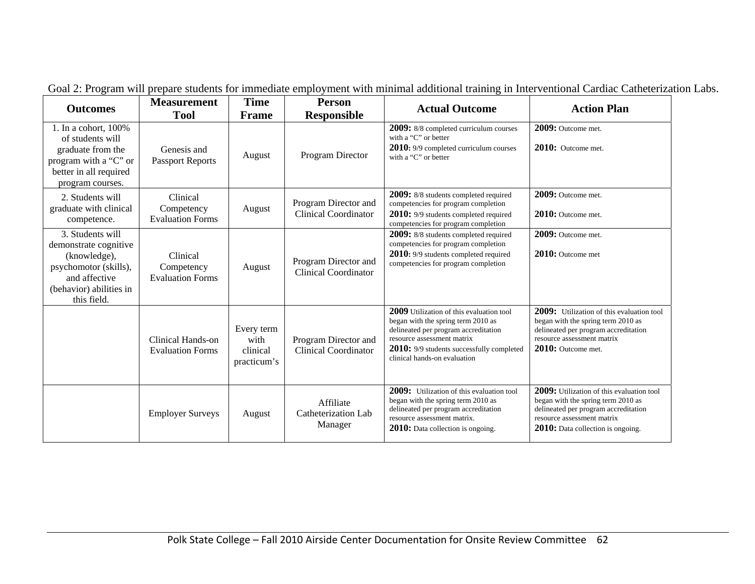| <b>Outcomes</b>                                                                                                                               | <b>Measurement</b><br><b>Tool</b>                 | Time<br>Frame                                 | <b>Person</b><br><b>Responsible</b>                 | <b>Actual Outcome</b>                                                                                                                                                                                                                    | <b>Action Plan</b>                                                                                                                                                                         |
|-----------------------------------------------------------------------------------------------------------------------------------------------|---------------------------------------------------|-----------------------------------------------|-----------------------------------------------------|------------------------------------------------------------------------------------------------------------------------------------------------------------------------------------------------------------------------------------------|--------------------------------------------------------------------------------------------------------------------------------------------------------------------------------------------|
| 1. In a cohort, $100\%$<br>of students will<br>graduate from the<br>program with a "C" or<br>better in all required<br>program courses.       | Genesis and<br><b>Passport Reports</b>            | August                                        | Program Director                                    | <b>2009:</b> 8/8 completed curriculum courses<br>with a "C" or better<br>2010: 9/9 completed curriculum courses<br>with a "C" or better                                                                                                  | 2009: Outcome met.<br>2010: Outcome met.                                                                                                                                                   |
| 2. Students will<br>graduate with clinical<br>competence.                                                                                     | Clinical<br>Competency<br><b>Evaluation Forms</b> | August                                        | Program Director and<br><b>Clinical Coordinator</b> | 2009: 8/8 students completed required<br>competencies for program completion<br><b>2010:</b> 9/9 students completed required<br>competencies for program completion                                                                      | 2009: Outcome met.<br>2010: Outcome met.                                                                                                                                                   |
| 3. Students will<br>demonstrate cognitive<br>(knowledge),<br>psychomotor (skills),<br>and affective<br>(behavior) abilities in<br>this field. | Clinical<br>Competency<br><b>Evaluation Forms</b> | August                                        | Program Director and<br><b>Clinical Coordinator</b> | 2009: 8/8 students completed required<br>competencies for program completion<br>2010: 9/9 students completed required<br>competencies for program completion                                                                             | 2009: Outcome met.<br>2010: Outcome met                                                                                                                                                    |
|                                                                                                                                               | Clinical Hands-on<br><b>Evaluation Forms</b>      | Every term<br>with<br>clinical<br>practicum's | Program Director and<br><b>Clinical Coordinator</b> | 2009 Utilization of this evaluation tool<br>began with the spring term 2010 as<br>delineated per program accreditation<br>resource assessment matrix<br><b>2010:</b> 9/9 students successfully completed<br>clinical hands-on evaluation | 2009: Utilization of this evaluation tool<br>began with the spring term 2010 as<br>delineated per program accreditation<br>resource assessment matrix<br>$2010:$ Outcome met.              |
|                                                                                                                                               | <b>Employer Surveys</b>                           | August                                        | Affiliate<br>Catheterization Lab<br>Manager         | 2009: Utilization of this evaluation tool<br>began with the spring term 2010 as<br>delineated per program accreditation<br>resource assessment matrix.<br>2010: Data collection is ongoing.                                              | 2009: Utilization of this evaluation tool<br>began with the spring term 2010 as<br>delineated per program accreditation<br>resource assessment matrix<br>2010: Data collection is ongoing. |

Goal 2: Program will prepare students for immediate employment with minimal additional training in Interventional Cardiac Catheterization Labs.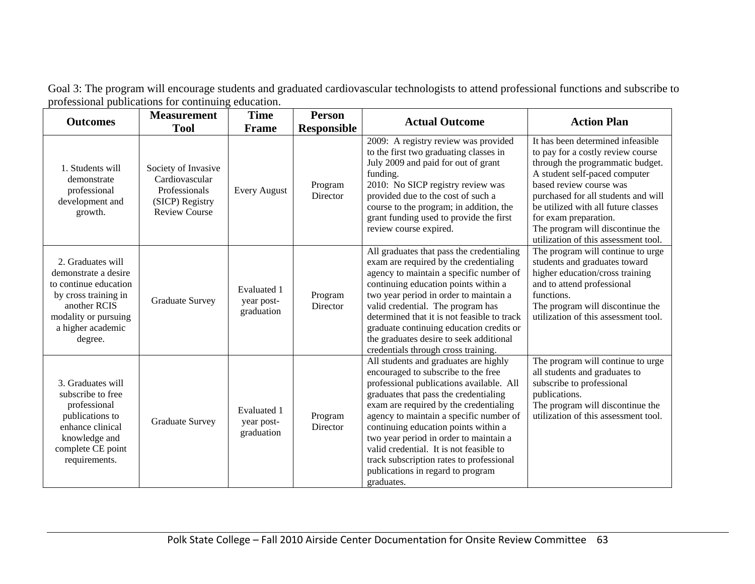| Goal 3: The program will encourage students and graduated cardiovascular technologists to attend professional functions and subscribe to |  |
|------------------------------------------------------------------------------------------------------------------------------------------|--|
| professional publications for continuing education.                                                                                      |  |

| <b>Outcomes</b>                                                                                                                                                    | <b>Measurement</b>                                                                                | <b>Time</b>                                    | <b>Person</b>       | <b>Actual Outcome</b>                                                                                                                                                                                                                                                                                                                                                                                                                                                              | <b>Action Plan</b>                                                                                                                                                                                                                                                                                                                                        |
|--------------------------------------------------------------------------------------------------------------------------------------------------------------------|---------------------------------------------------------------------------------------------------|------------------------------------------------|---------------------|------------------------------------------------------------------------------------------------------------------------------------------------------------------------------------------------------------------------------------------------------------------------------------------------------------------------------------------------------------------------------------------------------------------------------------------------------------------------------------|-----------------------------------------------------------------------------------------------------------------------------------------------------------------------------------------------------------------------------------------------------------------------------------------------------------------------------------------------------------|
|                                                                                                                                                                    | <b>Tool</b>                                                                                       | Frame                                          | <b>Responsible</b>  |                                                                                                                                                                                                                                                                                                                                                                                                                                                                                    |                                                                                                                                                                                                                                                                                                                                                           |
| 1. Students will<br>demonstrate<br>professional<br>development and<br>growth.                                                                                      | Society of Invasive<br>Cardiovascular<br>Professionals<br>(SICP) Registry<br><b>Review Course</b> | <b>Every August</b>                            | Program<br>Director | 2009: A registry review was provided<br>to the first two graduating classes in<br>July 2009 and paid for out of grant<br>funding.<br>2010: No SICP registry review was<br>provided due to the cost of such a<br>course to the program; in addition, the<br>grant funding used to provide the first<br>review course expired.                                                                                                                                                       | It has been determined infeasible<br>to pay for a costly review course<br>through the programmatic budget.<br>A student self-paced computer<br>based review course was<br>purchased for all students and will<br>be utilized with all future classes<br>for exam preparation.<br>The program will discontinue the<br>utilization of this assessment tool. |
| 2. Graduates will<br>demonstrate a desire<br>to continue education<br>by cross training in<br>another RCIS<br>modality or pursuing<br>a higher academic<br>degree. | <b>Graduate Survey</b>                                                                            | <b>Evaluated 1</b><br>year post-<br>graduation | Program<br>Director | All graduates that pass the credentialing<br>exam are required by the credentialing<br>agency to maintain a specific number of<br>continuing education points within a<br>two year period in order to maintain a<br>valid credential. The program has<br>determined that it is not feasible to track<br>graduate continuing education credits or<br>the graduates desire to seek additional<br>credentials through cross training.                                                 | The program will continue to urge<br>students and graduates toward<br>higher education/cross training<br>and to attend professional<br>functions.<br>The program will discontinue the<br>utilization of this assessment tool.                                                                                                                             |
| 3. Graduates will<br>subscribe to free<br>professional<br>publications to<br>enhance clinical<br>knowledge and<br>complete CE point<br>requirements.               | <b>Graduate Survey</b>                                                                            | Evaluated 1<br>year post-<br>graduation        | Program<br>Director | All students and graduates are highly<br>encouraged to subscribe to the free<br>professional publications available. All<br>graduates that pass the credentialing<br>exam are required by the credentialing<br>agency to maintain a specific number of<br>continuing education points within a<br>two year period in order to maintain a<br>valid credential. It is not feasible to<br>track subscription rates to professional<br>publications in regard to program<br>graduates. | The program will continue to urge<br>all students and graduates to<br>subscribe to professional<br>publications.<br>The program will discontinue the<br>utilization of this assessment tool.                                                                                                                                                              |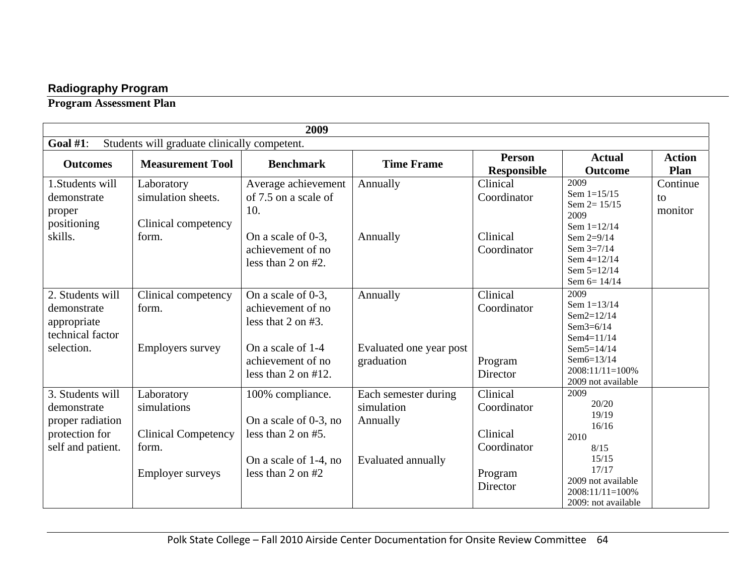## **Radiography Program**

**Program Assessment Plan** 

|                                                                                            | 2009                                                                                        |                                                                                                                                          |                                                                             |                                                                           |                                                                                                                                                  |                           |  |  |  |
|--------------------------------------------------------------------------------------------|---------------------------------------------------------------------------------------------|------------------------------------------------------------------------------------------------------------------------------------------|-----------------------------------------------------------------------------|---------------------------------------------------------------------------|--------------------------------------------------------------------------------------------------------------------------------------------------|---------------------------|--|--|--|
| Goal $#1$ :                                                                                | Students will graduate clinically competent.                                                |                                                                                                                                          |                                                                             |                                                                           |                                                                                                                                                  |                           |  |  |  |
| <b>Outcomes</b>                                                                            | <b>Measurement Tool</b>                                                                     | <b>Benchmark</b>                                                                                                                         | <b>Time Frame</b>                                                           | <b>Person</b><br><b>Responsible</b>                                       | <b>Actual</b><br><b>Outcome</b>                                                                                                                  | <b>Action</b><br>Plan     |  |  |  |
| 1. Students will<br>demonstrate<br>proper<br>positioning<br>skills.                        | Laboratory<br>simulation sheets.<br>Clinical competency<br>form.                            | Average achievement<br>of 7.5 on a scale of<br>10.<br>On a scale of 0-3,<br>achievement of no<br>less than $2$ on $#2$ .                 | Annually<br>Annually                                                        | Clinical<br>Coordinator<br>Clinical<br>Coordinator                        | 2009<br>Sem $1=15/15$<br>Sem $2 = 15/15$<br>2009<br>Sem $1=12/14$<br>Sem 2=9/14<br>Sem $3=7/14$<br>Sem 4=12/14<br>Sem 5=12/14<br>Sem $6 = 14/14$ | Continue<br>to<br>monitor |  |  |  |
| 2. Students will<br>demonstrate<br>appropriate<br>technical factor<br>selection.           | Clinical competency<br>form.<br><b>Employers survey</b>                                     | On a scale of 0-3,<br>achievement of no<br>less that $2$ on $#3$ .<br>On a scale of 1-4<br>achievement of no<br>less than $2$ on $#12$ . | Annually<br>Evaluated one year post<br>graduation                           | Clinical<br>Coordinator<br>Program<br>Director                            | 2009<br>Sem $1=13/14$<br>$Sem2=12/14$<br>Sem $3=6/14$<br>$Sem4 = 11/14$<br>$Sem5 = 14/14$<br>Sem6=13/14<br>2008:11/11=100%<br>2009 not available |                           |  |  |  |
| 3. Students will<br>demonstrate<br>proper radiation<br>protection for<br>self and patient. | Laboratory<br>simulations<br><b>Clinical Competency</b><br>form.<br><b>Employer surveys</b> | 100% compliance.<br>On a scale of 0-3, no<br>less than $2$ on $#5$ .<br>On a scale of 1-4, no<br>less than $2$ on $#2$                   | Each semester during<br>simulation<br>Annually<br><b>Evaluated annually</b> | Clinical<br>Coordinator<br>Clinical<br>Coordinator<br>Program<br>Director | 2009<br>20/20<br>19/19<br>16/16<br>2010<br>8/15<br>15/15<br>17/17<br>2009 not available<br>2008:11/11=100%<br>2009: not available                |                           |  |  |  |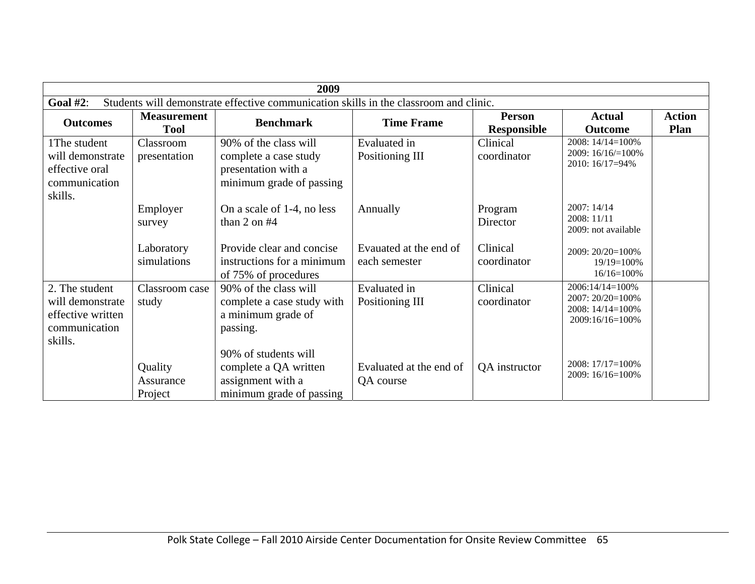|                                                                                     | 2009                                                                                  |                                                                                                   |                                         |                                     |                                                                            |                              |  |  |  |
|-------------------------------------------------------------------------------------|---------------------------------------------------------------------------------------|---------------------------------------------------------------------------------------------------|-----------------------------------------|-------------------------------------|----------------------------------------------------------------------------|------------------------------|--|--|--|
| Goal $#2$ :                                                                         | Students will demonstrate effective communication skills in the classroom and clinic. |                                                                                                   |                                         |                                     |                                                                            |                              |  |  |  |
| <b>Outcomes</b>                                                                     | <b>Measurement</b><br><b>Tool</b>                                                     | <b>Benchmark</b>                                                                                  | <b>Time Frame</b>                       | <b>Person</b><br><b>Responsible</b> | <b>Actual</b><br><b>Outcome</b>                                            | <b>Action</b><br><b>Plan</b> |  |  |  |
| 1The student<br>will demonstrate<br>effective oral<br>communication<br>skills.      | Classroom<br>presentation                                                             | 90% of the class will<br>complete a case study<br>presentation with a<br>minimum grade of passing | Evaluated in<br>Positioning III         | Clinical<br>coordinator             | 2008: 14/14=100%<br>2009: 16/16/=100%<br>2010: 16/17=94%                   |                              |  |  |  |
|                                                                                     | Employer<br>survey                                                                    | On a scale of 1-4, no less<br>than $2$ on $#4$                                                    | Annually                                | Program<br>Director                 | 2007: 14/14<br>2008: 11/11<br>2009: not available                          |                              |  |  |  |
|                                                                                     | Laboratory<br>simulations                                                             | Provide clear and concise<br>instructions for a minimum<br>of 75% of procedures                   | Evauated at the end of<br>each semester | Clinical<br>coordinator             | 2009: 20/20=100%<br>$19/19=100%$<br>$16/16=100%$                           |                              |  |  |  |
| 2. The student<br>will demonstrate<br>effective written<br>communication<br>skills. | Classroom case<br>study                                                               | 90% of the class will<br>complete a case study with<br>a minimum grade of<br>passing.             | Evaluated in<br>Positioning III         | Clinical<br>coordinator             | 2006:14/14=100%<br>2007: 20/20=100%<br>2008: 14/14=100%<br>2009:16/16=100% |                              |  |  |  |
|                                                                                     | Quality<br>Assurance<br>Project                                                       | 90% of students will<br>complete a QA written<br>assignment with a<br>minimum grade of passing    | Evaluated at the end of<br>QA course    | QA instructor                       | 2008: 17/17=100%<br>$2009:16/16=100\%$                                     |                              |  |  |  |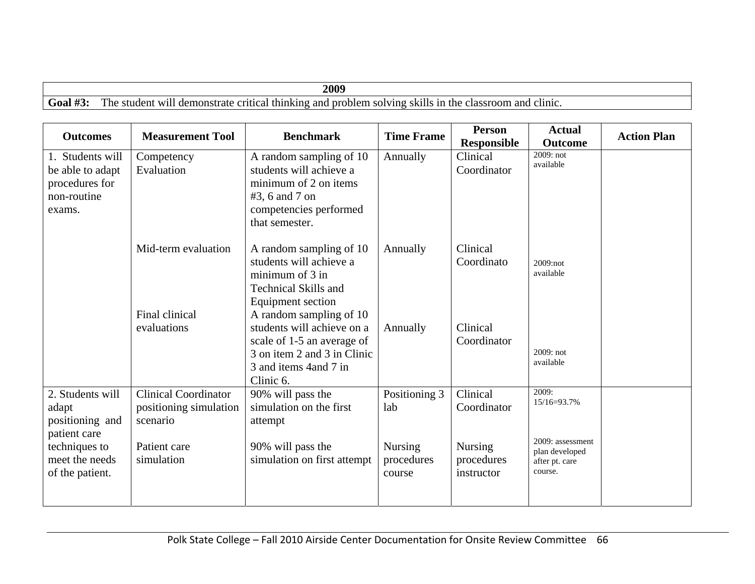|            | 2009                                                                                                   |
|------------|--------------------------------------------------------------------------------------------------------|
| Goal $#3:$ | The student will demonstrate critical thinking and problem solving skills in the classroom and clinic. |

| <b>Outcomes</b>                                                                 | <b>Measurement Tool</b>                                           | <b>Benchmark</b>                                                                                                                                     | <b>Time Frame</b>                      | <b>Person</b><br><b>Responsible</b>        | <b>Actual</b><br><b>Outcome</b>                                 | <b>Action Plan</b> |
|---------------------------------------------------------------------------------|-------------------------------------------------------------------|------------------------------------------------------------------------------------------------------------------------------------------------------|----------------------------------------|--------------------------------------------|-----------------------------------------------------------------|--------------------|
| 1. Students will<br>be able to adapt<br>procedures for<br>non-routine<br>exams. | Competency<br>Evaluation                                          | A random sampling of 10<br>students will achieve a<br>minimum of 2 on items<br>$#3, 6$ and 7 on<br>competencies performed<br>that semester.          | Annually                               | Clinical<br>Coordinator                    | 2009: not<br>available                                          |                    |
|                                                                                 | Mid-term evaluation<br>Final clinical                             | A random sampling of 10<br>students will achieve a<br>minimum of 3 in<br><b>Technical Skills and</b><br>Equipment section<br>A random sampling of 10 | Annually                               | Clinical<br>Coordinato                     | 2009:not<br>available                                           |                    |
|                                                                                 | evaluations                                                       | students will achieve on a<br>scale of 1-5 an average of<br>3 on item 2 and 3 in Clinic<br>3 and items 4 and 7 in<br>Clinic 6.                       | Annually                               | Clinical<br>Coordinator                    | $2009:$ not<br>available                                        |                    |
| 2. Students will<br>adapt<br>positioning and<br>patient care                    | <b>Clinical Coordinator</b><br>positioning simulation<br>scenario | 90% will pass the<br>simulation on the first<br>attempt                                                                                              | Positioning 3<br>lab                   | Clinical<br>Coordinator                    | 2009:<br>15/16=93.7%                                            |                    |
| techniques to<br>meet the needs<br>of the patient.                              | Patient care<br>simulation                                        | 90% will pass the<br>simulation on first attempt                                                                                                     | <b>Nursing</b><br>procedures<br>course | <b>Nursing</b><br>procedures<br>instructor | 2009: assessment<br>plan developed<br>after pt. care<br>course. |                    |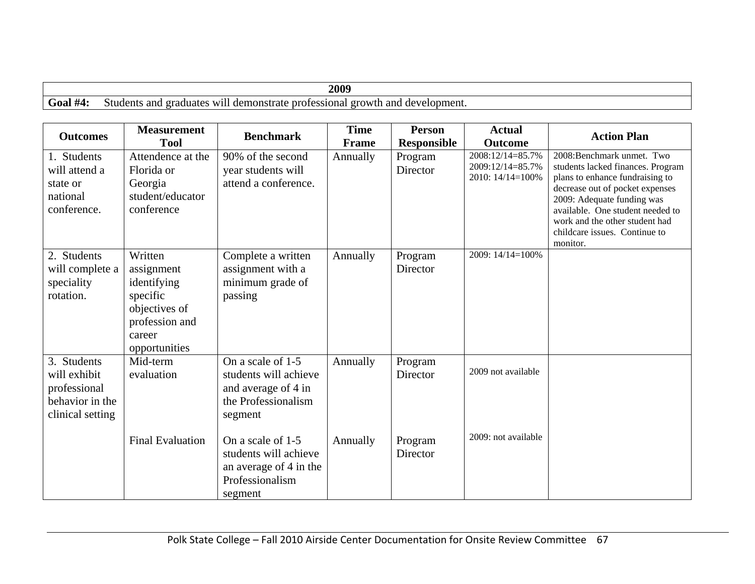|                           | 2009                                                                                                             |
|---------------------------|------------------------------------------------------------------------------------------------------------------|
| Goal<br>$\pi$ /1<br>ι π+. | and<br>Students<br>and<br>development.<br>W11.<br>demonstrate<br>.orowtl<br>eraduates *<br>orofessional c<br>. . |

| <b>Outcomes</b>                                                                    | <b>Measurement</b><br><b>Tool</b>                                                                              | <b>Benchmark</b>                                                                                    | <b>Time</b><br><b>Frame</b> | <b>Person</b><br><b>Responsible</b> | <b>Actual</b><br><b>Outcome</b>                          | <b>Action Plan</b>                                                                                                                                                                                                                                                                     |
|------------------------------------------------------------------------------------|----------------------------------------------------------------------------------------------------------------|-----------------------------------------------------------------------------------------------------|-----------------------------|-------------------------------------|----------------------------------------------------------|----------------------------------------------------------------------------------------------------------------------------------------------------------------------------------------------------------------------------------------------------------------------------------------|
| 1. Students<br>will attend a<br>state or<br>national<br>conference.                | Attendence at the<br>Florida or<br>Georgia<br>student/educator<br>conference                                   | 90% of the second<br>year students will<br>attend a conference.                                     | Annually                    | Program<br>Director                 | 2008:12/14=85.7%<br>2009:12/14=85.7%<br>2010: 14/14=100% | 2008: Benchmark unmet. Two<br>students lacked finances. Program<br>plans to enhance fundraising to<br>decrease out of pocket expenses<br>2009: Adequate funding was<br>available. One student needed to<br>work and the other student had<br>childcare issues. Continue to<br>monitor. |
| 2. Students<br>will complete a<br>speciality<br>rotation.                          | Written<br>assignment<br>identifying<br>specific<br>objectives of<br>profession and<br>career<br>opportunities | Complete a written<br>assignment with a<br>minimum grade of<br>passing                              | Annually                    | Program<br>Director                 | 2009: 14/14=100%                                         |                                                                                                                                                                                                                                                                                        |
| 3. Students<br>will exhibit<br>professional<br>behavior in the<br>clinical setting | Mid-term<br>evaluation                                                                                         | On a scale of 1-5<br>students will achieve<br>and average of 4 in<br>the Professionalism<br>segment | Annually                    | Program<br>Director                 | 2009 not available                                       |                                                                                                                                                                                                                                                                                        |
|                                                                                    | <b>Final Evaluation</b>                                                                                        | On a scale of 1-5<br>students will achieve<br>an average of 4 in the<br>Professionalism<br>segment  | Annually                    | Program<br>Director                 | 2009: not available                                      |                                                                                                                                                                                                                                                                                        |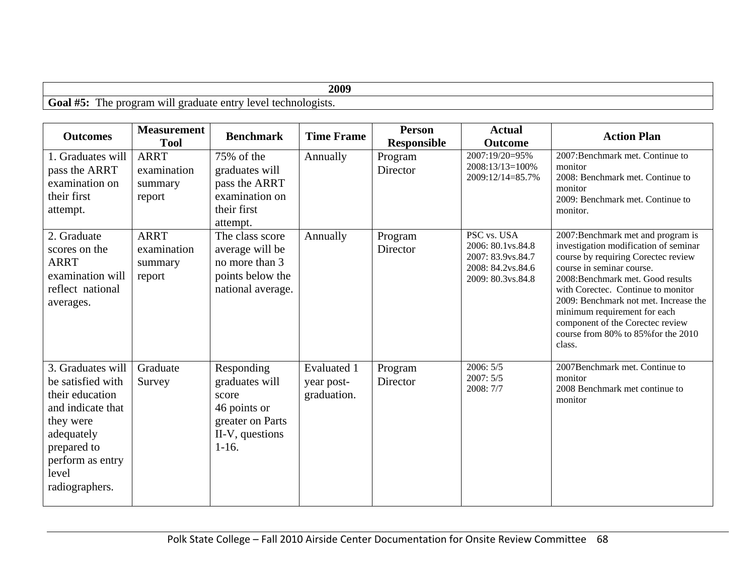| 2009                                                                                                         |  |
|--------------------------------------------------------------------------------------------------------------|--|
| Goal<br>level<br>$\overline{f}$<br>' technologists.<br>entry<br>1 ne<br>. graduate<br>nrogram<br><b>XX/1</b> |  |

| <b>Outcomes</b>                                                                                                                                                         | <b>Measurement</b><br><b>Tool</b>               | <b>Benchmark</b>                                                                                        | <b>Time Frame</b>                        | <b>Person</b><br><b>Responsible</b> | <b>Actual</b><br><b>Outcome</b>                                                                 | <b>Action Plan</b>                                                                                                                                                                                                                                                                                                                                                                      |
|-------------------------------------------------------------------------------------------------------------------------------------------------------------------------|-------------------------------------------------|---------------------------------------------------------------------------------------------------------|------------------------------------------|-------------------------------------|-------------------------------------------------------------------------------------------------|-----------------------------------------------------------------------------------------------------------------------------------------------------------------------------------------------------------------------------------------------------------------------------------------------------------------------------------------------------------------------------------------|
| 1. Graduates will<br>pass the ARRT<br>examination on<br>their first<br>attempt.                                                                                         | <b>ARRT</b><br>examination<br>summary<br>report | 75% of the<br>graduates will<br>pass the ARRT<br>examination on<br>their first<br>attempt.              | Annually                                 | Program<br>Director                 | 2007:19/20=95%<br>2008:13/13=100%<br>2009:12/14=85.7%                                           | 2007:Benchmark met. Continue to<br>monitor<br>2008: Benchmark met. Continue to<br>monitor<br>2009: Benchmark met. Continue to<br>monitor.                                                                                                                                                                                                                                               |
| 2. Graduate<br>scores on the<br><b>ARRT</b><br>examination will<br>reflect national<br>averages.                                                                        | <b>ARRT</b><br>examination<br>summary<br>report | The class score<br>average will be<br>no more than 3<br>points below the<br>national average.           | Annually                                 | Program<br>Director                 | PSC vs. USA<br>2006: 80.1vs.84.8<br>2007: 83.9vs.84.7<br>2008: 84.2vs.84.6<br>2009: 80.3vs.84.8 | 2007:Benchmark met and program is<br>investigation modification of seminar<br>course by requiring Corectec review<br>course in seminar course.<br>2008: Benchmark met. Good results<br>with Corectec. Continue to monitor<br>2009: Benchmark not met. Increase the<br>minimum requirement for each<br>component of the Corectec review<br>course from 80% to 85% for the 2010<br>class. |
| 3. Graduates will<br>be satisfied with<br>their education<br>and indicate that<br>they were<br>adequately<br>prepared to<br>perform as entry<br>level<br>radiographers. | Graduate<br>Survey                              | Responding<br>graduates will<br>score<br>46 points or<br>greater on Parts<br>II-V, questions<br>$1-16.$ | Evaluated 1<br>year post-<br>graduation. | Program<br>Director                 | 2006:5/5<br>2007:5/5<br>2008: 7/7                                                               | 2007Benchmark met. Continue to<br>monitor<br>2008 Benchmark met continue to<br>monitor                                                                                                                                                                                                                                                                                                  |